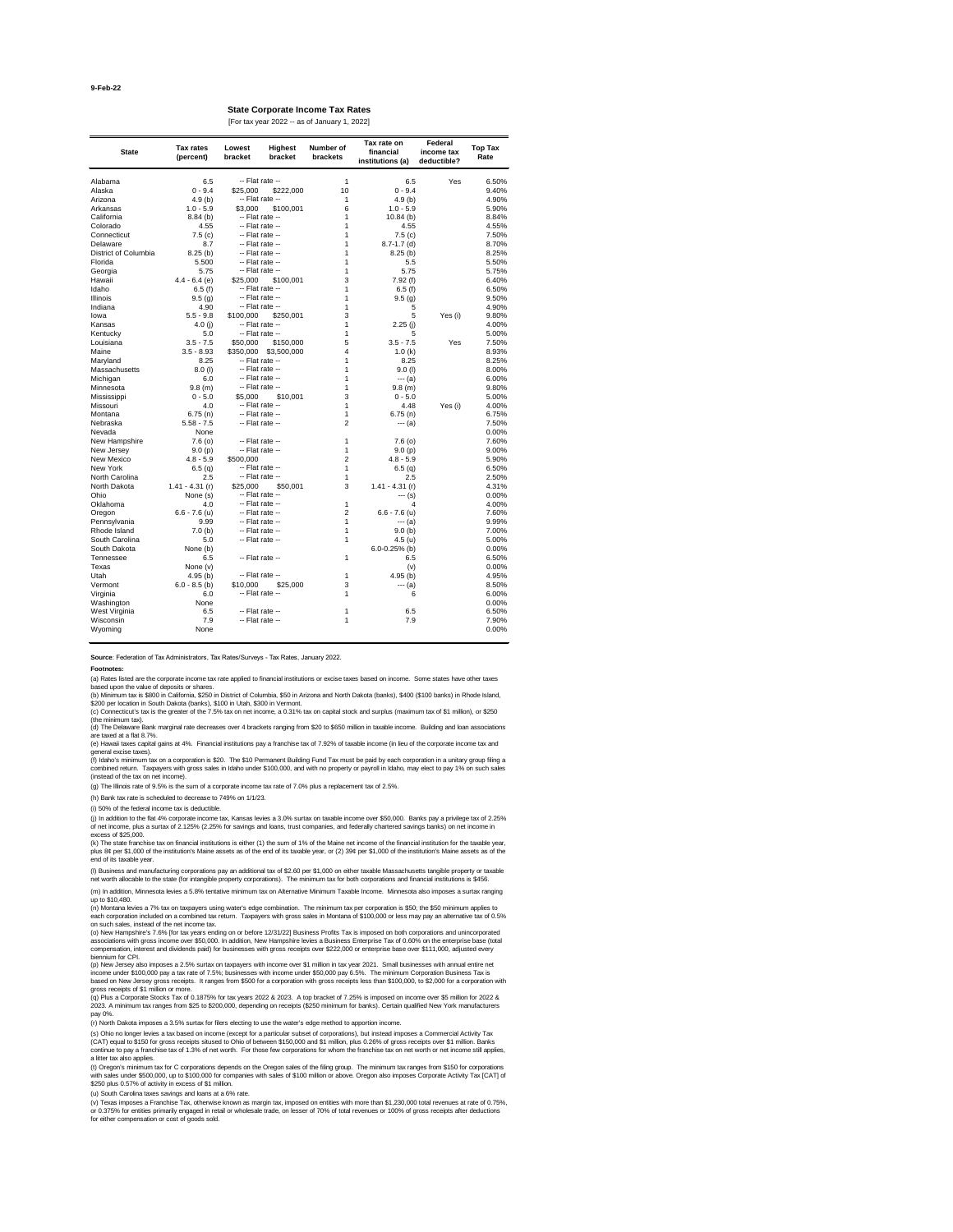**Source**: Federation of Tax Administrators, Tax Rates/Surveys - Tax Rates, January 2022.

| <b>State</b>         | <b>Tax rates</b><br>(percent) | Lowest<br>bracket | <b>Highest</b><br>bracket    | <b>Number of</b><br>brackets | Tax rate on<br>financial<br>institutions (a) | <b>Federal</b><br>income tax<br>deductible? | <b>Top Tax</b><br>Rate |
|----------------------|-------------------------------|-------------------|------------------------------|------------------------------|----------------------------------------------|---------------------------------------------|------------------------|
| Alabama              | 6.5                           |                   | -- Flat rate --              | 1                            | 6.5                                          | Yes                                         | 6.50%                  |
|                      | $0 - 9.4$                     |                   |                              | 10                           | $0 - 9.4$                                    |                                             | 9.40%                  |
| Alaska               | 4.9(b)                        | \$25,000          | \$222,000<br>-- Flat rate -- | $\mathbf 1$                  |                                              |                                             | 4.90%                  |
| Arizona<br>Arkansas  |                               |                   |                              | 6                            | 4.9(b)<br>$1.0 - 5.9$                        |                                             | 5.90%                  |
| California           | $1.0 - 5.9$                   | \$3,000           | \$100,001<br>-- Flat rate -- |                              |                                              |                                             | 8.84%                  |
| Colorado             | 8.84(b)<br>4.55               |                   | -- Flat rate --              |                              | 10.84(b)<br>4.55                             |                                             | 4.55%                  |
| Connecticut          |                               |                   | -- Flat rate --              |                              |                                              |                                             | 7.50%                  |
| Delaware             | 7.5(c)<br>8.7                 |                   | -- Flat rate --              |                              | 7.5(c)                                       |                                             | 8.70%                  |
| District of Columbia |                               |                   | -- Flat rate --              |                              | $8.7 - 1.7$ (d)                              |                                             | 8.25%                  |
|                      | 8.25(b)                       |                   | -- Flat rate --              |                              | 8.25(b)                                      |                                             |                        |
| Florida              | 5.500                         |                   |                              |                              | 5.5                                          |                                             | 5.50%                  |
| Georgia              | 5.75                          |                   | -- Flat rate --              | 1                            | 5.75                                         |                                             | 5.75%                  |
| Hawaii               | $4.4 - 6.4$ (e)               | \$25,000          | \$100,001                    | 3                            | 7.92(f)                                      |                                             | 6.40%                  |
| Idaho                | 6.5(f)                        |                   | -- Flat rate --              |                              | 6.5(f)                                       |                                             | 6.50%                  |
| Illinois             | 9.5(g)                        |                   | -- Flat rate --              | 1                            | 9.5(g)                                       |                                             | 9.50%                  |
| Indiana              | 4.90                          |                   | -- Flat rate --              | 1                            | 5                                            |                                             | 4.90%                  |
| lowa                 | $5.5 - 9.8$                   | \$100,000         | \$250,001                    | 3                            | 5                                            | Yes (i)                                     | 9.80%                  |
| Kansas               | 4.0 $(i)$                     |                   | -- Flat rate --              | 1                            | 2.25(j)                                      |                                             | 4.00%                  |
| Kentucky             | 5.0                           |                   | -- Flat rate --              | 1                            | 5                                            |                                             | 5.00%                  |
| Louisiana            | $3.5 - 7.5$                   | \$50,000          | \$150,000                    | 5                            | $3.5 - 7.5$                                  | Yes                                         | 7.50%                  |
| Maine                | $3.5 - 8.93$                  | \$350,000         | \$3,500,000                  | 4                            | 1.0(k)                                       |                                             | 8.93%                  |
| Maryland             | 8.25                          |                   | -- Flat rate --              |                              | 8.25                                         |                                             | 8.25%                  |
| Massachusetts        | $8.0$ (l)                     |                   | -- Flat rate --              |                              | $9.0$ (l)                                    |                                             | 8.00%                  |
| Michigan             | 6.0                           |                   | -- Flat rate --              |                              | $--- (a)$                                    |                                             | 6.00%                  |
| Minnesota            | 9.8(m)                        |                   | -- Flat rate --              |                              | 9.8(m)                                       |                                             | 9.80%                  |
| Mississippi          | $0 - 5.0$                     | \$5,000           | \$10,001                     | 3                            | $0 - 5.0$                                    |                                             | 5.00%                  |
| Missouri             | 4.0                           |                   | -- Flat rate --              | 1                            | 4.48                                         | Yes (i)                                     | 4.00%                  |
| Montana              | 6.75(n)                       |                   | -- Flat rate --              | 1                            | 6.75(n)                                      |                                             | 6.75%                  |
| Nebraska             | $5.58 - 7.5$                  |                   | -- Flat rate --              | $\overline{2}$               | $--- (a)$                                    |                                             | 7.50%                  |
| Nevada               | None                          |                   |                              |                              |                                              |                                             | 0.00%                  |
| New Hampshire        | 7.6(0)                        |                   | -- Flat rate --              | 1                            | 7.6(0)                                       |                                             | 7.60%                  |
| New Jersey           | 9.0(p)                        |                   | -- Flat rate --              | 1                            | 9.0(p)                                       |                                             | 9.00%                  |
| New Mexico           | $4.8 - 5.9$                   | \$500,000         |                              | 2                            | $4.8 - 5.9$                                  |                                             | 5.90%                  |
| New York             | 6.5(q)                        |                   | -- Flat rate --              | 1                            | 6.5(q)                                       |                                             | 6.50%                  |
| North Carolina       | 2.5                           |                   | -- Flat rate --              | 1                            | 2.5                                          |                                             | 2.50%                  |
| North Dakota         | $1.41 - 4.31$ (r)             | \$25,000          | \$50,001                     | 3                            | $1.41 - 4.31$ (r)                            |                                             | 4.31%                  |
| Ohio                 | None (s)                      |                   | -- Flat rate --              |                              | --- (s)                                      |                                             | 0.00%                  |
| Oklahoma             | 4.0                           |                   | -- Flat rate --              | 1                            | 4                                            |                                             | 4.00%                  |
| Oregon               | $6.6 - 7.6$ (u)               |                   | -- Flat rate --              | 2                            | $6.6 - 7.6$ (u)                              |                                             | 7.60%                  |
| Pennsylvania         | 9.99                          |                   | -- Flat rate --              | 1                            | --- (a)                                      |                                             | 9.99%                  |
| Rhode Island         | 7.0(b)                        |                   | -- Flat rate --              | 1                            | 9.0(b)                                       |                                             | 7.00%                  |
| South Carolina       | 5.0                           |                   | -- Flat rate --              | 1                            | 4.5 (u)                                      |                                             | 5.00%                  |
| South Dakota         | None (b)                      |                   |                              |                              | $6.0 - 0.25%$ (b)                            |                                             | 0.00%                  |
| Tennessee            | 6.5                           |                   | -- Flat rate --              | 1                            | 6.5                                          |                                             | 6.50%                  |
| Texas                | None (v)                      |                   |                              |                              | (v)                                          |                                             | 0.00%                  |
| Utah                 | 4.95(b)                       |                   | -- Flat rate --              | 1                            | 4.95(b)                                      |                                             | 4.95%                  |
| Vermont              | $6.0 - 8.5$ (b)               | \$10,000          | \$25,000                     | 3                            | $--- (a)$                                    |                                             | 8.50%                  |
| Virginia             | 6.0                           |                   | -- Flat rate --              | 1                            | 6                                            |                                             | 6.00%                  |
| Washington           | None                          |                   |                              |                              |                                              |                                             | 0.00%                  |
| West Virginia        | 6.5                           |                   | -- Flat rate --              | 1                            | 6.5                                          |                                             | 6.50%                  |
| Wisconsin            | 7.9                           |                   | -- Flat rate --              |                              | 7.9                                          |                                             | 7.90%                  |
|                      |                               |                   |                              |                              |                                              |                                             |                        |

**State Corporate Income Tax Rates** [For tax year 2022 -- as of January 1, 2022]

Wyoming None 0.00%

#### **Footnotes:**

(h) Bank tax rate is scheduled to decrease to 749% on 1/1/23.

(v) Texas imposes a Franchise Tax, otherwise known as margin tax, imposed on entities with more than \$1,230,000 total revenues at rate of 0.75%, or 0.375% for entities primarily engaged in retail or wholesale trade, on lesser of 70% of total revenues or 100% of gross receipts after deductions for either compensation or cost of goods sold.

(g) The Illinois rate of 9.5% is the sum of a corporate income tax rate of 7.0% plus a replacement tax of 2.5%.

(a) Rates listed are the corporate income tax rate applied to financial institutions or excise taxes based on income. Some states have other taxes based upon the value of deposits or shares.

(b) Minimum tax is \$800 in California, \$250 in District of Columbia, \$50 in Arizona and North Dakota (banks), \$400 (\$100 banks) in Rhode Island, \$200 per location in South Dakota (banks), \$100 in Utah, \$300 in Vermont.

(c) Connecticut's tax is the greater of the 7.5% tax on net income, a 0.31% tax on capital stock and surplus (maximum tax of \$1 million), or \$250 (the minimum tax).

(d) The Delaware Bank marginal rate decreases over 4 brackets ranging from \$20 to \$650 million in taxable income. Building and loan associations are taxed at a flat 8.7%.

(e) Hawaii taxes capital gains at 4%. Financial institutions pay a franchise tax of 7.92% of taxable income (in lieu of the corporate income tax and general excise taxes).

(f) Idaho's minimum tax on a corporation is \$20. The \$10 Permanent Building Fund Tax must be paid by each corporation in a unitary group filing a combined return. Taxpayers with gross sales in Idaho under \$100,000, and with no property or payroll in Idaho, may elect to pay 1% on such sales (instead of the tax on net income).

(j) In addition to the flat 4% corporate income tax, Kansas levies a 3.0% surtax on taxable income over \$50,000. Banks pay a privilege tax of 2.25% of net income, plus a surtax of 2.125% (2.25% for savings and loans, trust companies, and federally chartered savings banks) on net income in excess of \$25,000.

(k) The state franchise tax on financial institutions is either (1) the sum of 1% of the Maine net income of the financial institution for the taxable year, plus 8¢ per \$1,000 of the institution's Maine assets as of the end of its taxable year, or (2) 39¢ per \$1,000 of the institution's Maine assets as of the end of its taxable year.

(l) Business and manufacturing corporations pay an additional tax of \$2.60 per \$1,000 on either taxable Massachusetts tangible property or taxable net worth allocable to the state (for intangible property corporations). The minimum tax for both corporations and financial institutions is \$456.

(m) In addition, Minnesota levies a 5.8% tentative minimum tax on Alternative Minimum Taxable Income. Minnesota also imposes a surtax ranging up to \$10,480.

(n) Montana levies a 7% tax on taxpayers using water's edge combination. The minimum tax per corporation is \$50; the \$50 minimum applies to each corporation included on a combined tax return. Taxpayers with gross sales in Montana of \$100,000 or less may pay an alternative tax of 0.5% on such sales, instead of the net income tax.

(u) South Carolina taxes savings and loans at a 6% rate.

(o) New Hampshire's 7.6% [for tax years ending on or before 12/31/22] Business Profits Tax is imposed on both corporations and unincorporated associations with gross income over \$50,000. In addition, New Hampshire levies a Business Enterprise Tax of 0.60% on the enterprise base (total compensation, interest and dividends paid) for businesses with gross receipts over \$222,000 or enterprise base over \$111,000, adjusted every biennium for CPI.

(p) New Jersey also imposes a 2.5% surtax on taxpayers with income over \$1 million in tax year 2021. Small businesses with annual entire net income under \$100,000 pay a tax rate of 7.5%; businesses with income under \$50,000 pay 6.5%. The minimum Corporation Business Tax is based on New Jersey gross receipts. It ranges from \$500 for a corporation with gross receipts less than \$100,000, to \$2,000 for a corporation with gross receipts of \$1 million or more.

(q) Plus a Corporate Stocks Tax of 0.1875% for tax years 2022 & 2023. A top bracket of 7.25% is imposed on income over \$5 million for 2022 & 2023. A minimum tax ranges from \$25 to \$200,000, depending on receipts (\$250 minimum for banks). Certain qualified New York manufacturers pay 0%.

(r) North Dakota imposes a 3.5% surtax for filers electing to use the water's edge method to apportion income.

(s) Ohio no longer levies a tax based on income (except for a particular subset of corporations), but instead imposes a Commercial Activity Tax (CAT) equal to \$150 for gross receipts sitused to Ohio of between \$150,000 and \$1 million, plus 0.26% of gross receipts over \$1 million. Banks continue to pay a franchise tax of 1.3% of net worth. For those few corporations for whom the franchise tax on net worth or net income still applies, a litter tax also applies.

(t) Oregon's minimum tax for C corporations depends on the Oregon sales of the filing group. The minimum tax ranges from \$150 for corporations with sales under \$500,000, up to \$100,000 for companies with sales of \$100 million or above. Oregon also imposes Corporate Activity Tax [CAT] of \$250 plus 0.57% of activity in excess of \$1 million.

(i) 50% of the federal income tax is deductible.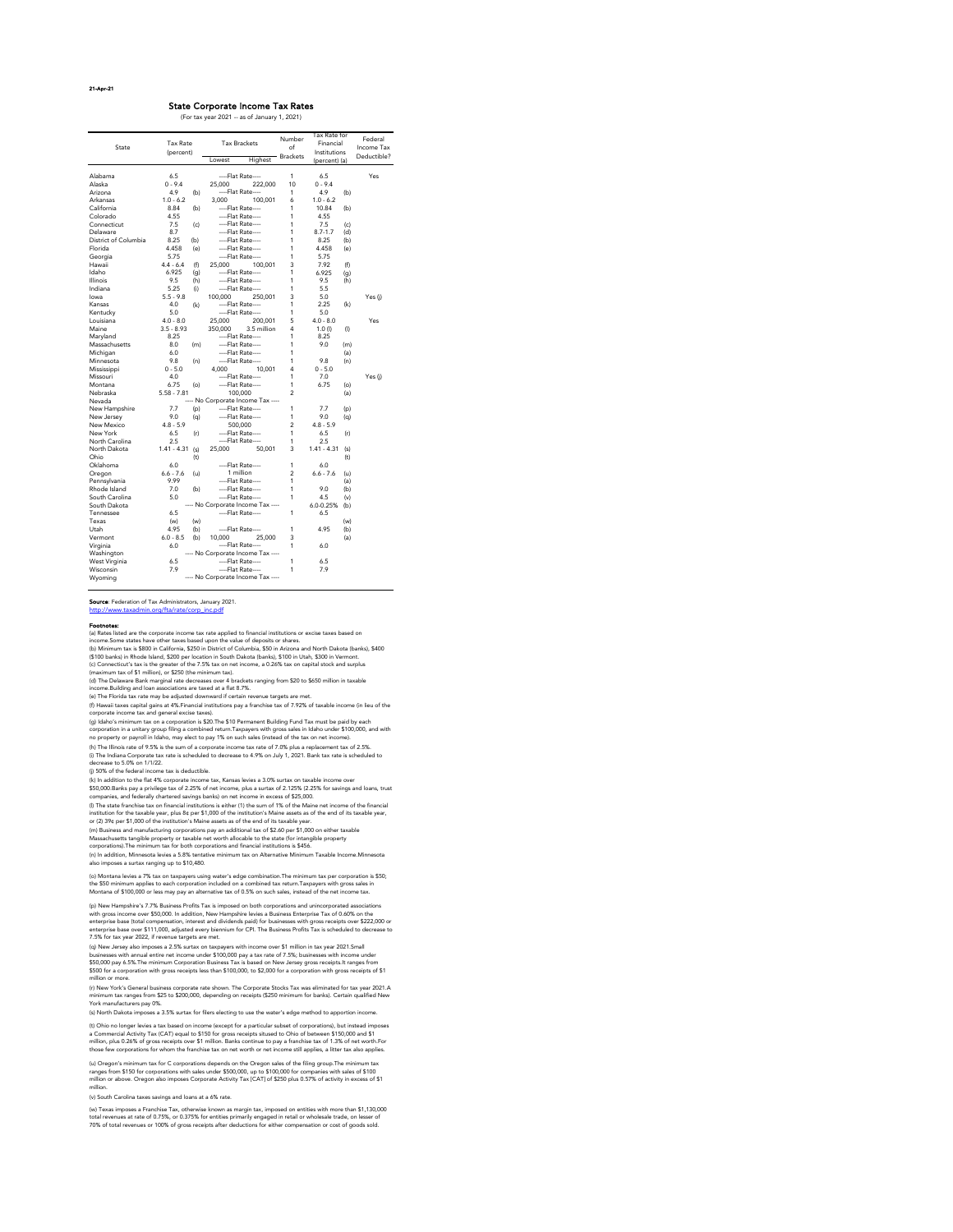21-Apr-21

#### Footnotes:

(v) South Carolina taxes savings and loans at a 6% rate.

(t) Ohio no longer levies a tax based on income (except for a particular subset of corporations), but instead imposes a Commercial Activity Tax (CAT) equal to \$150 for gross receipts sitused to Ohio of between \$150,000 and \$1 million, plus 0.26% of gross receipts over \$1 million. Banks continue to pay a franchise tax of 1.3% of net worth.For those few corporations for whom the franchise tax on net worth or net income still applies, a litter tax also applies.

(u) Oregon's minimum tax for C corporations depends on the Oregon sales of the filing group.The minimum tax ranges from \$150 for corporations with sales under \$500,000, up to \$100,000 for companies with sales of \$100 million or above. Oregon also imposes Corporate Activity Tax [CAT] of \$250 plus 0.57% of activity in excess of \$1 million.

(w) Texas imposes a Franchise Tax, otherwise known as margin tax, imposed on entities with more than \$1,130,000 total revenues at rate of 0.75%, or 0.375% for entities primarily engaged in retail or wholesale trade, on lesser of 70% of total revenues or 100% of gross receipts after deductions for either compensation or cost of goods sold.

(o) Montana levies a 7% tax on taxpayers using water's edge combination.The minimum tax per corporation is \$50; the \$50 minimum applies to each corporation included on a combined tax return.Taxpayers with gross sales in Montana of \$100,000 or less may pay an alternative tax of 0.5% on such sales, instead of the net income tax.

(h) The Illinois rate of 9.5% is the sum of a corporate income tax rate of 7.0% plus a replacement tax of 2.5%. (i) The Indiana Corporate tax rate is scheduled to decrease to 4.9% on July 1, 2021. Bank tax rate is scheduled to decrease to 5.0% on 1/1/22.

(p) New Hampshire's 7.7% Business Profits Tax is imposed on both corporations and unincorporated associations with gross income over \$50,000. In addition, New Hampshire levies a Business Enterprise Tax of 0.60% on the enterprise base (total compensation, interest and dividends paid) for businesses with gross receipts over \$222,000 or enterprise base over \$111,000, adjusted every biennium for CPI. The Business Profits Tax is scheduled to decrease to 7.5% for tax year 2022, if revenue targets are met.

(q) New Jersey also imposes a 2.5% surtax on taxpayers with income over \$1 million in tax year 2021.Small businesses with annual entire net income under \$100,000 pay a tax rate of 7.5%; businesses with income under \$50,000 pay 6.5%.The minimum Corporation Business Tax is based on New Jersey gross receipts.It ranges from \$500 for a corporation with gross receipts less than \$100,000, to \$2,000 for a corporation with gross receipts of \$1 million or more.

(n) In addition, Minnesota levies a 5.8% tentative minimum tax on Alternative Minimum Taxable Income.Minnesota also imposes a surtax ranging up to \$10,480. (m) Business and manufacturing corporations pay an additional tax of \$2.60 per \$1,000 on either taxable Massachusetts tangible property or taxable net worth allocable to the state (for intangible property corporations).The minimum tax for both corporations and financial institutions is \$456.

(r) New York's General business corporate rate shown. The Corporate Stocks Tax was eliminated for tax year 2021.A minimum tax ranges from \$25 to \$200,000, depending on receipts (\$250 minimum for banks). Certain qualified New York manufacturers pay 0%.

(s) North Dakota imposes a 3.5% surtax for filers electing to use the water's edge method to apportion income.

(j) 50% of the federal income tax is deductible.

(k) In addition to the flat 4% corporate income tax, Kansas levies a 3.0% surtax on taxable income over \$50,000.Banks pay a privilege tax of 2.25% of net income, plus a surtax of 2.125% (2.25% for savings and loans, trust companies, and federally chartered savings banks) on net income in excess of \$25,000.

(l) The state franchise tax on financial institutions is either (1) the sum of 1% of the Maine net income of the financial institution for the taxable year, plus 8¢ per \$1,000 of the institution's Maine assets as of the end of its taxable year, or (2) 39¢ per \$1,000 of the institution's Maine assets as of the end of its taxable year.

(g) Idaho's minimum tax on a corporation is \$20.The \$10 Permanent Building Fund Tax must be paid by each corporation in a unitary group filing a combined return.Taxpayers with gross sales in Idaho under \$100,000, and with no property or payroll in Idaho, may elect to pay 1% on such sales (instead of the tax on net income).

Source: Federation of Tax Administrators, January 2021.

[http://www.taxadmin.org/fta/rate/corp\\_inc.pdf](http://www.taxadmin.org/fta/rate/corp_inc.pdf)

(a) Rates listed are the corporate income tax rate applied to financial institutions or excise taxes based on income.Some states have other taxes based upon the value of deposits or shares. (b) Minimum tax is \$800 in California, \$250 in District of Columbia, \$50 in Arizona and North Dakota (banks), \$400 (\$100 banks) in Rhode Island, \$200 per location in South Dakota (banks), \$100 in Utah, \$300 in Vermont. (c) Connecticut's tax is the greater of the 7.5% tax on net income, a 0.26% tax on capital stock and surplus (maximum tax of \$1 million), or \$250 (the minimum tax).

(d) The Delaware Bank marginal rate decreases over 4 brackets ranging from \$20 to \$650 million in taxable income.Building and loan associations are taxed at a flat 8.7%.

(e) The Florida tax rate may be adjusted downward if certain revenue targets are met.

|                      | <b>Tax Rate</b> |     | <b>Tax Brackets</b> |                                   | Number                | Tax Rate for<br>Financial |           | Federal     |
|----------------------|-----------------|-----|---------------------|-----------------------------------|-----------------------|---------------------------|-----------|-------------|
| State                | (percent)       |     |                     |                                   | of<br><b>Brackets</b> | Institutions              |           | Income Tax  |
|                      |                 |     | Lowest              | <b>Highest</b>                    |                       | (percent) (a)             |           | Deductible? |
|                      |                 |     |                     |                                   |                       |                           |           |             |
| Alabama              | 6.5             |     | ----Flat Rate----   |                                   | $\mathbf{1}$          | 6.5                       |           | Yes         |
| Alaska               | $0 - 9.4$       |     | 25,000              | 222,000                           | 10                    | $0 - 9.4$                 |           |             |
| Arizona              | 4.9             | (b) | ----Flat Rate----   |                                   | 1                     | 4.9                       | (b)       |             |
| Arkansas             | $1.0 - 6.2$     |     | 3,000               | 100,001                           | 6                     | $1.0 - 6.2$               |           |             |
| California           | 8.84            | (b) | ----Flat Rate----   |                                   | 1                     | 10.84                     | (b)       |             |
| Colorado             | 4.55            |     | ----Flat Rate----   |                                   | 1                     | 4.55                      |           |             |
| Connecticut          | 7.5             | (c) | ----Flat Rate----   |                                   | 1                     | 7.5                       | (c)       |             |
| Delaware             | 8.7             |     | ----Flat Rate----   |                                   | 1                     | $8.7 - 1.7$               | (d)       |             |
| District of Columbia | 8.25            | (b) | ----Flat Rate----   |                                   | 1                     | 8.25                      | (b)       |             |
| Florida              | 4.458           | (e) | ----Flat Rate----   |                                   | 1                     | 4.458                     | (e)       |             |
| Georgia              | 5.75            |     | ----Flat Rate----   |                                   | 1                     | 5.75                      |           |             |
| Hawaii               | $4.4 - 6.4$     | (f) | 25,000              | 100,001                           | 3                     | 7.92                      | (f)       |             |
| Idaho                | 6.925           | (g) | ----Flat Rate----   |                                   | 1                     | 6.925                     | (g)       |             |
| Illinois             | 9.5             | (h) | ----Flat Rate----   |                                   | 1                     | 9.5                       | (h)       |             |
| Indiana              | 5.25            | (i) | ----Flat Rate----   |                                   | 1                     | 5.5                       |           |             |
| lowa                 | $5.5 - 9.8$     |     | 100,000             | 250,001                           | 3                     | 5.0                       |           | Yes (j)     |
| Kansas               | 4.0             | (k) | ----Flat Rate----   |                                   | 1                     | 2.25                      | (k)       |             |
| Kentucky             | 5.0             |     | ----Flat Rate----   |                                   | 1                     | 5.0                       |           |             |
| Louisiana            | $4.0 - 8.0$     |     | 25,000              | 200,001                           | 5                     | $4.0 - 8.0$               |           | Yes         |
| Maine                | $3.5 - 8.93$    |     | 350,000             | 3.5 million                       | 4                     | $1.0$ (l)                 | $($ l $)$ |             |
| Maryland             | 8.25            |     | ----Flat Rate----   |                                   | 1                     | 8.25                      |           |             |
| Massachusetts        | 8.0             | (m) | ----Flat Rate----   |                                   | 1                     | 9.0                       | (m)       |             |
| Michigan             | 6.0             |     | ----Flat Rate----   |                                   | 1                     |                           | (a)       |             |
| Minnesota            | 9.8             | (n) | ----Flat Rate----   |                                   | 1                     | 9.8                       | (n)       |             |
| Mississippi          | $0 - 5.0$       |     | 4,000               | 10,001                            | 4                     | $0 - 5.0$                 |           |             |
| Missouri             | 4.0             |     | ----Flat Rate----   |                                   | 1                     | 7.0                       |           | Yes (j)     |
| Montana              | 6.75            | (o) | ----Flat Rate----   |                                   | 1                     | 6.75                      | (o)       |             |
| Nebraska             | $5.58 - 7.81$   |     | 100,000             |                                   | $\overline{2}$        |                           | (a)       |             |
| Nevada               |                 |     |                     | ---- No Corporate Income Tax ---- |                       |                           |           |             |
| New Hampshire        | 7.7             | (p) | ----Flat Rate----   |                                   | 1                     | 7.7                       | (p)       |             |
| New Jersey           | 9.0             | (q) | ----Flat Rate----   |                                   | 1                     | 9.0                       | (q)       |             |
| New Mexico           | $4.8 - 5.9$     |     | 500,000             |                                   | $\overline{c}$        | $4.8 - 5.9$               |           |             |
| New York             | 6.5             | (r) | ----Flat Rate----   |                                   | 1                     | 6.5                       | (r)       |             |
| North Carolina       | 2.5             |     | ----Flat Rate----   |                                   | 1                     | 2.5                       |           |             |
| North Dakota         | $1.41 - 4.31$   | (s) | 25,000              | 50,001                            | 3                     | $1.41 - 4.31$             | (s)       |             |
| Ohio                 |                 | (t) |                     |                                   |                       |                           | (t)       |             |
| Oklahoma             | 6.0             |     | ----Flat Rate----   |                                   | 1                     | 6.0                       |           |             |
| Oregon               | $6.6 - 7.6$     | (u) | 1 million           |                                   | $\overline{c}$        | $6.6 - 7.6$               | (u)       |             |
| Pennsylvania         | 9.99            |     | ----Flat Rate----   |                                   | 1                     |                           | (a)       |             |
| Rhode Island         | 7.0             | (b) | ----Flat Rate----   |                                   | 1                     | 9.0                       | (b)       |             |
| South Carolina       | 5.0             |     | ----Flat Rate----   |                                   | 1                     | 4.5                       | (v)       |             |
| South Dakota         |                 |     |                     | ---- No Corporate Income Tax ---- |                       | 6.0-0.25%                 | (b)       |             |
| Tennessee            | 6.5             |     | ----Flat Rate----   |                                   | 1                     | 6.5                       |           |             |
| Texas                | (w)             | (w) |                     |                                   |                       |                           | (w)       |             |
| Utah                 | 4.95            | (b) | ----Flat Rate----   |                                   | 1                     | 4.95                      | (b)       |             |
| Vermont              | $6.0 - 8.5$     | (b) | 10,000              | 25,000                            | 3                     |                           | (a)       |             |
| Virginia             | 6.0             |     | ----Flat Rate----   |                                   | 1                     | 6.0                       |           |             |
| Washington           |                 |     |                     | ---- No Corporate Income Tax ---- |                       |                           |           |             |
| West Virginia        | 6.5             |     | ----Flat Rate----   |                                   | 1                     | 6.5                       |           |             |
| Wisconsin            | 7.9             |     | ----Flat Rate----   |                                   | 1                     | 7.9                       |           |             |

(f) Hawaii taxes capital gains at 4%.Financial institutions pay a franchise tax of 7.92% of taxable income (in lieu of the corporate income tax and general excise taxes).

### State Corporate Income Tax Rates

(For tax year 2021 -- as of January 1, 2021)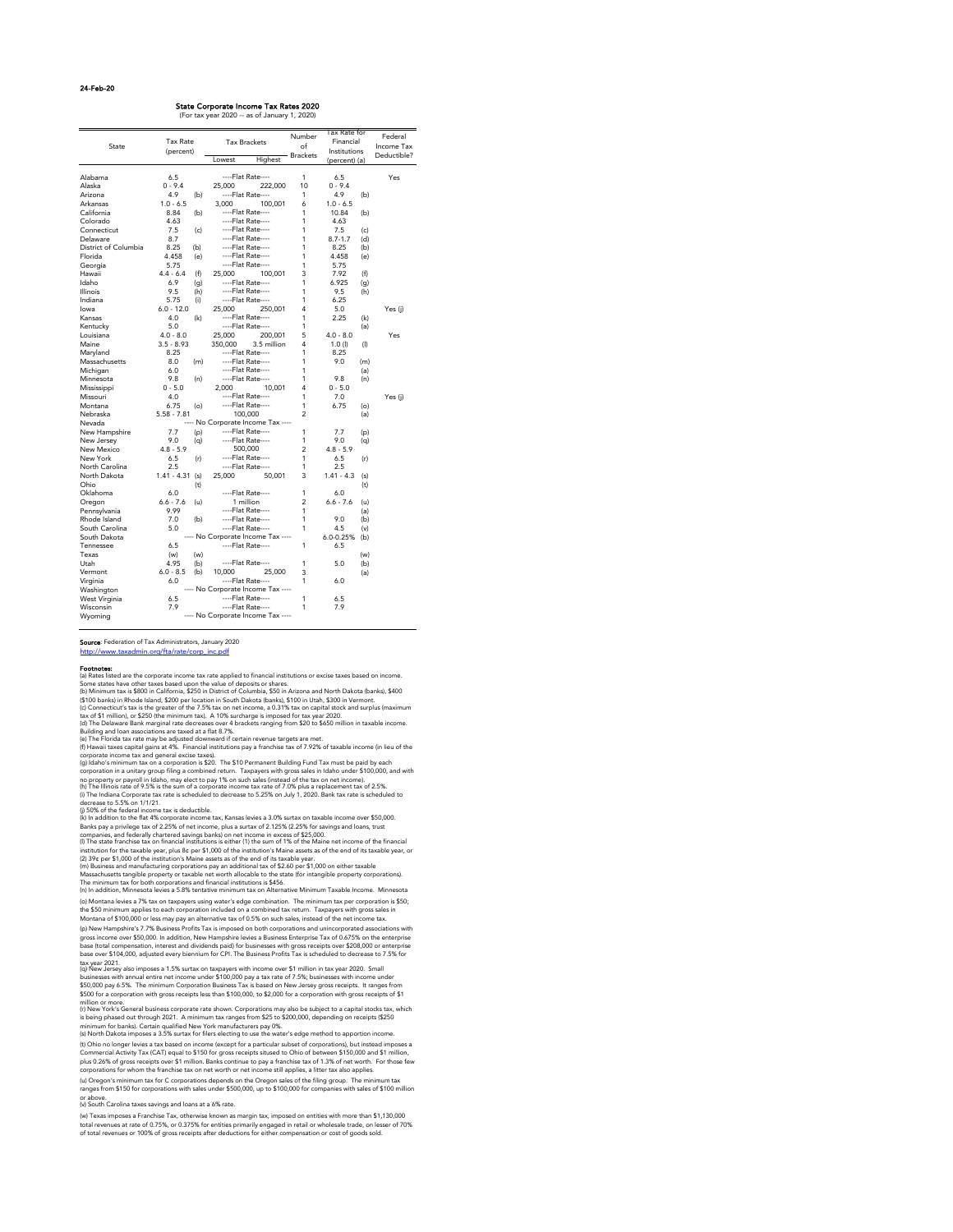#### 24-Feb-20

#### Footnotes:

State Corporate Income Tax Rates 2020

|                      |               |     |                                        |                                   |                 | Tax Rate for  |            |             |
|----------------------|---------------|-----|----------------------------------------|-----------------------------------|-----------------|---------------|------------|-------------|
|                      | Tax Rate      |     | <b>Tax Brackets</b>                    |                                   | Number          | Financial     |            | Federal     |
| State                | (percent)     |     |                                        |                                   | of              | Institutions  |            | Income Tax  |
|                      |               |     | Lowest                                 | Highest                           | <b>Brackets</b> |               |            | Deductible? |
|                      |               |     |                                        |                                   |                 | (percent) (a) |            |             |
| Alabama              | 6.5           |     | ----Flat Rate----                      |                                   | 1               | 6.5           |            | Yes         |
| Alaska               | $0 - 9.4$     |     | 25,000                                 | 222,000                           | 10              | $0 - 9.4$     |            |             |
| Arizona              | 4.9           | (b) | ----Flat Rate----                      |                                   | 1               | 4.9           | (b)        |             |
| Arkansas             | $1.0 - 6.5$   |     | 3,000                                  | 100,001                           | 6               | $1.0 - 6.5$   |            |             |
| California           | 8.84          | (b) | ----Flat Rate----                      |                                   | 1               | 10.84         | (b)        |             |
| Colorado             | 4.63          |     | ----Flat Rate----                      |                                   | 1               | 4.63          |            |             |
| Connecticut          | 7.5           | (c) | ----Flat Rate----                      |                                   | 1               | 7.5           |            |             |
| Delaware             | 8.7           |     | ----Flat Rate----                      |                                   | 1               | $8.7 - 1.7$   | (c)<br>(d) |             |
| District of Columbia | 8.25          | (b) | ----Flat Rate----                      |                                   | 1               | 8.25          | (b)        |             |
| Florida              | 4.458         | (e) | ----Flat Rate----                      |                                   | 1               | 4.458         | (e)        |             |
|                      | 5.75          |     | ----Flat Rate----                      |                                   | 1               |               |            |             |
| Georgia              |               |     |                                        |                                   |                 | 5.75          |            |             |
| Hawaii               | $4.4 - 6.4$   | (f) | 25,000                                 | 100,001                           | 3               | 7.92          | (f)        |             |
| Idaho                | 6.9           | (g) | ----Flat Rate----<br>----Flat Rate---- |                                   | 1               | 6.925         | (g)        |             |
| Illinois             | 9.5           | (h) |                                        |                                   | 1               | 9.5           | (h)        |             |
| Indiana              | 5.75          | (i) | ----Flat Rate----                      |                                   | 1               | 6.25          |            |             |
| lowa                 | $6.0 - 12.0$  |     | 25,000                                 | 250,001                           | 4               | 5.0           |            | Yes (j)     |
| Kansas               | 4.0           | (k) | ----Flat Rate----                      |                                   | 1               | 2.25          | (k)        |             |
| Kentucky             | 5.0           |     | ----Flat Rate----                      |                                   | 1               |               | (a)        |             |
| Louisiana            | $4.0 - 8.0$   |     | 25,000                                 | 200,001                           | 5               | $4.0 - 8.0$   |            | Yes         |
| Maine                | $3.5 - 8.93$  |     | 350,000                                | 3.5 million                       | 4               | 1.0 (I)       | (1)        |             |
| Maryland             | 8.25          |     | ----Flat Rate----                      |                                   | 1               | 8.25          |            |             |
| Massachusetts        | 8.0           | (m) | ----Flat Rate----                      |                                   | 1               | 9.0           | (m)        |             |
| Michigan             | 6.0           |     | ----Flat Rate----                      |                                   | 1               |               | (a)        |             |
| Minnesota            | 9.8           | (n) | ----Flat Rate----                      |                                   | 1               | 9.8           | (n)        |             |
| Mississippi          | $0 - 5.0$     |     | 2,000                                  | 10,001                            | 4               | $0 - 5.0$     |            |             |
| Missouri             | 4.0           |     | ----Flat Rate----                      |                                   | 1               | 7.0           |            | Yes (j)     |
| Montana              | 6.75          | (o) | ----Flat Rate----                      |                                   | 1               | 6.75          | (o)        |             |
| Nebraska             | $5.58 - 7.81$ |     | 100,000                                |                                   | 2               |               | (a)        |             |
| Nevada               |               |     |                                        | ---- No Corporate Income Tax ---- |                 |               |            |             |
| New Hampshire        | 7.7           | (p) | ----Flat Rate----                      |                                   | 1               | 7.7           | (p)        |             |
| New Jersey           | 9.0           | (q) | ----Flat Rate----                      |                                   | 1               | 9.0           | (q)        |             |
| New Mexico           | $4.8 - 5.9$   |     | 500,000                                |                                   | $\overline{c}$  | $4.8 - 5.9$   |            |             |
| New York             | 6.5           | (r) | ----Flat Rate----                      |                                   | 1               | 6.5           | (r)        |             |
| North Carolina       | 2.5           |     | ----Flat Rate----                      |                                   | 1               | 2.5           |            |             |
| North Dakota         | $1.41 - 4.31$ | (s) | 25,000                                 | 50,001                            | 3               | $1.41 - 4.3$  | (s)        |             |
| Ohio                 |               | (t) |                                        |                                   |                 |               | (t)        |             |
| Oklahoma             | 6.0           |     | ----Flat Rate----                      |                                   | 1               | 6.0           |            |             |
| Oregon               | $6.6 - 7.6$   | (u) | 1 million                              |                                   | $\overline{c}$  | $6.6 - 7.6$   | (u)        |             |
| Pennsylvania         | 9.99          |     | ----Flat Rate----                      |                                   | 1               |               | (a)        |             |
| Rhode Island         | 7.0           | (b) | ----Flat Rate----                      |                                   | 1               | 9.0           | (b)        |             |
| South Carolina       | 5.0           |     | ----Flat Rate----                      |                                   | 1               | 4.5           | (v)        |             |
| South Dakota         |               |     |                                        | ---- No Corporate Income Tax ---- |                 | 6.0-0.25%     | (b)        |             |
| Tennessee            | 6.5           |     | ----Flat Rate----                      |                                   | 1               | 6.5           |            |             |
| Texas                | (w)           | (w) |                                        |                                   |                 |               | (w)        |             |
| Utah                 | 4.95          | (b) | ----Flat Rate----                      |                                   | 1               | 5.0           | (b)        |             |
| Vermont              | $6.0 - 8.5$   | (b) | 10,000                                 | 25,000                            | 3               |               | (a)        |             |
| Virginia             | 6.0           |     | ----Flat Rate----                      |                                   | 1               | 6.0           |            |             |
| Washington           |               |     |                                        | ---- No Corporate Income Tax ---- |                 |               |            |             |
| West Virginia        | 6.5           |     | ----Flat Rate----                      |                                   | 1               | 6.5           |            |             |
| Wisconsin            | 7.9           |     | ----Flat Rate----                      |                                   | 1               | 7.9           |            |             |
| Wyoming              |               |     |                                        | ---- No Corporate Income Tax ---- |                 |               |            |             |

(For tax year 2020 -- as of January 1, 2020)

(v) South Carolina taxes savings and loans at a 6% rate.

(w) Texas imposes a Franchise Tax, otherwise known as margin tax, imposed on entities with more than \$1,130,000 total revenues at rate of 0.75%, or 0.375% for entities primarily engaged in retail or wholesale trade, on lesser of 70% of total revenues or 100% of gross receipts after deductions for either compensation or cost of goods sold.

(l) The state franchise tax on financial institutions is either (1) the sum of 1% of the Maine net income of the financial institution for the taxable year, plus 8¢ per \$1,000 of the institution's Maine assets as of the end of its taxable year, or (2) 39¢ per \$1,000 of the institution's Maine assets as of the end of its taxable year.

(u) Oregon's minimum tax for C corporations depends on the Oregon sales of the filing group. The minimum tax ranges from \$150 for corporations with sales under \$500,000, up to \$100,000 for companies with sales of \$100 million or above.

(t) Ohio no longer levies a tax based on income (except for a particular subset of corporations), but instead imposes a Commercial Activity Tax (CAT) equal to \$150 for gross receipts sitused to Ohio of between \$150,000 and \$1 million, plus 0.26% of gross receipts over \$1 million. Banks continue to pay a franchise tax of 1.3% of net worth. For those few corporations for whom the franchise tax on net worth or net income still applies, a litter tax also applies.

(s) North Dakota imposes a 3.5% surtax for filers electing to use the water's edge method to apportion income.

(n) In addition, Minnesota levies a 5.8% tentative minimum tax on Alternative Minimum Taxable Income. Minnesota

(o) Montana levies a 7% tax on taxpayers using water's edge combination. The minimum tax per corporation is \$50; the \$50 minimum applies to each corporation included on a combined tax return. Taxpayers with gross sales in Montana of \$100,000 or less may pay an alternative tax of 0.5% on such sales, instead of the net income tax.

(p) New Hampshire's 7.7% Business Profits Tax is imposed on both corporations and unincorporated associations with gross income over \$50,000. In addition, New Hampshire levies a Business Enterprise Tax of 0.675% on the enterprise base (total compensation, interest and dividends paid) for businesses with gross receipts over \$208,000 or enterprise base over \$104,000, adjusted every biennium for CPI. The Business Profits Tax is scheduled to decrease to 7.5% for tax year 2021.

(q) New Jersey also imposes a 1.5% surtax on taxpayers with income over \$1 million in tax year 2020. Small businesses with annual entire net income under \$100,000 pay a tax rate of 7.5%; businesses with income under \$50,000 pay 6.5%. The minimum Corporation Business Tax is based on New Jersey gross receipts. It ranges from \$500 for a corporation with gross receipts less than \$100,000, to \$2,000 for a corporation with gross receipts of \$1 million or more.

(r) New York's General business corporate rate shown. Corporations may also be subject to a capital stocks tax, which is being phased out through 2021. A minimum tax ranges from \$25 to \$200,000, depending on receipts (\$250 minimum for banks). Certain qualified New York manufacturers pay 0%.

(k) In addition to the flat 4% corporate income tax, Kansas levies a 3.0% surtax on taxable income over \$50,000. Banks pay a privilege tax of 2.25% of net income, plus a surtax of 2.125% (2.25% for savings and loans, trust companies, and federally chartered savings banks) on net income in excess of \$25,000.

(m) Business and manufacturing corporations pay an additional tax of \$2.60 per \$1,000 on either taxable

Massachusetts tangible property or taxable net worth allocable to the state (for intangible property corporations). The minimum tax for both corporations and financial institutions is \$456.

(i) The Indiana Corporate tax rate is scheduled to decrease to 5.25% on July 1, 2020. Bank tax rate is scheduled to decrease to 5.5% on 1/1/21. (g) Idaho's minimum tax on a corporation is \$20. The \$10 Permanent Building Fund Tax must be paid by each corporation in a unitary group filing a combined return. Taxpayers with gross sales in Idaho under \$100,000, and with no property or payroll in Idaho, may elect to pay 1% on such sales (instead of the tax on net income). (h) The Illinois rate of 9.5% is the sum of a corporate income tax rate of 7.0% plus a replacement tax of 2.5%.

(d) The Delaware Bank marginal rate decreases over 4 brackets ranging from \$20 to \$650 million in taxable income. Building and loan associations are taxed at a flat 8.7%.

(e) The Florida tax rate may be adjusted downward if certain revenue targets are met.

(f) Hawaii taxes capital gains at 4%. Financial institutions pay a franchise tax of 7.92% of taxable income (in lieu of the corporate income tax and general excise taxes).

(a) Rates listed are the corporate income tax rate applied to financial institutions or excise taxes based on income. Some states have other taxes based upon the value of deposits or shares.

(b) Minimum tax is \$800 in California, \$250 in District of Columbia, \$50 in Arizona and North Dakota (banks), \$400 (\$100 banks) in Rhode Island, \$200 per location in South Dakota (banks), \$100 in Utah, \$300 in Vermont.

(c) Connecticut's tax is the greater of the 7.5% tax on net income, a 0.31% tax on capital stock and surplus (maximum tax of \$1 million), or \$250 (the minimum tax). A 10% surcharge is imposed for tax year 2020.

(j) 50% of the federal income tax is deductible.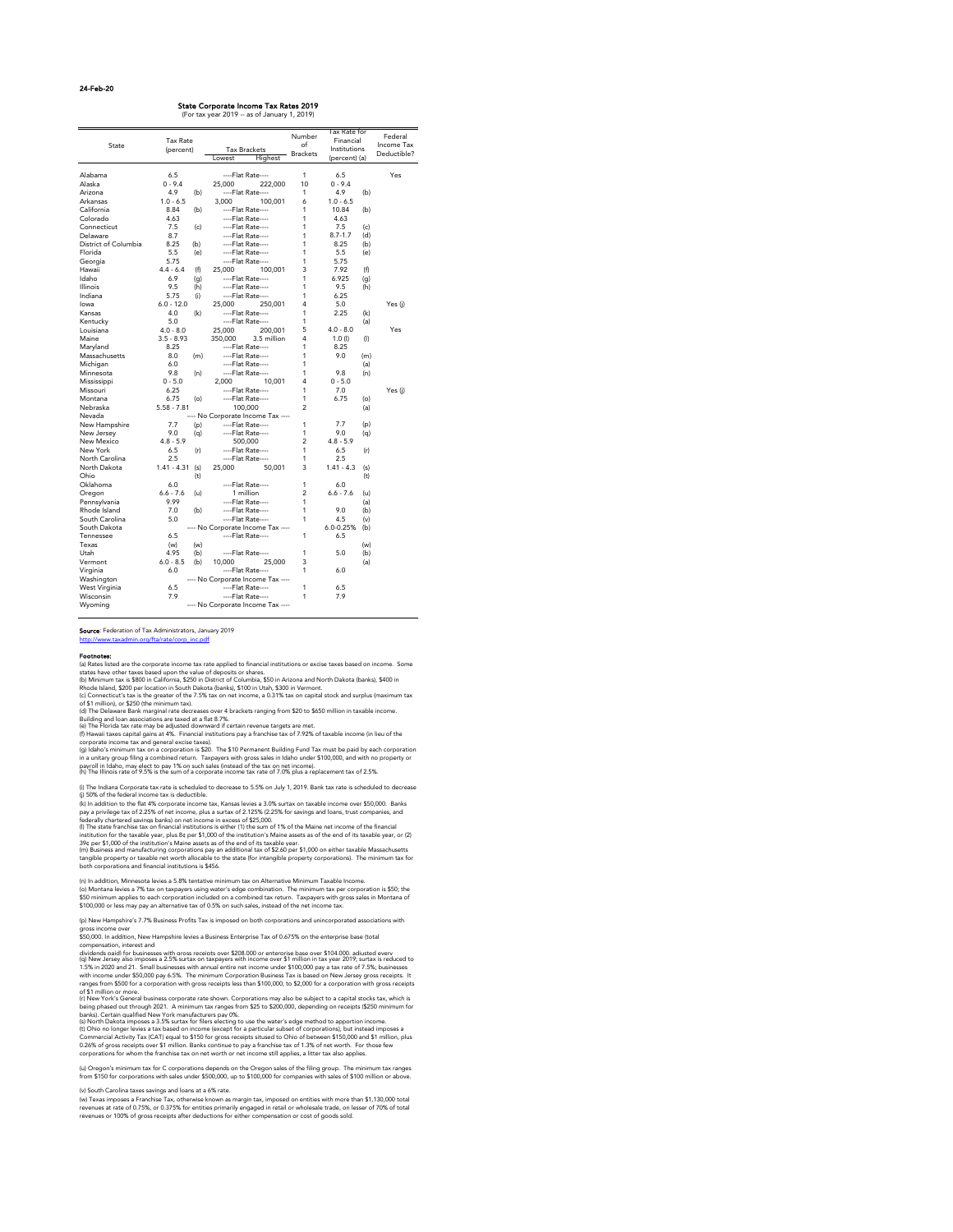#### 24-Feb-20

## Source: Federation of Tax Administrators, January 2019

[http://www.taxadmin.org/fta/rate/corp\\_inc.pdf](http://www.taxadmin.org/fta/rate/corp_inc.pdf)

#### Footnotes:

|                      |               |     |                                   | Number          | Tax Rate for  |           | Federal     |
|----------------------|---------------|-----|-----------------------------------|-----------------|---------------|-----------|-------------|
|                      | Tax Rate      |     |                                   | of              | Financial     |           |             |
| State                | (percent)     |     | <b>Tax Brackets</b>               |                 | Institutions  |           | Income Tax  |
|                      |               |     | Lowest<br>Highest                 | <b>Brackets</b> | (percent) (a) |           | Deductible? |
| Alabama              | 6.5           |     | ----Flat Rate----                 | 1               | 6.5           |           | Yes         |
| Alaska               | $0 - 9.4$     |     | 25,000<br>222,000                 | 10              | $0 - 9.4$     |           |             |
| Arizona              | 4.9           | (b) | ----Flat Rate----                 | 1               | 4.9           | (b)       |             |
| Arkansas             | $1.0 - 6.5$   |     | 3,000<br>100,001                  | 6               | $1.0 - 6.5$   |           |             |
| California           | 8.84          |     | ----Flat Rate----                 | 1               | 10.84         | (b)       |             |
| Colorado             | 4.63          | (b) |                                   | 1               |               |           |             |
|                      |               |     | ----Flat Rate----                 | 1               | 4.63          |           |             |
| Connecticut          | 7.5           | (c) | ----Flat Rate----                 |                 | 7.5           | (c)       |             |
| Delaware             | 8.7           |     | ----Flat Rate----                 | 1               | $8.7 - 1.7$   | (d)       |             |
| District of Columbia | 8.25          | (b) | ----Flat Rate----                 | 1               | 8.25          | (b)       |             |
| Florida              | 5.5           | (e) | ----Flat Rate----                 | 1               | 5.5           | (e)       |             |
| Georgia              | 5.75          |     | ----Flat Rate----                 | 1               | 5.75          |           |             |
| Hawaii               | $4.4 - 6.4$   | (f) | 25,000<br>100,001                 | 3               | 7.92          | (f)       |             |
| Idaho                | 6.9           | (g) | ----Flat Rate----                 | 1               | 6.925         | (g)       |             |
| Illinois             | 9.5           | (h) | ----Flat Rate----                 | 1               | 9.5           | (h)       |             |
| Indiana              | 5.75          | (i) | ----Flat Rate----                 | 1               | 6.25          |           |             |
| lowa                 | $6.0 - 12.0$  |     | 25,000<br>250,001                 | 4               | 5.0           |           | Yes (j)     |
| Kansas               | 4.0           | (k) | ----Flat Rate----                 | 1               | 2.25          | (k)       |             |
| Kentucky             | 5.0           |     | ----Flat Rate----                 | 1               |               | (a)       |             |
| Louisiana            | $4.0 - 8.0$   |     | 200,001<br>25,000                 | 5               | $4.0 - 8.0$   |           | Yes         |
| Maine                | $3.5 - 8.93$  |     | 3.5 million<br>350,000            | 4               | 1.0 (I)       | $($ l $)$ |             |
| Maryland             | 8.25          |     | ----Flat Rate----                 | 1               | 8.25          |           |             |
| Massachusetts        | 8.0           | (m) | ----Flat Rate----                 | 1               | 9.0           | (m)       |             |
| Michigan             | 6.0           |     | ----Flat Rate----                 | 1               |               | (a)       |             |
| Minnesota            | 9.8           | (n) | ----Flat Rate----                 | 1               | 9.8           | (n)       |             |
| Mississippi          | $0 - 5.0$     |     | 2,000<br>10,001                   | 4               | $0 - 5.0$     |           |             |
| Missouri             | 6.25          |     | ----Flat Rate----                 | 1               | 7.0           |           | Yes (j)     |
| Montana              | 6.75          | (o) | ----Flat Rate----                 | 1               | 6.75          | (o)       |             |
| Nebraska             | $5.58 - 7.81$ |     | 100,000                           | $\overline{2}$  |               | (a)       |             |
| Nevada               |               |     | ---- No Corporate Income Tax ---- |                 |               |           |             |
| New Hampshire        | 7.7           | (p) | ----Flat Rate----                 | 1               | 7.7           | (p)       |             |
| New Jersey           | 9.0           | (q) | ----Flat Rate----                 | 1               | 9.0           | (q)       |             |
| New Mexico           | $4.8 - 5.9$   |     | 500,000                           | $\overline{c}$  | $4.8 - 5.9$   |           |             |
| New York             | 6.5           | (r) | ----Flat Rate----                 | 1               | 6.5           | (r)       |             |
| North Carolina       | 2.5           |     | ----Flat Rate----                 | 1               | 2.5           |           |             |
| North Dakota         | $1.41 - 4.31$ | (s) | 25,000<br>50,001                  | 3               | $1.41 - 4.3$  | (s)       |             |
| Ohio                 |               | (t) |                                   |                 |               | (t)       |             |
| Oklahoma             | 6.0           |     | ----Flat Rate----                 | 1               | 6.0           |           |             |
| Oregon               | $6.6 - 7.6$   | (u) | 1 million                         | $\overline{2}$  | $6.6 - 7.6$   | (u)       |             |
| Pennsylvania         | 9.99          |     | ----Flat Rate----                 | 1               |               | (a)       |             |
| Rhode Island         | 7.0           | (b) | ----Flat Rate----                 | 1               | 9.0           | (b)       |             |
| South Carolina       | 5.0           |     | ----Flat Rate----                 | 1               | 4.5           | (v)       |             |
| South Dakota         |               |     | ---- No Corporate Income Tax ---- |                 | 6.0-0.25%     | (b)       |             |
|                      |               |     | ----Flat Rate----                 | 1               | 6.5           |           |             |
| Tennessee<br>Texas   | 6.5<br>(w)    | (w) |                                   |                 |               |           |             |
|                      |               |     |                                   |                 |               | (w)       |             |
| Utah                 | 4.95          | (b) | ----Flat Rate----                 | 1               | 5.0           | (b)       |             |
| Vermont              | $6.0 - 8.5$   | (b) | 10,000<br>25,000                  | 3               |               | (a)       |             |
| Virginia             | 6.0           |     | ----Flat Rate----                 | 1               | 6.0           |           |             |
| Washington           |               |     | ---- No Corporate Income Tax ---- |                 |               |           |             |
| West Virginia        | 6.5           |     | ----Flat Rate----                 | 1               | 6.5           |           |             |
| Wisconsin            | 7.9           |     | ----Flat Rate----                 | 1               | 7.9           |           |             |
| Wyoming              |               |     | ---- No Corporate Income Tax ---- |                 |               |           |             |

#### State Corporate Income Tax Rates 2019

(For tax year 2019 -- as of January 1, 2019)

#### (v) South Carolina taxes savings and loans at a 6% rate.

(w) Texas imposes a Franchise Tax, otherwise known as margin tax, imposed on entities with more than \$1,130,000 total revenues at rate of 0.75%, or 0.375% for entities primarily engaged in retail or wholesale trade, on lesser of 70% of total revenues or 100% of gross receipts after deductions for either compensation or cost of goods sold.

(j) 50% of the federal income tax is deductible. (i) The Indiana Corporate tax rate is scheduled to decrease to 5.5% on July 1, 2019. Bank tax rate is scheduled to decrease

(k) In addition to the flat 4% corporate income tax, Kansas levies a 3.0% surtax on taxable income over \$50,000. Banks pay a privilege tax of 2.25% of net income, plus a surtax of 2.125% (2.25% for savings and loans, trust companies, and federally chartered savings banks) on net income in excess of \$25,000.

(l) The state franchise tax on financial institutions is either (1) the sum of 1% of the Maine net income of the financial institution for the taxable year, plus 8¢ per \$1,000 of the institution's Maine assets as of the end of its taxable year, or (2) 39¢ per \$1,000 of the institution's Maine assets as of the end of its taxable year.

(s) North Dakota imposes a 3.5% surtax for filers electing to use the water's edge method to apportion income. (t) Ohio no longer levies a tax based on income (except for a particular subset of corporations), but instead imposes a Commercial Activity Tax (CAT) equal to \$150 for gross receipts sitused to Ohio of between \$150,000 and \$1 million, plus 0.26% of gross receipts over \$1 million. Banks continue to pay a franchise tax of 1.3% of net worth. For those few corporations for whom the franchise tax on net worth or net income still applies, a litter tax also applies.

(m) Business and manufacturing corporations pay an additional tax of \$2.60 per \$1,000 on either taxable Massachusetts tangible property or taxable net worth allocable to the state (for intangible property corporations). The minimum tax for both corporations and financial institutions is \$456.

(a) Rates listed are the corporate income tax rate applied to financial institutions or excise taxes based on income. Some states have other taxes based upon the value of deposits or shares.

(b) Minimum tax is \$800 in California, \$250 in District of Columbia, \$50 in Arizona and North Dakota (banks), \$400 in Rhode Island, \$200 per location in South Dakota (banks), \$100 in Utah, \$300 in Vermont.

(u) Oregon's minimum tax for C corporations depends on the Oregon sales of the filing group. The minimum tax ranges from \$150 for corporations with sales under \$500,000, up to \$100,000 for companies with sales of \$100 million or above.

(c) Connecticut's tax is the greater of the 7.5% tax on net income, a 0.31% tax on capital stock and surplus (maximum tax of \$1 million), or \$250 (the minimum tax).

(d) The Delaware Bank marginal rate decreases over 4 brackets ranging from \$20 to \$650 million in taxable income. Building and loan associations are taxed at a flat 8.7%.

(e) The Florida tax rate may be adjusted downward if certain revenue targets are met.

(f) Hawaii taxes capital gains at 4%. Financial institutions pay a franchise tax of 7.92% of taxable income (in lieu of the corporate income tax and general excise taxes).

(g) Idaho's minimum tax on a corporation is \$20. The \$10 Permanent Building Fund Tax must be paid by each corporation in a unitary group filing a combined return. Taxpayers with gross sales in Idaho under \$100,000, and with no property or payroll in Idaho, may elect to pay 1% on such sales (instead of the tax on net income).

(h) The Illinois rate of 9.5% is the sum of a corporate income tax rate of 7.0% plus a replacement tax of 2.5%.

(n) In addition, Minnesota levies a 5.8% tentative minimum tax on Alternative Minimum Taxable Income. (o) Montana levies a 7% tax on taxpayers using water's edge combination. The minimum tax per corporation is \$50; the \$50 minimum applies to each corporation included on a combined tax return. Taxpayers with gross sales in Montana of \$100,000 or less may pay an alternative tax of 0.5% on such sales, instead of the net income tax.

(p) New Hampshire's 7.7% Business Profits Tax is imposed on both corporations and unincorporated associations with gross income over

\$50,000. In addition, New Hampshire levies a Business Enterprise Tax of 0.675% on the enterprise base (total compensation, interest and

dividends paid) for businesses with gross receipts over \$208,000 or enterprise base over \$104,000, adjusted every (q) New Jersey also imposes a 2.5% surtax on taxpayers with income over \$1 million in tax year 2019; surtax is reduced to 1.5% in 2020 and 21. Small businesses with annual entire net income under \$100,000 pay a tax rate of 7.5%; businesses with income under \$50,000 pay 6.5%. The minimum Corporation Business Tax is based on New Jersey gross receipts. It ranges from \$500 for a corporation with gross receipts less than \$100,000, to \$2,000 for a corporation with gross receipts of \$1 million or more.

(r) New York's General business corporate rate shown. Corporations may also be subject to a capital stocks tax, which is being phased out through 2021. A minimum tax ranges from \$25 to \$200,000, depending on receipts (\$250 minimum for banks). Certain qualified New York manufacturers pay 0%.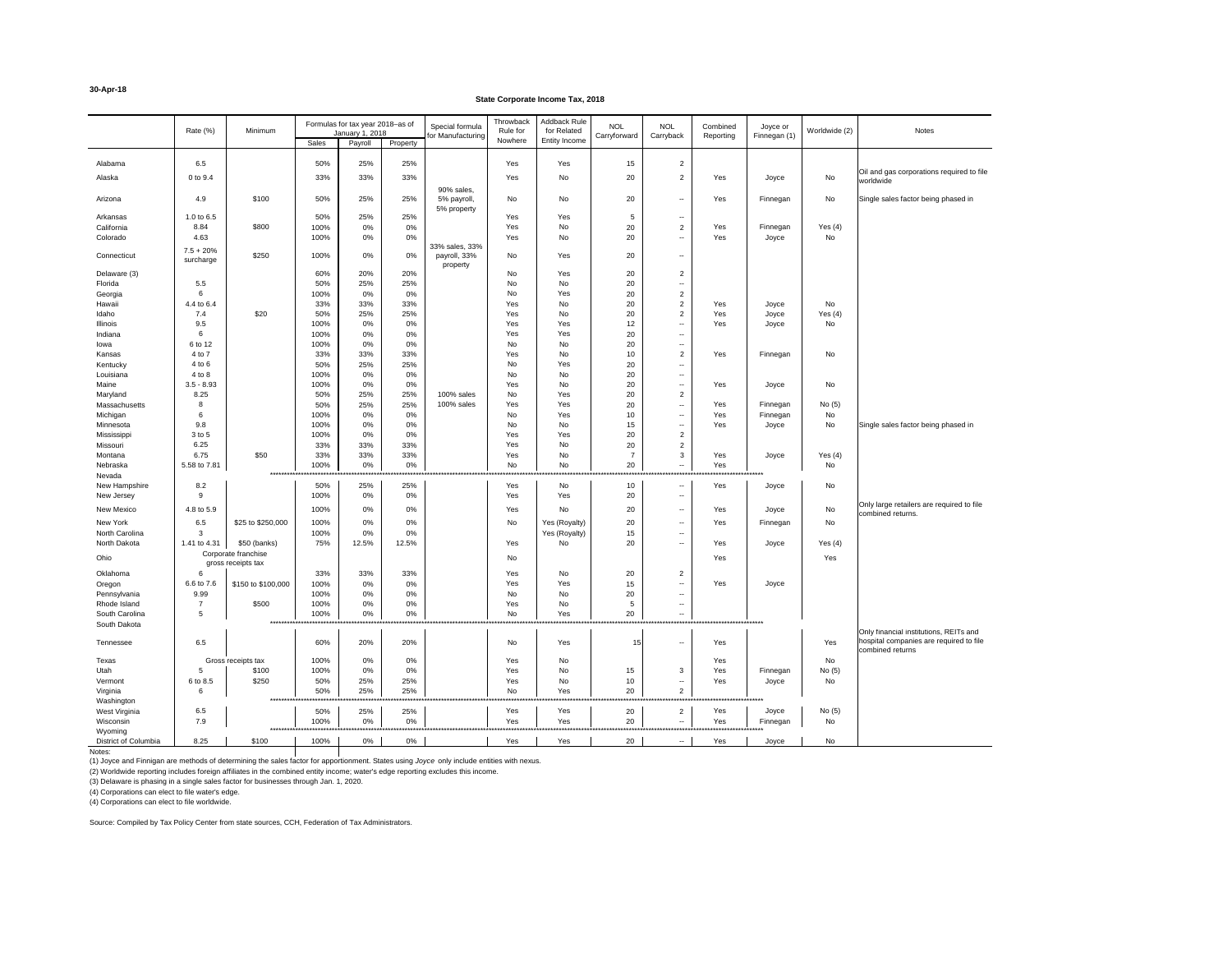### **State Corporate Income Tax, 2018**

(1) Joyce and Finnigan are methods of determining the sales factor for apportionment. States using *Joyce* only include entities with nexus.

(2) Worldwide reporting includes foreign affiliates in the combined entity income; water's edge reporting excludes this income.

(3) Delaware is phasing in a single sales factor for businesses through Jan. 1, 2020.

|                       | Rate (%)         | Minimum                                   |                                        | Formulas for tax year 2018-as of |              | Special formula   | Throwback<br>Rule for | Addback Rule<br>for Related     | <b>NOL</b>                          | <b>NOL</b>               | Combined                 | Joyce or     | Worldwide (2) | Notes                                                       |
|-----------------------|------------------|-------------------------------------------|----------------------------------------|----------------------------------|--------------|-------------------|-----------------------|---------------------------------|-------------------------------------|--------------------------|--------------------------|--------------|---------------|-------------------------------------------------------------|
|                       |                  |                                           | Sales                                  | January 1, 2018<br>Payroll       | Property     | for Manufacturing | Nowhere               | Entity Income                   | Carryforward                        | Carryback                | Reporting                | Finnegan (1) |               |                                                             |
|                       |                  |                                           |                                        |                                  |              |                   |                       |                                 |                                     |                          |                          |              |               |                                                             |
| Alabama               | 6.5              |                                           | 50%                                    | 25%                              | 25%          |                   | Yes                   | Yes                             | 15                                  | $\overline{2}$           |                          |              |               |                                                             |
| Alaska                | 0 to 9.4         |                                           | 33%                                    | 33%                              | 33%          |                   | Yes                   | No                              | 20                                  | $\overline{2}$           | Yes                      | Joyce        | No            | Oil and gas corporations required to file<br>worldwide      |
|                       |                  |                                           |                                        |                                  |              | 90% sales,        |                       |                                 |                                     |                          |                          |              |               |                                                             |
| Arizona               | 4.9              | \$100                                     | 50%                                    | 25%                              | 25%          | 5% payroll,       | No                    | No                              | 20                                  | $\sim$                   | Yes                      | Finnegan     | No            | Single sales factor being phased in                         |
| Arkansas              | 1.0 to 6.5       |                                           | 50%                                    | 25%                              | 25%          | 5% property       | Yes                   | Yes                             | $5\phantom{.0}$                     | $\sim$                   |                          |              |               |                                                             |
| California            | 8.84             | \$800                                     | 100%                                   | 0%                               | 0%           |                   | Yes                   | No                              | 20                                  | $\overline{2}$           | Yes                      | Finnegan     | Yes $(4)$     |                                                             |
| Colorado              | 4.63             |                                           | 100%                                   | 0%                               | 0%           |                   | Yes                   | No                              | 20                                  | $\sim$                   | Yes                      | Joyce        | No            |                                                             |
|                       | $7.5 + 20%$      |                                           |                                        |                                  |              | 33% sales, 33%    |                       |                                 |                                     |                          |                          |              |               |                                                             |
| Connecticut           | surcharge        | \$250                                     | 100%                                   | 0%                               | 0%           | payroll, 33%      | No.                   | Yes                             | 20                                  | $\sim$                   |                          |              |               |                                                             |
| Delaware (3)          |                  |                                           | 60%                                    | 20%                              | 20%          | property          | No                    | Yes                             | 20                                  | $\overline{2}$           |                          |              |               |                                                             |
| Florida               | 5.5              |                                           | 50%                                    | 25%                              | 25%          |                   | <b>No</b>             | No                              | 20                                  | $\sim$                   |                          |              |               |                                                             |
| Georgia               | 6                |                                           | 100%                                   | 0%                               | 0%           |                   | <b>No</b>             | Yes                             | 20                                  | $\overline{2}$           |                          |              |               |                                                             |
| Hawaii                | 4.4 to 6.4       |                                           | 33%                                    | 33%                              | 33%          |                   | Yes                   | No                              | 20                                  | $\overline{2}$           | Yes                      | Joyce        | No            |                                                             |
| Idaho                 | 7.4              | \$20                                      | 50%                                    | 25%                              | 25%          |                   | Yes                   | No                              | 20                                  | $\overline{2}$           | Yes                      | Joyce        | Yes $(4)$     |                                                             |
| Illinois              | 9.5              |                                           | 100%                                   | 0%                               | 0%           |                   | Yes                   | Yes                             | 12                                  | $\sim$                   | Yes                      | Joyce        | No            |                                                             |
| Indiana               | 6                |                                           | 100%                                   | 0%                               | 0%           |                   | Yes                   | Yes                             | 20                                  | $\sim$                   |                          |              |               |                                                             |
| lowa                  | 6 to 12          |                                           | 100%                                   | 0%                               | 0%           |                   | <b>No</b>             | No                              | 20                                  | $\sim$                   |                          |              |               |                                                             |
| Kansas                | 4 to 7           |                                           | 33%                                    | 33%                              | 33%          |                   | Yes                   | No                              | 10                                  | $\overline{2}$           | Yes                      | Finnegan     | No            |                                                             |
| Kentucky<br>Louisiana | 4 to 6<br>4 to 8 |                                           | 50%<br>100%                            | 25%                              | 25%          |                   | No.<br>No.            | Yes<br>No                       | 20                                  | $\sim$                   |                          |              |               |                                                             |
| Maine                 | $3.5 - 8.93$     |                                           | 100%                                   | $0\%$<br>0%                      | 0%<br>0%     |                   | Yes                   | No                              | 20<br>20                            | $\sim$<br>۰.             | Yes                      | Joyce        | No            |                                                             |
| Maryland              | 8.25             |                                           | 50%                                    | 25%                              | 25%          | 100% sales        | <b>No</b>             | Yes                             | 20                                  | $\overline{2}$           |                          |              |               |                                                             |
| Massachusetts         | 8                |                                           | 50%                                    | 25%                              | 25%          | 100% sales        | Yes                   | Yes                             | 20                                  | $\sim$                   | Yes                      | Finnegan     | No(5)         |                                                             |
| Michigan              | 6                |                                           | 100%                                   | $0\%$                            | 0%           |                   | <b>No</b>             | Yes                             | 10                                  | $\sim$                   | Yes                      | Finnegan     | No            |                                                             |
| Minnesota             | 9.8              |                                           | 100%                                   | $0\%$                            | 0%           |                   | <b>No</b>             | No                              | 15                                  | $\sim$                   | Yes                      | Joyce        | No            | Single sales factor being phased in                         |
| Mississippi           | 3 to 5           |                                           | 100%                                   | 0%                               | 0%           |                   | Yes                   | Yes                             | 20                                  | $\overline{2}$           |                          |              |               |                                                             |
| Missouri              | 6.25             |                                           | 33%                                    | 33%                              | 33%          |                   | Yes                   | No                              | 20                                  | $\overline{2}$           |                          |              |               |                                                             |
| Montana               | 6.75             | \$50                                      | 33%                                    | 33%                              | 33%          |                   | Yes                   | No                              | $\overline{7}$                      | $\mathbf{3}$             | Yes                      | Joyce        | Yes $(4)$     |                                                             |
| Nebraska              | 5.58 to 7.81     |                                           | 100%                                   | 0%                               | 0%           |                   | No                    | No                              | 20                                  | $\overline{\phantom{a}}$ | Yes                      |              | No            |                                                             |
| Nevada                |                  | *******                                   |                                        |                                  |              |                   |                       |                                 |                                     |                          |                          |              |               |                                                             |
| New Hampshire         | 8.2              |                                           | 50%                                    | 25%                              | 25%          |                   | Yes                   | No                              | 10                                  | $\sim$                   | Yes                      | Joyce        | No            |                                                             |
| New Jersey            | -9               |                                           | 100%                                   | $0\%$                            | 0%           |                   | Yes                   | Yes                             | 20                                  | $- -$ .                  |                          |              |               | Only large retailers are required to file                   |
| New Mexico            | 4.8 to 5.9       |                                           | 100%                                   | 0%                               | 0%           |                   | Yes                   | <b>No</b>                       | 20                                  | $\sim$                   | Yes                      | Joyce        | No            | combined returns.                                           |
| New York              | 6.5              | \$25 to \$250,000                         | 100%                                   | 0%                               | 0%           |                   | No                    | Yes (Royalty)                   | 20                                  | $\sim$                   | Yes                      | Finnegan     | No            |                                                             |
| North Carolina        | 3                |                                           | 100%                                   | 0%                               | 0%           |                   |                       | Yes (Royalty)                   | 15                                  | $\sim$                   |                          |              |               |                                                             |
| North Dakota          | 1.41 to 4.31     | \$50 (banks)                              | 75%                                    | 12.5%                            | 12.5%        |                   | Yes                   | No                              | 20                                  | $\sim$                   | Yes                      | Joyce        | Yes $(4)$     |                                                             |
| Ohio                  |                  | Corporate franchise<br>gross receipts tax |                                        |                                  |              |                   | No                    |                                 |                                     |                          | Yes                      |              | Yes           |                                                             |
| Oklahoma              | 6                |                                           | 33%                                    | 33%                              | 33%          |                   | Yes                   | No                              | 20                                  | $\overline{c}$           |                          |              |               |                                                             |
| Oregon                | 6.6 to 7.6       | \$150 to \$100,000                        | 100%                                   | 0%                               | 0%           |                   | Yes                   | Yes                             | 15                                  | $\overline{\phantom{a}}$ | Yes                      | Joyce        |               |                                                             |
| Pennsylvania          | 9.99             |                                           | 100%                                   | 0%                               | 0%           |                   | No.                   | <b>No</b>                       | 20                                  | $- -$                    |                          |              |               |                                                             |
| Rhode Island          | $\overline{7}$   | \$500                                     | 100%                                   | 0%                               | 0%           |                   | Yes                   | <b>No</b>                       | 5                                   | $\sim$                   |                          |              |               |                                                             |
| South Carolina        | -5               |                                           | 100%                                   | 0%                               | 0%           |                   | No.                   | Yes                             | 20                                  | $\overline{\phantom{a}}$ |                          |              |               |                                                             |
| South Dakota          |                  |                                           |                                        |                                  |              |                   |                       |                                 |                                     |                          |                          |              |               |                                                             |
|                       |                  |                                           |                                        |                                  |              |                   |                       |                                 |                                     |                          |                          |              |               | Only financial institutions, REITs and                      |
| Tennessee             | 6.5              |                                           | 60%                                    | 20%                              | 20%          |                   | No                    | Yes                             | 15                                  | $\sim$                   | Yes                      |              | Yes           | hospital companies are required to file<br>combined returns |
| Texas                 |                  | Gross receipts tax                        | 100%                                   | 0%                               | 0%           |                   | Yes                   | No                              |                                     |                          | Yes                      |              | No            |                                                             |
| Utah                  | .5               | \$100                                     | 100%                                   | 0%                               | 0%           |                   | Yes                   | No                              | 15                                  | 3                        | Yes                      | Finnegan     | No(5)         |                                                             |
| Vermont               | 6 to 8.5         | \$250                                     | 50%                                    | 25%                              | 25%          |                   | Yes                   | No                              | 10                                  | $\overline{\phantom{a}}$ | Yes                      | Joyce        | No            |                                                             |
| Virginia              | 6                |                                           | 50%                                    | 25%                              | 25%          |                   | No.                   | Yes                             | 20                                  | $\overline{2}$           |                          |              |               |                                                             |
| Washington            |                  |                                           | ************************               | ************                     | ************ |                   |                       |                                 | *********************************** | *************            | ***********************  |              |               |                                                             |
| West Virginia         | 6.5              |                                           | 50%                                    | 25%                              | 25%          |                   | Yes                   | Yes                             | 20                                  | $\overline{2}$           | Yes                      | Joyce        | No(5)         |                                                             |
| Wisconsin             | 7.9              |                                           | 100%<br>****************************** | 0%<br>***********                | 0%           |                   | Yes                   | Yes<br>************************ | 20<br>************                  | $- -$<br>**********      | Yes<br>***************** | Finnegan     | No            |                                                             |
| Wyoming               |                  |                                           |                                        |                                  |              |                   |                       |                                 |                                     |                          |                          |              |               |                                                             |
| District of Columbia  | 8.25             | \$100                                     | 100%                                   | 0%                               | 0%           |                   | Yes                   | Yes                             | 20                                  | $\sim$                   | Yes                      | Joyce        | No            |                                                             |

Notes:

(4) Corporations can elect to file water's edge.

(4) Corporations can elect to file worldwide.

Source: Compiled by Tax Policy Center from state sources, CCH, Federation of Tax Administrators.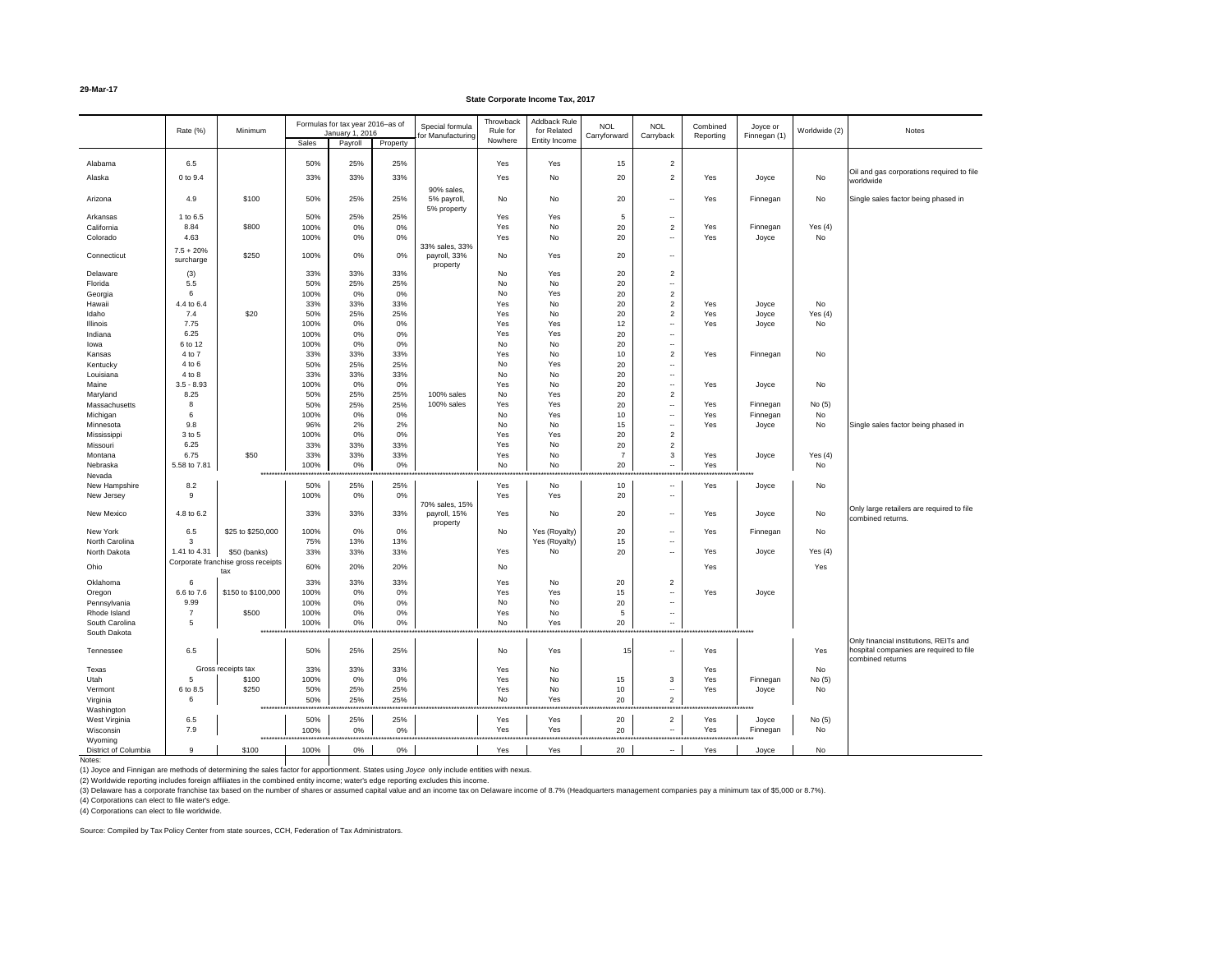#### **29-Mar-17**

#### **State Corporate Income Tax, 2017**

(3) Delaware has a corporate franchise tax based on the number of shares or assumed capital value and an income tax on Delaware income of 8.7% (Headquarters management companies pay a minimum tax of \$5,000 or 8.7%). (4) Corporations can elect to file water's edge.

Notes:

(1) Joyce and Finnigan are methods of determining the sales factor for apportionment. States using *Joyce* only include entities with nexus.

(2) Worldwide reporting includes foreign affiliates in the combined entity income; water's edge reporting excludes this income.

(4) Corporations can elect to file worldwide.

Source: Compiled by Tax Policy Center from state sources, CCH, Federation of Tax Administrators.

|                                | Rate (%)                 | Minimum                                   |                                     | Formulas for tax year 2016-as of<br>January 1, 2016 |                   | Special formula<br>for Manufacturing       | Throwback<br>Rule for<br>Nowhere | Addback Rule<br>for Related<br>Entity Income | <b>NOL</b><br>Carryforward               | <b>NOL</b><br>Carryback   | Combined<br>Reporting      | Joyce or<br>Finnegan (1) | Worldwide (2) | Notes                                                                                                 |
|--------------------------------|--------------------------|-------------------------------------------|-------------------------------------|-----------------------------------------------------|-------------------|--------------------------------------------|----------------------------------|----------------------------------------------|------------------------------------------|---------------------------|----------------------------|--------------------------|---------------|-------------------------------------------------------------------------------------------------------|
|                                |                          |                                           | <b>Sales</b>                        | Payroll                                             | Property          |                                            |                                  |                                              |                                          |                           |                            |                          |               |                                                                                                       |
| Alabama                        | 6.5                      |                                           | 50%                                 | 25%                                                 | 25%               |                                            | Yes                              | Yes                                          | 15                                       | $\overline{2}$            |                            |                          |               |                                                                                                       |
| Alaska                         | 0 to 9.4                 |                                           | 33%                                 | 33%                                                 | 33%               |                                            | Yes                              | No                                           | 20                                       | $\overline{2}$            | Yes                        | Joyce                    | No            | Oil and gas corporations required to file<br>worldwide                                                |
| Arizona                        | 4.9                      | \$100                                     | 50%                                 | 25%                                                 | 25%               | 90% sales,<br>5% payroll<br>5% property    | No                               | No                                           | 20                                       | $\sim$                    | Yes                        | Finnegan                 | No            | Single sales factor being phased in                                                                   |
| Arkansas                       | 1 to 6.5                 |                                           | 50%                                 | 25%                                                 | 25%               |                                            | Yes                              | Yes                                          | 5                                        | $\sim$                    |                            |                          |               |                                                                                                       |
| California                     | 8.84                     | \$800                                     | 100%                                | 0%                                                  | 0%                |                                            | Yes                              | No                                           | 20                                       | $\overline{2}$            | Yes                        | Finnegan                 | Yes $(4)$     |                                                                                                       |
| Colorado                       | 4.63                     |                                           | 100%                                | 0%                                                  | 0%                |                                            | Yes                              | No                                           | 20                                       | $\sim$                    | Yes                        | Joyce                    | No            |                                                                                                       |
| Connecticut                    | $7.5 + 20%$<br>surcharge | \$250                                     | 100%                                | 0%                                                  | 0%                | 33% sales, 33%<br>payroll, 33%<br>property | No                               | Yes                                          | 20                                       | $\sim$                    |                            |                          |               |                                                                                                       |
| Delaware                       | (3)                      |                                           | 33%                                 | 33%                                                 | 33%               |                                            | No                               | Yes                                          | 20                                       | $\overline{2}$            |                            |                          |               |                                                                                                       |
| Florida                        | 5.5                      |                                           | 50%                                 | 25%                                                 | 25%               |                                            | No                               | No                                           | 20                                       | $\sim$                    |                            |                          |               |                                                                                                       |
| Georgia                        | 6                        |                                           | 100%                                | 0%                                                  | 0%                |                                            | No                               | Yes                                          | 20                                       | $\overline{2}$            |                            |                          |               |                                                                                                       |
| Hawaii                         | 4.4 to 6.4               |                                           | 33%                                 | 33%                                                 | 33%               |                                            | Yes                              | No                                           | 20                                       | $\overline{2}$            | Yes                        | Joyce                    | No            |                                                                                                       |
| Idaho                          | 7.4                      | \$20                                      | 50%                                 | 25%                                                 | 25%               |                                            | Yes                              | No                                           | 20                                       | $\overline{2}$            | Yes                        | Joyce                    | Yes $(4)$     |                                                                                                       |
| Illinois                       | 7.75                     |                                           | 100%                                | 0%                                                  | 0%                |                                            | Yes                              | Yes                                          | 12                                       | $\sim$                    | Yes                        | Joyce                    | No            |                                                                                                       |
| Indiana                        | 6.25                     |                                           | 100%                                | 0%                                                  | $0\%$             |                                            | Yes                              | Yes                                          | 20                                       | $\sim$                    |                            |                          |               |                                                                                                       |
| lowa                           | 6 to 12                  |                                           | 100%                                | 0%                                                  | 0%                |                                            | No                               | No                                           | 20                                       | $\sim$                    |                            |                          |               |                                                                                                       |
| Kansas                         | 4 to 7<br>4 to 6         |                                           | 33%<br>50%                          | 33%<br>25%                                          | 33%<br>25%        |                                            | Yes<br>No                        | No<br>Yes                                    | 10                                       | $\overline{2}$            | Yes                        | Finnegan                 | No            |                                                                                                       |
| Kentucky<br>Louisiana          | 4 to 8                   |                                           | 33%                                 | 33%                                                 | 33%               |                                            | No                               | No                                           | 20<br>20                                 | $\sim$<br>$- -$ .         |                            |                          |               |                                                                                                       |
| Maine                          | $3.5 - 8.93$             |                                           | 100%                                | 0%                                                  | $0\%$             |                                            | Yes                              | No                                           | 20                                       | $\sim$                    | Yes                        | Joyce                    | No            |                                                                                                       |
| Maryland                       | 8.25                     |                                           | 50%                                 | 25%                                                 | 25%               | 100% sales                                 | No                               | Yes                                          | 20                                       | $\overline{2}$            |                            |                          |               |                                                                                                       |
| Massachusetts                  | 8                        |                                           | 50%                                 | 25%                                                 | 25%               | 100% sales                                 | Yes                              | Yes                                          | 20                                       | $\sim$                    | Yes                        | Finnegan                 | No $(5)$      |                                                                                                       |
| Michigan                       | 6                        |                                           | 100%                                | 0%                                                  | 0%                |                                            | <b>No</b>                        | Yes                                          | 10                                       | $\sim$                    | Yes                        | Finnegan                 | No            |                                                                                                       |
| Minnesota                      | 9.8                      |                                           | 96%                                 | 2%                                                  | 2%                |                                            | No                               | No                                           | 15                                       | $\sim$                    | Yes                        | Joyce                    | No            | Single sales factor being phased in                                                                   |
| Mississippi                    | 3 to 5                   |                                           | 100%                                | 0%                                                  | $0\%$             |                                            | Yes                              | Yes                                          | 20                                       | $\overline{2}$            |                            |                          |               |                                                                                                       |
| Missouri                       | 6.25                     |                                           | 33%                                 | 33%                                                 | 33%               |                                            | Yes                              | No                                           | 20                                       | $\overline{2}$            |                            |                          |               |                                                                                                       |
| Montana                        | 6.75                     | \$50                                      | 33%                                 | 33%                                                 | 33%               |                                            | Yes                              | No                                           | $\overline{7}$                           | $\mathbf{3}$              | Yes                        | Joyce                    | Yes $(4)$     |                                                                                                       |
| Nebraska                       | 5.58 to 7.81             |                                           | 100%                                | 0%                                                  | 0%                |                                            | No                               | No                                           | 20                                       | $\sim$                    | Yes                        |                          | No            |                                                                                                       |
| Nevada                         |                          | ****                                      |                                     |                                                     |                   |                                            |                                  |                                              |                                          |                           |                            |                          |               |                                                                                                       |
| New Hampshire                  | 8.2                      |                                           | 50%                                 | 25%                                                 | 25%               |                                            | Yes                              | No                                           | 10                                       | $\sim$                    | Yes                        | Joyce                    | No            |                                                                                                       |
| New Jersey                     | 9                        |                                           | 100%                                | $0\%$                                               | 0%                | 70% sales, 15%                             | Yes                              | Yes                                          | 20                                       | $\sim$                    |                            |                          |               |                                                                                                       |
| New Mexico                     | 4.8 to 6.2               |                                           | 33%                                 | 33%                                                 | 33%               | payroll, 15%<br>property                   | Yes                              | No                                           | 20                                       | $\sim$                    | Yes                        | Joyce                    | No            | Only large retailers are required to file<br>combined returns.                                        |
| New York                       | 6.5                      | \$25 to \$250,000                         | 100%                                | 0%                                                  | 0%                |                                            | No                               | Yes (Royalty)                                | 20                                       | $\sim$                    | Yes                        | Finnegan                 | No            |                                                                                                       |
| North Carolina                 | 3                        |                                           | 75%                                 | 13%                                                 | 13%               |                                            |                                  | Yes (Royalty)                                | 15                                       | $\sim$                    |                            |                          |               |                                                                                                       |
| North Dakota                   | 1.41 to 4.31             | \$50 (banks)                              | 33%                                 | 33%                                                 | 33%               |                                            | Yes                              | No                                           | 20                                       | $- -$                     | Yes                        | Joyce                    | Yes $(4)$     |                                                                                                       |
| Ohio                           |                          | Corporate franchise gross receipts<br>tax | 60%                                 | 20%                                                 | 20%               |                                            | No                               |                                              |                                          |                           | Yes                        |                          | Yes           |                                                                                                       |
| Oklahoma                       | 6                        |                                           | 33%                                 | 33%                                                 | 33%               |                                            | Yes                              | No                                           | 20                                       | $\overline{c}$            |                            |                          |               |                                                                                                       |
| Oregon                         | 6.6 to 7.6               | \$150 to \$100,000                        | 100%                                | 0%                                                  | 0%                |                                            | Yes                              | Yes                                          | 15                                       | $\sim$                    | Yes                        | Joyce                    |               |                                                                                                       |
| Pennsylvania                   | 9.99                     |                                           | 100%                                | 0%                                                  | $0\%$             |                                            | No                               | No                                           | 20                                       | $\overline{\phantom{a}}$  |                            |                          |               |                                                                                                       |
| Rhode Island<br>South Carolina | $\overline{7}$<br>.5     | \$500                                     | 100%                                | 0%                                                  | 0%                |                                            | Yes                              | No<br>Yes                                    | 5                                        | $\sim$                    |                            |                          |               |                                                                                                       |
| South Dakota                   |                          |                                           | 100%<br>*************************** | 0%<br>*************                                 | 0%                |                                            | No                               |                                              | 20<br>********************************** | $- -$                     |                            |                          |               |                                                                                                       |
| Tennessee                      | 6.5                      |                                           | 50%                                 | 25%                                                 | 25%               |                                            | No                               | Yes                                          | 15                                       | $\sim$                    | Yes                        |                          | Yes           | Only financial institutions, REITs and<br>hospital companies are required to file<br>combined returns |
| Texas                          |                          | Gross receipts tax                        | 33%                                 | 33%                                                 | 33%               |                                            | Yes                              | No                                           |                                          |                           | Yes                        |                          | No            |                                                                                                       |
| Utah                           | .5                       | \$100                                     | 100%                                | 0%                                                  | 0%                |                                            | Yes                              | No                                           | 15                                       | 3                         | Yes                        | Finnegan                 | No(5)         |                                                                                                       |
| Vermont                        | 6 to 8.5                 | \$250                                     | 50%                                 | 25%                                                 | 25%               |                                            | Yes                              | No                                           | 10                                       | $\sim$                    | Yes                        | Joyce                    | No            |                                                                                                       |
| Virginia                       | 6                        |                                           | 50%                                 | 25%                                                 | 25%               |                                            | No                               | Yes                                          | 20                                       | $\overline{2}$            |                            |                          |               |                                                                                                       |
| Washington                     |                          |                                           | **************************          | **************                                      |                   |                                            |                                  | ********                                     | ************<br><b></b>                  | *********                 | ***********************    |                          |               |                                                                                                       |
| West Virginia                  | 6.5                      |                                           | 50%                                 | 25%                                                 | 25%               |                                            | Yes                              | Yes                                          | 20                                       | $\overline{2}$            | Yes                        | Joyce                    | No $(5)$      |                                                                                                       |
| Wisconsin                      | 7.9                      |                                           | 100%<br>***********************     | 0%<br>*************                                 | 0%<br>*********** | ******************                         | Yes<br>*************             | Yes                                          | 20<br>*********                          | $\sim$<br>*************** | Yes<br>******************* | Finnegan                 | No            |                                                                                                       |
| Wyoming                        |                          |                                           |                                     |                                                     |                   |                                            |                                  |                                              | 20                                       |                           |                            |                          |               |                                                                                                       |
| District of Columbia           | 9                        | \$100                                     | 100%                                | 0%                                                  | 0%                |                                            | Yes                              | Yes                                          |                                          | $- -$ .                   | Yes                        | Joyce                    | No            |                                                                                                       |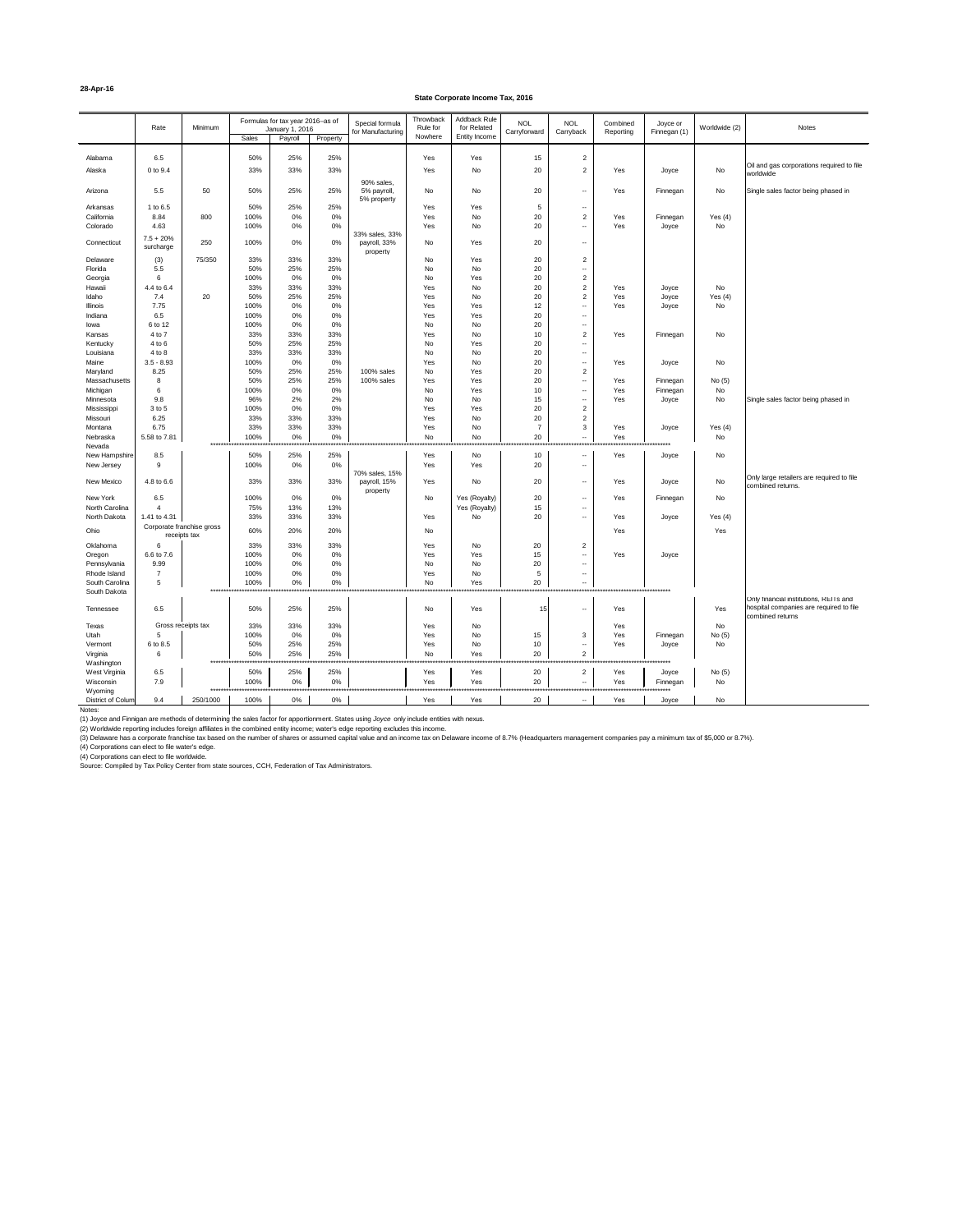#### **28-Apr-16**

#### **State Corporate Income Tax, 2016**

|                                | Rate                                      | Minimum       |                                     | Formulas for tax year 2016-as of |              | Special formula                       | Throwback<br>Rule for | Addback Rule<br>for Related | <b>NOL</b>      | <b>NOL</b>                                                         | Combined                      | Joyce or     | Worldwide (2) | Notes                                                                                                 |
|--------------------------------|-------------------------------------------|---------------|-------------------------------------|----------------------------------|--------------|---------------------------------------|-----------------------|-----------------------------|-----------------|--------------------------------------------------------------------|-------------------------------|--------------|---------------|-------------------------------------------------------------------------------------------------------|
|                                |                                           |               | Sales                               | January 1, 2016<br>Payroll       | Property     | for Manufacturing                     | Nowhere               | Entity Income               | Carryforward    | Carryback                                                          | Reporting                     | Finnegan (1) |               |                                                                                                       |
|                                |                                           |               |                                     |                                  |              |                                       |                       |                             |                 |                                                                    |                               |              |               |                                                                                                       |
| Alabama                        | 6.5                                       |               | 50%                                 | 25%                              | 25%          |                                       | Yes                   | Yes                         | 15              | $\overline{2}$                                                     |                               |              |               | Oil and gas corporations required to file                                                             |
| Alaska                         | 0 to 9.4                                  |               | 33%                                 | 33%                              | 33%          |                                       | Yes                   | No                          | 20              | $\overline{2}$                                                     | Yes                           | Joyce        | No            | worldwide                                                                                             |
|                                |                                           |               |                                     |                                  |              | 90% sales,                            |                       |                             |                 |                                                                    |                               |              |               |                                                                                                       |
| Arizona                        | 5.5                                       | 50            | 50%                                 | 25%                              | 25%          | 5% payroll,                           | No                    | No                          | 20              | $\overline{\phantom{a}}$                                           | Yes                           | Finnegan     | No            | Single sales factor being phased in                                                                   |
| Arkansas                       | 1 to 6.5                                  |               | 50%                                 | 25%                              | 25%          | 5% property                           | Yes                   | Yes                         | 5               | ۰.                                                                 |                               |              |               |                                                                                                       |
| California                     | 8.84                                      | 800           | 100%                                | 0%                               | 0%           |                                       | Yes                   | No                          | $20\,$          | $\overline{2}$                                                     | Yes                           | Finnegan     | Yes $(4)$     |                                                                                                       |
| Colorado                       | 4.63                                      |               | 100%                                | 0%                               | 0%           |                                       | Yes                   | No                          | 20              | $\overline{\phantom{a}}$                                           | Yes                           | Joyce        | $\mathsf{No}$ |                                                                                                       |
| Connecticut                    | $7.5 + 20%$<br>surcharge                  | 250           | 100%                                | 0%                               | 0%           | 33% sales, 33%<br>payroll, 33%        | No                    | Yes                         | 20              | ۰.                                                                 |                               |              |               |                                                                                                       |
| Delaware                       | (3)                                       | 75/350        | 33%                                 | 33%                              | 33%          | property                              | No                    | Yes                         | 20              | $\overline{2}$                                                     |                               |              |               |                                                                                                       |
| Florida                        | 5.5                                       |               | 50%                                 | 25%                              | 25%          |                                       | No                    | No                          | 20              | $\overline{\phantom{a}}$                                           |                               |              |               |                                                                                                       |
| Georgia                        | 6                                         |               | 100%                                | 0%                               | 0%           |                                       | No                    | Yes                         | 20              | $\sqrt{2}$                                                         |                               |              |               |                                                                                                       |
| Hawaii                         | 4.4 to 6.4                                |               | 33%                                 | 33%                              | 33%          |                                       | Yes                   | No                          | 20              | $\sqrt{2}$                                                         | Yes                           | Joyce        | No            |                                                                                                       |
| Idaho                          | 7.4                                       | 20            | 50%                                 | 25%                              | 25%          |                                       | Yes                   | No                          | 20              | $\overline{2}$                                                     | Yes                           | Joyce        | Yes $(4)$     |                                                                                                       |
| <b>Illinois</b>                | 7.75                                      |               | 100%                                | 0%                               | $0\%$        |                                       | Yes                   | Yes                         | 12              | $\overline{\phantom{a}}$                                           | Yes                           | Joyce        | $\mathsf{No}$ |                                                                                                       |
| Indiana                        | 6.5                                       |               | 100%                                | 0%                               | $0\%$        |                                       | Yes                   | Yes                         | $20\,$          | $\mathord{\hspace{1pt}\text{--}\hspace{1pt}}$                      |                               |              |               |                                                                                                       |
| lowa                           | 6 to 12<br>4 to 7                         |               | 100%<br>33%                         | 0%<br>33%                        | $0\%$<br>33% |                                       | No<br>Yes             | No<br>No                    | $20\,$<br>10    | $\mathord{\hspace{1pt}\text{--}\hspace{1pt}}$<br>$\overline{2}$    | Yes                           |              | $\mathsf{No}$ |                                                                                                       |
| Kansas<br>Kentucky             | 4 to 6                                    |               | 50%                                 | 25%                              | 25%          |                                       | No                    | Yes                         | 20              | $\overline{\phantom{a}}$                                           |                               | Finnegan     |               |                                                                                                       |
| Louisiana                      | 4 to 8                                    |               | 33%                                 | 33%                              | 33%          |                                       | No                    | No                          | 20              | $\overline{\phantom{a}}$                                           |                               |              |               |                                                                                                       |
| Maine                          | $3.5 - 8.93$                              |               | 100%                                | 0%                               | 0%           |                                       | Yes                   | No                          | 20              | $\overline{\phantom{a}}$                                           | Yes                           | Joyce        | No            |                                                                                                       |
| Maryland                       | 8.25                                      |               | 50%                                 | 25%                              | 25%          | 100% sales                            | No                    | Yes                         | 20              | $\overline{2}$                                                     |                               |              |               |                                                                                                       |
| Massachusetts                  | 8                                         |               | 50%                                 | 25%                              | 25%          | 100% sales                            | Yes                   | Yes                         | 20              | $\sim$                                                             | Yes                           | Finnegan     | No(5)         |                                                                                                       |
| Michigan                       | 6                                         |               | 100%                                | 0%                               | $0\%$        |                                       | <b>No</b>             | Yes                         | 10 <sup>1</sup> | $\overline{\phantom{a}}$                                           | Yes                           | Finnegan     | No            |                                                                                                       |
| Minnesota                      | 9.8                                       |               | 96%                                 | 2%                               | 2%           |                                       | No                    | No                          | 15              | $\overline{\phantom{a}}$                                           | Yes                           | Joyce        | No            | Single sales factor being phased in                                                                   |
| Mississippi                    | 3 to 5                                    |               | 100%                                | 0%                               | $0\%$        |                                       | Yes                   | Yes                         | 20              | $\overline{2}$                                                     |                               |              |               |                                                                                                       |
| Missouri                       | 6.25                                      |               | 33%                                 | 33%                              | 33%          |                                       | Yes                   | No                          | $20\,$          | $\overline{c}$                                                     |                               |              |               |                                                                                                       |
| Montana                        | 6.75                                      |               | 33%                                 | 33%                              | 33%          |                                       | Yes                   | No                          | $\overline{7}$  | 3                                                                  | Yes                           | Joyce        | Yes $(4)$     |                                                                                                       |
| Nebraska<br>Nevada             | 5.58 to 7.81                              |               | 100%<br>*************************** | 0%                               | 0%           | ********************************      | No<br>**************  | No<br>********************  | 20              | $\mathord{\hspace{1pt}\text{--}\hspace{1pt}}$<br>************      | Yes<br>********************** |              | No            |                                                                                                       |
| New Hampshire                  | 8.5                                       |               | 50%                                 | 25%                              | 25%          |                                       | Yes                   | No                          | 10              | $\mathord{\hspace{1pt}\text{--}\hspace{1pt}}$                      | Yes                           | Joyce        | No            |                                                                                                       |
| New Jersey                     | 9                                         |               | 100%                                | 0%                               | 0%           |                                       | Yes                   | Yes                         | 20              | $\overline{\phantom{a}}$                                           |                               |              |               |                                                                                                       |
|                                |                                           |               |                                     |                                  |              | 70% sales, 15%                        |                       |                             |                 |                                                                    |                               |              |               | Only large retailers are required to file                                                             |
| New Mexico                     | 4.8 to 6.6                                |               | 33%                                 | 33%                              | 33%          | payroll, 15%                          | Yes                   | No                          | 20              | $\mathord{\hspace{1pt}\text{--}\hspace{1pt}}$                      | Yes                           | Joyce        | No            | combined returns.                                                                                     |
| New York                       | 6.5                                       |               | 100%                                | $0\%$                            | 0%           | property                              | No                    | Yes (Royalty)               | 20              | $\mathord{\hspace{1pt}\text{--}\hspace{1pt}}$                      | Yes                           | Finnegan     | No            |                                                                                                       |
| North Carolina                 |                                           |               | 75%                                 | 13%                              | 13%          |                                       |                       | Yes (Royalty)               | 15              | $\mathord{\hspace{1pt}\text{--}\hspace{1pt}}$                      |                               |              |               |                                                                                                       |
| North Dakota                   | 1.41 to 4.31                              |               | 33%                                 | 33%                              | 33%          |                                       | Yes                   | No                          | 20              | $\sim$                                                             | Yes                           | Joyce        | Yes $(4)$     |                                                                                                       |
| Ohio                           | Corporate franchise gross<br>receipts tax |               | 60%                                 | 20%                              | 20%          |                                       | No                    |                             |                 |                                                                    | Yes                           |              | Yes           |                                                                                                       |
| Oklahoma                       | 6                                         |               | 33%                                 | 33%                              | 33%          |                                       | Yes                   | No                          | 20              | $\overline{2}$                                                     |                               |              |               |                                                                                                       |
| Oregon                         | 6.6 to 7.6                                |               | 100%                                | 0%                               | 0%           |                                       | Yes                   | Yes                         | 15              | $\overline{\phantom{a}}$                                           | Yes                           | Joyce        |               |                                                                                                       |
| Pennsylvania                   | 9.99<br>$\overline{7}$                    |               | 100%                                | 0%                               | $0\%$        |                                       | No                    | No                          | 20              | $\overline{\phantom{a}}$                                           |                               |              |               |                                                                                                       |
| Rhode Island<br>South Carolina | $5\overline{)}$                           |               | 100%<br>100%                        | 0%<br>0%                         | 0%<br>$0\%$  |                                       | Yes<br>No             | No<br>Yes                   | 5<br>20         | $\overline{\phantom{a}}$<br>$\sim$                                 |                               |              |               |                                                                                                       |
| South Dakota                   |                                           |               | *********************               | *********                        | *******      | ************************************* |                       | $******$                    |                 |                                                                    |                               |              |               |                                                                                                       |
| Tennessee                      | 6.5                                       |               | 50%                                 | 25%                              | 25%          |                                       | No                    | Yes                         | 15              | $\mathord{\hspace{1pt}\text{--}\hspace{1pt}}$                      | Yes                           |              | Yes           | Only financial institutions, REITs and<br>hospital companies are required to file<br>combined returns |
| Texas                          | Gross receipts tax                        |               | 33%                                 | 33%                              | 33%          |                                       | Yes                   | No                          |                 |                                                                    | Yes                           |              | No            |                                                                                                       |
| Utah                           | 5                                         |               | 100%                                | 0%                               | 0%           |                                       | Yes                   | No                          | 15              | 3                                                                  | Yes                           | Finnegan     | No(5)         |                                                                                                       |
| Vermont                        | 6 to 8.5                                  |               | 50%                                 | 25%                              | 25%          |                                       | Yes                   | <b>No</b>                   | 10 <sup>1</sup> | $\mathord{\hspace{1pt}\text{--}\hspace{1pt}}$                      | Yes                           | Joyce        | No            |                                                                                                       |
| Virginia                       | 6                                         |               | 50%                                 | 25%                              | 25%          |                                       | No                    | Yes                         | 20              | $\overline{2}$                                                     |                               |              |               |                                                                                                       |
| Washington                     |                                           | ************* | ****************                    | ***********                      |              | ************************************* | ****************      | *******                     |                 | ***********<br>***************                                     | ************************      |              |               |                                                                                                       |
| West Virginia                  | 6.5                                       |               | 50%                                 | 25%                              | 25%          |                                       | Yes                   | Yes                         | 20              | $\overline{2}$                                                     | Yes                           | Joyce        | No(5)         |                                                                                                       |
| Wisconsin<br>Wyoming           | 7.9                                       |               | 100%<br>******************          | $0\%$                            | 0%           |                                       | Yes                   | Yes                         | 20<br>******    | $\mathord{\hspace{1pt}\text{--}\hspace{1pt}}$<br>***************** | Yes<br>*********************  | Finnegan     | No            |                                                                                                       |
| District of Colum              | 9.4                                       | 250/1000      | 100%                                | 0%                               | 0%           |                                       | Yes                   | Yes                         | 20              | $\sim$                                                             | Yes                           | Joyce        | No            |                                                                                                       |

Notes:

(1) Joyce and Finnigan are methods of determining the sales factor for apportionment. States using *Joyce* only include entities with nexus.

(2) Worldwide reporting includes foreign affiliates in the combined entity income; water's edge reporting excludes this income.

(3) Delaware has a corporate franchise tax based on the number of shares or assumed capital value and an income tax on Delaware income of 8.7% (Headquarters management companies pay a minimum tax of \$5,000 or 8.7%).

(4) Corporations can elect to file water's edge.

(4) Corporations can elect to file worldwide.

Source: Compiled by Tax Policy Center from state sources, CCH, Federation of Tax Administrators.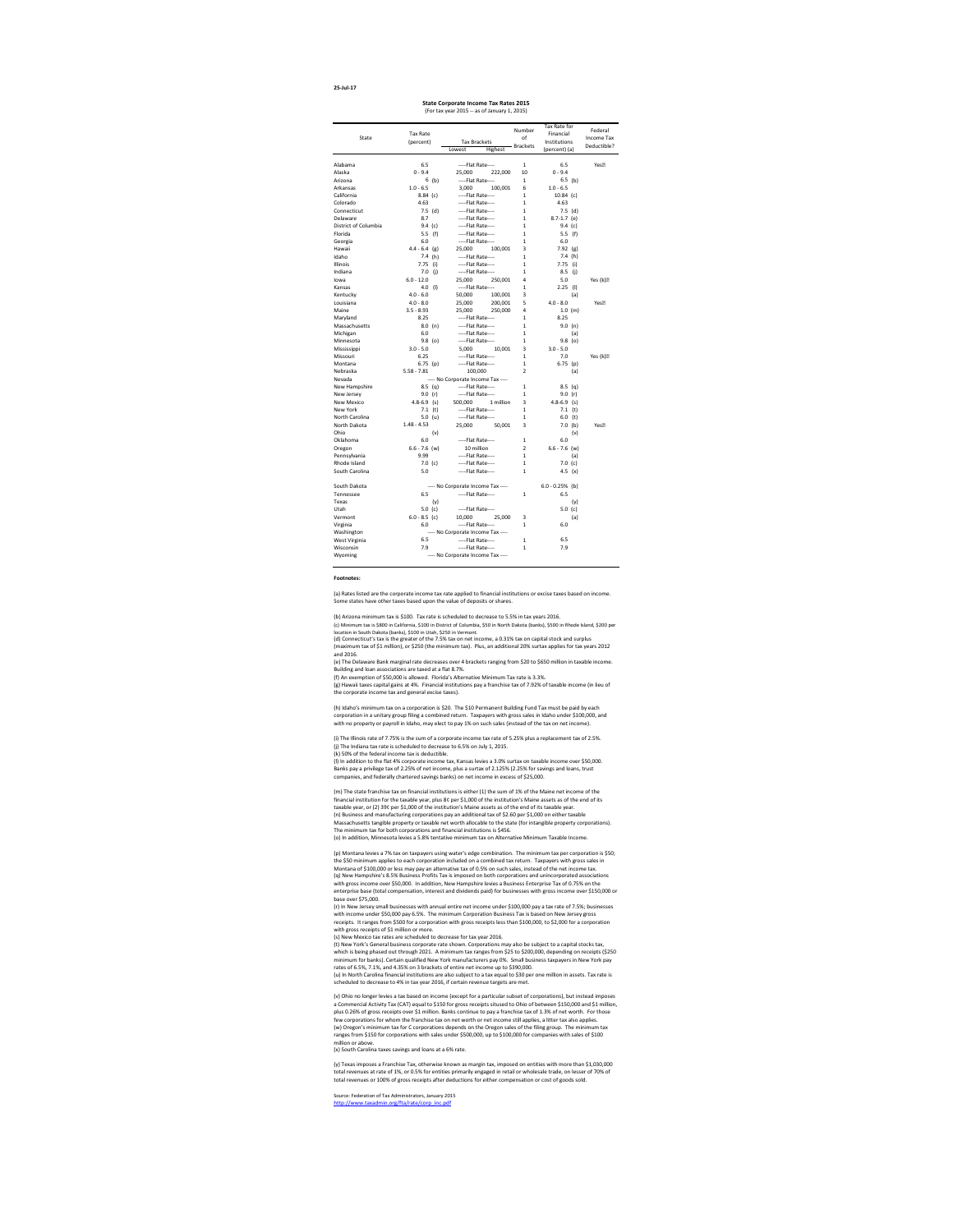#### **Footnotes:**

[http://www.taxadmin.org/fta/rate/corp\\_inc.pdf](http://www.taxadmin.org/fta/rate/corp_inc.pdf) Source: Federation of Tax Administrators, January 2015

(y) Texas imposes a Franchise Tax, otherwise known as margin tax, imposed on entities with more than \$1,030,000 total revenues at rate of 1%, or 0.5% for entities primarily engaged in retail or wholesale trade, on lesser of 70% of total revenues or 100% of gross receipts after deductions for either compensation or cost of goods sold.

(s) New Mexico tax rates are scheduled to decrease for tax year 2016. (t) New York's General business corporate rate shown. Corporations may also be subject to a capital stocks tax,

(w) Oregon's minimum tax for C corporations depends on the Oregon sales of the filing group. The minimum tax ranges from \$150 for corporations with sales under \$500,000, up to \$100,000 for companies with sales of \$100 million or above. (x) South Carolina taxes savings and loans at a 6% rate. (v) Ohio no longer levies a tax based on income (except for a particular subset of corporations), but instead imposes a Commercial Activity Tax (CAT) equal to \$150 for gross receipts sitused to Ohio of between \$150,000 and \$1 million, plus 0.26% of gross receipts over \$1 million. Banks continue to pay a franchise tax of 1.3% of net worth. For those few corporations for whom the franchise tax on net worth or net income still applies, a litter tax also applies.

which is being phased out through 2021. A minimum tax ranges from \$25 to \$200,000, depending on receipts (\$250 minimum for banks). Certain qualified New York manufacturers pay 0%. Small business taxpayers in New York pay rates of 6.5%, 7.1%, and 4.35% on 3 brackets of entire net income up to \$390,000. (u) In North Carolina financial institutions are also subject to a tax equal to \$30 per one million in assets. Tax rate is

scheduled to decrease to 4% in tax year 2016, if certain revenue targets are met.

(r) In New Jersey small businesses with annual entire net income under \$100,000 pay a tax rate of 7.5%; businesses with income under \$50,000 pay 6.5%. The minimum Corporation Business Tax is based on New Jersey gross receipts. It ranges from \$500 for a corporation with gross receipts less than \$100,000, to \$2,000 for a corporation with gross receipts of \$1 million or more.

(k) 50% of the federal income tax is deductible.

(l) In addition to the flat 4% corporate income tax, Kansas levies a 3.0% surtax on taxable income over \$50,000. Banks pay a privilege tax of 2.25% of net income, plus a surtax of 2.125% (2.25% for savings and loans, trust companies, and federally chartered savings banks) on net income in excess of \$25,000.

(q) New Hampshire's 8.5% Business Profits Tax is imposed on both corporations and unincorporated associations with gross income over \$50,000. In addition, New Hampshire levies a Business Enterprise Tax of 0.75% on the enterprise base (total compensation, interest and dividends paid) for businesses with gross income over \$150,000 or base over \$75,000. (p) Montana levies a 7% tax on taxpayers using water's edge combination. The minimum tax per corporation is \$50; the \$50 minimum applies to each corporation included on a combined tax return. Taxpayers with gross sales in Montana of \$100,000 or less may pay an alternative tax of 0.5% on such sales, instead of the net income tax.

(m) The state franchise tax on financial institutions is either (1) the sum of 1% of the Maine net income of the financial institution for the taxable year, plus 8¢ per \$1,000 of the institution's Maine assets as of the end of its taxable year, or (2) 39¢ per \$1,000 of the institution's Maine assets as of the end of its taxable year. (n) Business and manufacturing corporations pay an additional tax of \$2.60 per \$1,000 on either taxable Massachusetts tangible property or taxable net worth allocable to the state (for intangible property corporations). The minimum tax for both corporations and financial institutions is \$456. (o) In addition, Minnesota levies a 5.8% tentative minimum tax on Alternative Minimum Taxable Income.

(a) Rates listed are the corporate income tax rate applied to financial institutions or excise taxes based on income. Some states have other taxes based upon the value of deposits or shares.

(b) Arizona minimum tax is \$100. Tax rate is scheduled to decrease to 5.5% in tax years 2016. (c) Minimum tax is \$800 in California, \$100 in District of Columbia, \$50 in North Dakota (banks), \$500 in Rhode Island, \$200 per location in South Dakota (banks), \$100 in Utah, \$250 in Vermont. (d) Connecticut's tax is the greater of the 7.5% tax on net income, a 0.31% tax on capital stock and surplus (maximum tax of \$1 million), or \$250 (the minimum tax). Plus, an additional 20% surtax applies for tax years 2012 and 2016. (e) The Delaware Bank marginal rate decreases over 4 brackets ranging from \$20 to \$650 million in taxable income. Building and loan associations are taxed at a flat 8.7%.

(j) The Indiana tax rate is scheduled to decrease to 6.5% on July 1, 2015. (i) The Illinois rate of 7.75% is the sum of a corporate income tax rate of 5.25% plus a replacement tax of 2.5%.

(f) An exemption of \$50,000 is allowed. Florida's Alternative Minimum Tax rate is 3.3%. (g) Hawaii taxes capital gains at 4%. Financial institutions pay a franchise tax of 7.92% of taxable income (in lieu of the corporate income tax and general excise taxes).

|                      |                 |     |                     |                                   | Number          | Tax Rate for      |     | Federal          |
|----------------------|-----------------|-----|---------------------|-----------------------------------|-----------------|-------------------|-----|------------------|
|                      | <b>Tax Rate</b> |     |                     |                                   | of              | Financial         |     |                  |
| State                | (percent)       |     | <b>Tax Brackets</b> |                                   |                 | Institutions      |     | Income Tax       |
|                      |                 |     | Lowest              | Highest                           | <b>Brackets</b> | (percent) (a)     |     | Deductible?      |
|                      |                 |     |                     |                                   |                 |                   |     |                  |
| Alabama              | 6.5             |     | ----Flat Rate----   |                                   | 1               | 6.5               |     | Yes <sup>?</sup> |
| Alaska               | $0 - 9.4$       |     | 25,000              | 222,000                           | 10              | $0 - 9.4$         |     |                  |
| Arizona              | 6               | (b) | ----Flat Rate----   |                                   | 1               | $6.5$ (b)         |     |                  |
| Arkansas             | $1.0 - 6.5$     |     | 3,000               | 100,001                           | 6               | $1.0 - 6.5$       |     |                  |
| California           | $8.84$ (c)      |     | ----Flat Rate----   |                                   | 1               | $10.84$ (c)       |     |                  |
| Colorado             | 4.63            |     | ----Flat Rate----   |                                   | 1               | 4.63              |     |                  |
| Connecticut          | $7.5$ (d)       |     | ----Flat Rate----   |                                   | 1               | $7.5$ (d)         |     |                  |
| Delaware             | 8.7             |     | ----Flat Rate----   |                                   | 1               | $8.7 - 1.7$ (e)   |     |                  |
| District of Columbia | 9.4 (c)         |     | ----Flat Rate----   |                                   | 1               | 9.4 (c)           |     |                  |
| Florida              | 5.5             | (f) | ----Flat Rate----   |                                   | 1               | 5.5(f)            |     |                  |
| Georgia              | 6.0             |     | ----Flat Rate----   |                                   | 1               | 6.0               |     |                  |
| Hawaii               | $4.4 - 6.4$     | (g) | 25,000              | 100,001                           | 3               | 7.92              | (g) |                  |
| Idaho                | 7.4(h)          |     | ----Flat Rate----   |                                   | 1               | 7.4(h)            |     |                  |
| Illinois             | 7.75            | (i) | ----Flat Rate----   |                                   | 1               | 7.75              | (i) |                  |
| Indiana              | 7.0             | (j) | ----Flat Rate----   |                                   | 1               | 8.5               | (j) |                  |
| lowa                 | $6.0 - 12.0$    |     | 25,000              | 250,001                           | 4               | 5.0               |     | Yes (k)          |
| Kansas               | 4.0             | (1) | ----Flat Rate----   |                                   | 1               | 2.25              | (1) |                  |
| Kentucky             | $4.0 - 6.0$     |     | 50,000              | 100,001                           | 3               |                   | (a) |                  |
| Louisiana            | $4.0 - 8.0$     |     | 25,000              | 200,001                           | 5               | $4.0 - 8.0$       |     | Yes <sup>?</sup> |
| Maine                | $3.5 - 8.93$    |     | 25,000              | 250,000                           | 4               | $1.0$ (m)         |     |                  |
| Maryland             | 8.25            |     | ----Flat Rate----   |                                   | 1               | 8.25              |     |                  |
| Massachusetts        | 8.0             | (n) | ----Flat Rate----   |                                   | 1               | 9.0               | (n) |                  |
| Michigan             | 6.0             |     | ----Flat Rate----   |                                   | 1               |                   | (a) |                  |
| Minnesota            | 9.8             | (o) | ----Flat Rate----   |                                   | 1               | $9.8$ (o)         |     |                  |
| Mississippi          | $3.0 - 5.0$     |     | 5,000               | 10,001                            | 3               | $3.0 - 5.0$       |     |                  |
| Missouri             | 6.25            |     | ----Flat Rate----   |                                   | 1               | 7.0               |     | Yes (k)          |
| Montana              | $6.75$ (p)      |     | ----Flat Rate----   |                                   | 1               | 6.75              | (p) |                  |
| Nebraska             | $5.58 - 7.81$   |     | 100,000             |                                   | 2               |                   | (a) |                  |
| Nevada               |                 |     |                     | ---- No Corporate Income Tax ---- |                 |                   |     |                  |
| New Hampshire        | $8.5$ (q)       |     | ----Flat Rate----   |                                   | 1               | $8.5$ (q)         |     |                  |
| New Jersey           | 9.0 $(r)$       |     | ----Flat Rate----   |                                   | 1               | 9.0 $(r)$         |     |                  |
| New Mexico           | $4.8 - 6.9$ (s) |     | 500,000             | 1 million                         | 3               | $4.8 - 6.9$ (s)   |     |                  |
| New York             | 7.1 (t)         |     | ----Flat Rate----   |                                   | 1               | 7.1 (t)           |     |                  |
| North Carolina       | 5.0 (u)         |     | ----Flat Rate----   |                                   | 1               | $6.0$ (t)         |     |                  |
| North Dakota         | $1.48 - 4.53$   |     | 25,000              | 50,001                            | 3               | $7.0$ (b)         |     | Yes <sup>?</sup> |
| Ohio                 |                 | (v) |                     |                                   |                 |                   | (v) |                  |
| Oklahoma             | 6.0             |     | ----Flat Rate----   |                                   | 1               | 6.0               |     |                  |
| Oregon               | $6.6 - 7.6$ (w) |     | 10 million          |                                   | $\overline{2}$  | $6.6 - 7.6$ (w)   |     |                  |
| Pennsylvania         | 9.99            |     | ----Flat Rate----   |                                   | 1               |                   | (a) |                  |
| Rhode Island         | $7.0$ (c)       |     | ----Flat Rate----   |                                   | 1               | 7.0 (c)           |     |                  |
| South Carolina       | 5.0             |     | ----Flat Rate----   |                                   | 1               | 4.5 $(x)$         |     |                  |
|                      |                 |     |                     |                                   |                 |                   |     |                  |
| South Dakota         |                 |     |                     | ---- No Corporate Income Tax ---- |                 | $6.0 - 0.25%$ (b) |     |                  |
| Tennessee            | 6.5             |     | ----Flat Rate----   |                                   | 1               | 6.5               |     |                  |
| Texas                |                 | (y) |                     |                                   |                 |                   | (y) |                  |
| Utah                 | 5.0 (c)         |     | ----Flat Rate----   |                                   |                 | 5.0 (c)           |     |                  |
| Vermont              | $6.0 - 8.5$ (c) |     | 10,000              | 25,000                            | 3               |                   | (a) |                  |
| Virginia             | 6.0             |     | ----Flat Rate----   |                                   | 1               | 6.0               |     |                  |
| Washington           |                 |     |                     | ---- No Corporate Income Tax ---- |                 |                   |     |                  |
| West Virginia        | 6.5             |     | ----Flat Rate----   |                                   | 1               | 6.5               |     |                  |
| Wisconsin            | 7.9             |     | ----Flat Rate----   |                                   | 1               | 7.9               |     |                  |
| Wyoming              |                 |     |                     | ---- No Corporate Income Tax ---- |                 |                   |     |                  |
|                      |                 |     |                     |                                   |                 |                   |     |                  |

(h) Idaho's minimum tax on a corporation is \$20. The \$10 Permanent Building Fund Tax must be paid by each corporation in a unitary group filing a combined return. Taxpayers with gross sales in Idaho under \$100,000, and with no property or payroll in Idaho, may elect to pay 1% on such sales (instead of the tax on net income).

#### **State Corporate Income Tax Rates 2015** (For tax year 2015 -- as of January 1, 2015)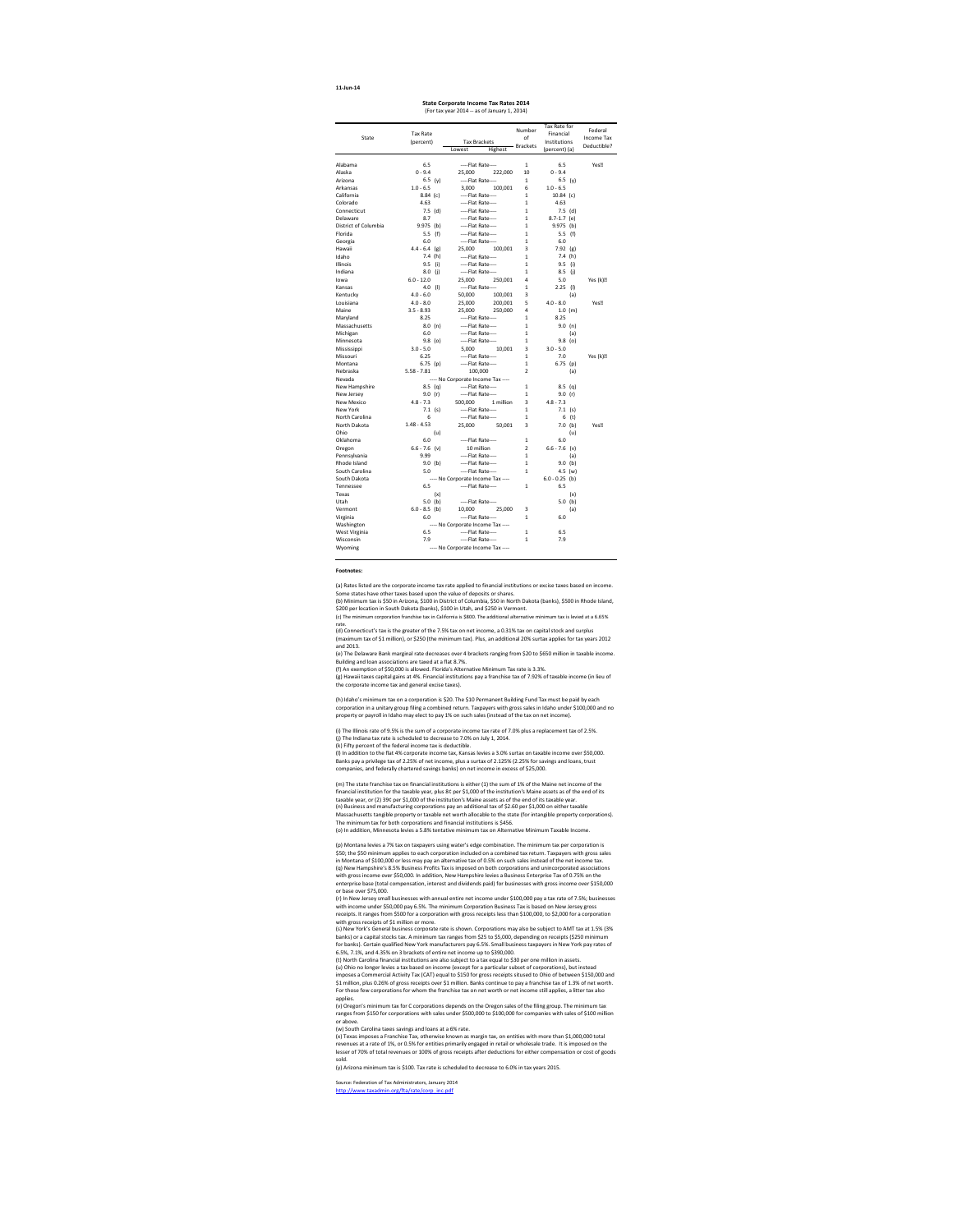**11-Jun-14**

[http://www.taxadmin.org/fta/rate/corp\\_inc.pdf](http://www.taxadmin.org/fta/rate/corp_inc.pdf) Source: Federation of Tax Administrators, January 2014

#### **Footnotes:**

(x) Texas imposes a Franchise Tax, otherwise known as margin tax, on entities with more than \$1,000,000 total revenues at a rate of 1%, or 0.5% for entities primarily engaged in retail or wholesale trade. It is imposed on the lesser of 70% of total revenues or 100% of gross receipts after deductions for either compensation or cost of goods sold.

(y) Arizona minimum tax is \$100. Tax rate is scheduled to decrease to 6.0% in tax years 2015.

(r) In New Jersey small businesses with annual entire net income under \$100,000 pay a tax rate of 7.5%; businesses with income under \$50,000 pay 6.5%. The minimum Corporation Business Tax is based on New Jersey gross receipts. It ranges from \$500 for a corporation with gross receipts less than \$100,000, to \$2,000 for a corporation with gross receipts of \$1 million or more.

(s) New York's General business corporate rate is shown. Corporations may also be subject to AMT tax at 1.5% (3% banks) or a capital stocks tax. A minimum tax ranges from \$25 to \$5,000, depending on receipts (\$250 minimum for banks). Certain qualified New York manufacturers pay 6.5%. Small business taxpayers in New York pay rates of 6.5%, 7.1%, and 4.35% on 3 brackets of entire net income up to \$390,000.

(t) North Carolina financial institutions are also subject to a tax equal to \$30 per one million in assets. (u) Ohio no longer levies a tax based on income (except for a particular subset of corporations), but instead imposes a Commercial Activity Tax (CAT) equal to \$150 for gross receipts sitused to Ohio of between \$150,000 and \$1 million, plus 0.26% of gross receipts over \$1 million. Banks continue to pay a franchise tax of 1.3% of net worth. For those few corporations for whom the franchise tax on net worth or net income still applies, a litter tax also applies.

(q) New Hampshire's 8.5% Business Profits Tax is imposed on both corporations and unincorporated associations with gross income over \$50,000. In addition, New Hampshire levies a Business Enterprise Tax of 0.75% on the enterprise base (total compensation, interest and dividends paid) for businesses with gross income over \$150,000 or base over \$75,000. (p) Montana levies a 7% tax on taxpayers using water's edge combination. The minimum tax per corporation is \$50; the \$50 minimum applies to each corporation included on a combined tax return. Taxpayers with gross sales in Montana of \$100,000 or less may pay an alternative tax of 0.5% on such sales instead of the net income tax.

(v) Oregon's minimum tax for C corporations depends on the Oregon sales of the filing group. The minimum tax ranges from \$150 for corporations with sales under \$500,000 to \$100,000 for companies with sales of \$100 million or above.

(m) The state franchise tax on financial institutions is either (1) the sum of 1% of the Maine net income of the financial institution for the taxable year, plus 8¢ per \$1,000 of the institution's Maine assets as of the end of its taxable year, or (2) 39¢ per \$1,000 of the institution's Maine assets as of the end of its taxable year. (n) Business and manufacturing corporations pay an additional tax of \$2.60 per \$1,000 on either taxable Massachusetts tangible property or taxable net worth allocable to the state (for intangible property corporations). The minimum tax for both corporations and financial institutions is \$456. (o) In addition, Minnesota levies a 5.8% tentative minimum tax on Alternative Minimum Taxable Income.

(w) South Carolina taxes savings and loans at a 6% rate.

(h) Idaho's minimum tax on a corporation is \$20. The \$10 Permanent Building Fund Tax must be paid by each corporation in a unitary group filing a combined return. Taxpayers with gross sales in Idaho under \$100,000 and no property or payroll in Idaho may elect to pay 1% on such sales (instead of the tax on net income).

(i) The Illinois rate of 9.5% is the sum of a corporate income tax rate of 7.0% plus a replacement tax of 2.5%. (j) The Indiana tax rate is scheduled to decrease to 7.0% on July 1, 2014. (k) Fifty percent of the federal income tax is deductible. (l) In addition to the flat 4% corporate income tax, Kansas levies a 3.0% surtax on taxable income over \$50,000. Banks pay a privilege tax of 2.25% of net income, plus a surtax of 2.125% (2.25% for savings and loans, trust companies, and federally chartered savings banks) on net income in excess of \$25,000.

(c) The minimum corporation franchise tax in California is \$800. The additional alternative minimum tax is levied at a 6.65% rate.

(d) Connecticut's tax is the greater of the 7.5% tax on net income, a 0.31% tax on capital stock and surplus (maximum tax of \$1 million), or \$250 (the minimum tax). Plus, an additional 20% surtax applies for tax years 2012 and 2013.

(e) The Delaware Bank marginal rate decreases over 4 brackets ranging from \$20 to \$650 million in taxable income. Building and loan associations are taxed at a flat 8.7%.

(f) An exemption of \$50,000 is allowed. Florida's Alternative Minimum Tax rate is 3.3%. (g) Hawaii taxes capital gains at 4%. Financial institutions pay a franchise tax of 7.92% of taxable income (in lieu of the corporate income tax and general excise taxes).

(a) Rates listed are the corporate income tax rate applied to financial institutions or excise taxes based on income. Some states have other taxes based upon the value of deposits or shares.

(b) Minimum tax is \$50 in Arizona, \$100 in District of Columbia, \$50 in North Dakota (banks), \$500 in Rhode Island, \$200 per location in South Dakota (banks), \$100 in Utah, and \$250 in Vermont.

|                      |                 |                                   | Number          | Tax Rate for     | Federal          |
|----------------------|-----------------|-----------------------------------|-----------------|------------------|------------------|
|                      | <b>Tax Rate</b> |                                   | of              | Financial        |                  |
| State                | (percent)       | <b>Tax Brackets</b>               |                 | Institutions     | Income Tax       |
|                      |                 | Lowest<br>Highest                 | <b>Brackets</b> | (percent) (a)    | Deductible?      |
|                      |                 |                                   |                 |                  |                  |
| Alabama              | 6.5             | ----Flat Rate----                 | $\mathbf{1}$    | 6.5              | Yes <sup>?</sup> |
| Alaska               | $0 - 9.4$       | 25,000<br>222,000                 | 10              | $0 - 9.4$        |                  |
| Arizona              | 6.5 (y)         | ----Flat Rate----                 | $\mathbf{1}$    | 6.5 (y)          |                  |
| Arkansas             | $1.0 - 6.5$     | 3,000<br>100,001                  | 6               | $1.0 - 6.5$      |                  |
| California           | $8.84$ (c)      | ----Flat Rate----                 | $\mathbf{1}$    | $10.84$ (c)      |                  |
| Colorado             | 4.63            | ----Flat Rate----                 | 1               | 4.63             |                  |
| Connecticut          | $7.5$ (d)       | ----Flat Rate----                 | $\mathbf{1}$    | $7.5$ (d)        |                  |
| Delaware             | 8.7             | ----Flat Rate----                 | $\mathbf{1}$    | $8.7 - 1.7$ (e)  |                  |
| District of Columbia | $9.975$ (b)     | ----Flat Rate----                 | 1               | $9.975$ (b)      |                  |
| Florida              | 5.5 $(f)$       | ----Flat Rate----                 | 1               | 5.5 $(f)$        |                  |
| Georgia              | 6.0             | ----Flat Rate----                 | $\mathbf{1}$    | 6.0              |                  |
| Hawaii               | $4.4 - 6.4$ (g) | 25,000<br>100,001                 | 3               | $7.92$ (g)       |                  |
| Idaho                | 7.4(h)          | ----Flat Rate----                 | 1               | 7.4 (h)          |                  |
| Illinois             | 9.5<br>(i)      | ----Flat Rate----                 | 1               | $9.5$ (i)        |                  |
| Indiana              | 8.0 (j)         | ----Flat Rate----                 | 1               | 8.5<br>(i)       |                  |
| lowa                 | $6.0 - 12.0$    | 250,001<br>25,000                 | 4               | 5.0              | Yes (k)?         |
| Kansas               | $4.0$ (l)       | ----Flat Rate----                 | 1               | 2.25<br>(1)      |                  |
| Kentucky             | $4.0 - 6.0$     | 50,000<br>100,001                 | 3               | (a)              |                  |
| Louisiana            | $4.0 - 8.0$     | 25,000<br>200,001                 | 5               | $4.0 - 8.0$      | Yes <sup>?</sup> |
| Maine                | $3.5 - 8.93$    | 25,000<br>250,000                 | 4               | 1.0 (m)          |                  |
| Maryland             | 8.25            | ----Flat Rate----                 | 1               | 8.25             |                  |
| Massachusetts        | 8.0 (n)         | ----Flat Rate----                 | 1               | 9.0 (n)          |                  |
| Michigan             | 6.0             | ----Flat Rate----                 | 1               | (a)              |                  |
| Minnesota            | $9.8$ (o)       | ----Flat Rate----                 | $\mathbf{1}$    | $9.8$ (o)        |                  |
| Mississippi          | $3.0 - 5.0$     | 5,000<br>10,001                   | 3               | $3.0 - 5.0$      |                  |
| Missouri             | 6.25            | ----Flat Rate----                 | $\mathbf{1}$    | 7.0              | Yes (k)?         |
| Montana              | $6.75$ (p)      | ----Flat Rate----                 | $\mathbf{1}$    | 6.75 (p)         |                  |
| Nebraska             | $5.58 - 7.81$   | 100,000                           | 2               | (a)              |                  |
| Nevada               |                 | ---- No Corporate Income Tax ---- |                 |                  |                  |
| New Hampshire        |                 | 8.5 (q) ----Flat Rate----         | 1               | $8.5$ (q)        |                  |
| New Jersey           | 9.0 $(r)$       | ----Flat Rate----                 | 1               | 9.0 $(r)$        |                  |
| <b>New Mexico</b>    | $4.8 - 7.3$     | 500,000<br>1 million              | 3               | $4.8 - 7.3$      |                  |
| New York             | 7.1 (s)         | ----Flat Rate----                 | $\mathbf{1}$    | 7.1 (s)          |                  |
| North Carolina       | 6               | ----Flat Rate----                 | 1               | 6<br>(t)         |                  |
| North Dakota         | $1.48 - 4.53$   | 25,000<br>50,001                  | 3               | $7.0$ (b)        | Yes <sup>?</sup> |
| Ohio                 | (u)             |                                   |                 | (u)              |                  |
| Oklahoma             | 6.0             | ----Flat Rate----                 | $\mathbf{1}$    | 6.0              |                  |
| Oregon               | $6.6 - 7.6$ (v) | 10 million                        | $\overline{2}$  | $6.6 - 7.6$ (v)  |                  |
| Pennsylvania         | 9.99            | ----Flat Rate----                 | 1               | (a)              |                  |
| Rhode Island         | $9.0$ (b)       | ----Flat Rate----                 | $\mathbf{1}$    | $9.0$ (b)        |                  |
| South Carolina       | 5.0             | ----Flat Rate----                 | 1               | 4.5 (w)          |                  |
| South Dakota         |                 | ---- No Corporate Income Tax ---- |                 | $6.0 - 0.25$ (b) |                  |
| Tennessee            | 6.5             | ----Flat Rate----                 | 1               | 6.5              |                  |
| Texas                | (x)             |                                   |                 | (x)              |                  |
| Utah                 | $5.0$ (b)       | ----Flat Rate----                 |                 | $5.0$ (b)        |                  |
| Vermont              | $6.0 - 8.5$ (b) | 10,000<br>25,000                  | 3               | (a)              |                  |
| Virginia             | 6.0             | ----Flat Rate----                 | 1               | 6.0              |                  |
| Washington           |                 | ---- No Corporate Income Tax ---- |                 |                  |                  |
| West Virginia        | 6.5             | ----Flat Rate----                 | 1               | 6.5              |                  |
| Wisconsin            | 7.9             | ----Flat Rate----                 | 1               | 7.9              |                  |
| Wyoming              |                 | ---- No Corporate Income Tax ---- |                 |                  |                  |
|                      |                 |                                   |                 |                  |                  |

| State Corporate Income Tax Rates 2014        |  |
|----------------------------------------------|--|
| (For tax year 2014 -- as of January 1, 2014) |  |
|                                              |  |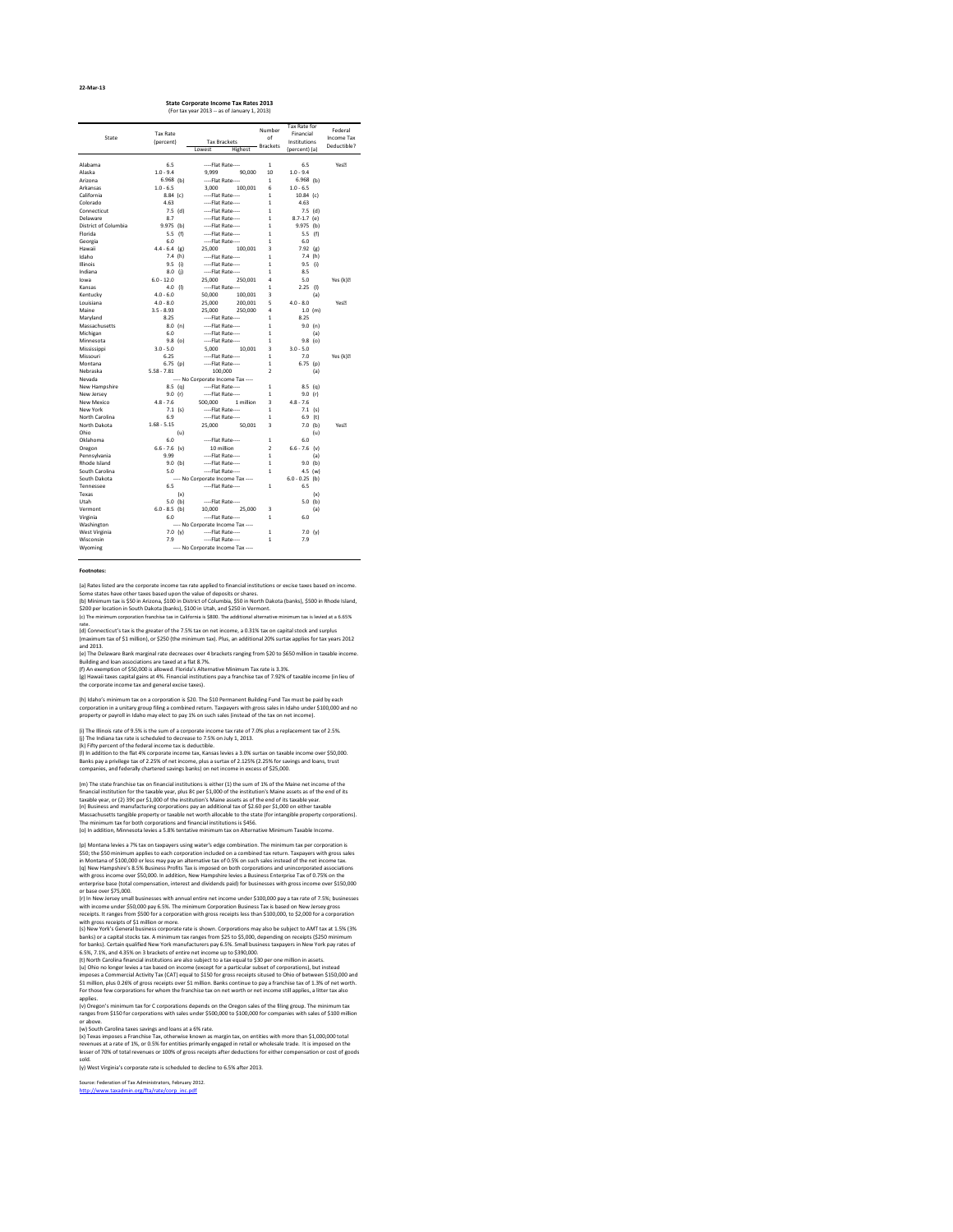| 22-Mar-13 |
|-----------|
|-----------|

[http://www.taxadmin.org/fta/rate/corp\\_inc.pdf](http://www.taxadmin.org/fta/rate/corp_inc.pdf) Source: Federation of Tax Administrators, February 2012.

#### **Footnotes:**

(y) West Virginia's corporate rate is scheduled to decline to 6.5% after 2013.

(r) In New Jersey small businesses with annual entire net income under \$100,000 pay a tax rate of 7.5%; businesses with income under \$50,000 pay 6.5%. The minimum Corporation Business Tax is based on New Jersey gross receipts. It ranges from \$500 for a corporation with gross receipts less than \$100,000, to \$2,000 for a corporation with gross receipts of \$1 million or more.

(s) New York's General business corporate rate is shown. Corporations may also be subject to AMT tax at 1.5% (3% banks) or a capital stocks tax. A minimum tax ranges from \$25 to \$5,000, depending on receipts (\$250 minimum for banks). Certain qualified New York manufacturers pay 6.5%. Small business taxpayers in New York pay rates of 6.5%, 7.1%, and 4.35% on 3 brackets of entire net income up to \$390,000.

(v) Oregon's minimum tax for C corporations depends on the Oregon sales of the filing group. The minimum tax ranges from \$150 for corporations with sales under \$500,000 to \$100,000 for companies with sales of \$100 million or above.

(u) Ohio no longer levies a tax based on income (except for a particular subset of corporations), but instead imposes a Commercial Activity Tax (CAT) equal to \$150 for gross receipts sitused to Ohio of between \$150,000 and \$1 million, plus 0.26% of gross receipts over \$1 million. Banks continue to pay a franchise tax of 1.3% of net worth. For those few corporations for whom the franchise tax on net worth or net income still applies, a litter tax also applies. (t) North Carolina financial institutions are also subject to a tax equal to \$30 per one million in assets.

(w) South Carolina taxes savings and loans at a 6% rate.

|                      |                    |                                   | Number          | Tax Rate for     | Federal          |
|----------------------|--------------------|-----------------------------------|-----------------|------------------|------------------|
| State                | <b>Tax Rate</b>    |                                   | of              | Financial        | Income Tax       |
|                      | (percent)          | <b>Tax Brackets</b>               | <b>Brackets</b> | Institutions     | Deductible?      |
|                      |                    | Highest<br>Lowest                 |                 | (percent) (a)    |                  |
|                      |                    |                                   |                 |                  |                  |
| Alabama              | 6.5                | ----Flat Rate----                 | $\mathbf{1}$    | 6.5              | Yes <sup>?</sup> |
| Alaska               | $1.0 - 9.4$        | 9,999<br>90,000                   | 10              | $1.0 - 9.4$      |                  |
| Arizona              | $6.968$ (b)        | ----Flat Rate----                 | 1               | $6.968$ (b)      |                  |
| Arkansas             | $1.0 - 6.5$        | 3,000<br>100,001                  | 6               | $1.0 - 6.5$      |                  |
| California           | $8.84$ (c)         | ----Flat Rate----                 | $\mathbf{1}$    | $10.84$ (c)      |                  |
| Colorado             | 4.63               | ----Flat Rate----                 | $\mathbf{1}$    | 4.63             |                  |
| Connecticut          | $7.5$ (d)          | ----Flat Rate----                 | 1               | $7.5$ (d)        |                  |
| Delaware             | 8.7                | ----Flat Rate----                 | $\mathbf{1}$    | $8.7 - 1.7$ (e)  |                  |
| District of Columbia | $9.975$ (b)        | ----Flat Rate----                 | 1               | $9.975$ (b)      |                  |
| Florida              | (f)<br>5.5         | ----Flat Rate----                 | $\mathbf{1}$    | 5.5<br>(f)       |                  |
| Georgia              | 6.0                | ----Flat Rate----                 | 1               | 6.0              |                  |
| Hawaii               | $4.4 - 6.4$<br>(g) | 25,000<br>100,001                 | 3               | $7.92$ (g)       |                  |
| Idaho                | 7.4(h)             | ----Flat Rate----                 | 1               | 7.4(h)           |                  |
| Illinois             | 9.5<br>(i)         | ----Flat Rate----                 | 1               | 9.5 (i)          |                  |
| Indiana              | 8.0<br>(j)         | ----Flat Rate----                 | 1               | 8.5              |                  |
| lowa                 | $6.0 - 12.0$       | 25,000<br>250,001                 | 4               | 5.0              | Yes (k) ?        |
| Kansas               | 4.0<br>(1)         | ----Flat Rate----                 | 1               | 2.25<br>(1)      |                  |
| Kentucky             | $4.0 - 6.0$        | 50,000<br>100,001                 | 3               | (a)              |                  |
| Louisiana            | $4.0 - 8.0$        | 25,000<br>200,001                 | 5               | $4.0 - 8.0$      | Yes <sub>2</sub> |
| Maine                | $3.5 - 8.93$       | 25,000<br>250,000                 | 4               | $1.0$ (m)        |                  |
| Maryland             | 8.25               | ----Flat Rate----                 | $\mathbf{1}$    | 8.25             |                  |
| Massachusetts        | 8.0 (n)            | ----Flat Rate----                 | 1               | 9.0 (n)          |                  |
| Michigan             | 6.0                | ----Flat Rate----                 | 1               | (a)              |                  |
| Minnesota            | $9.8$ (o)          | ----Flat Rate----                 | 1               | $9.8$ (o)        |                  |
| Mississippi          | $3.0 - 5.0$        | 5,000<br>10,001                   | 3               | $3.0 - 5.0$      |                  |
| Missouri             | 6.25               | ----Flat Rate----                 | 1               | 7.0              | Yes (k)?         |
| Montana              | $6.75$ (p)         | ----Flat Rate----                 | $\mathbf{1}$    | $6.75$ (p)       |                  |
| Nebraska             | $5.58 - 7.81$      | 100,000                           | 2               | (a)              |                  |
| Nevada               |                    | ---- No Corporate Income Tax ---- |                 |                  |                  |
| New Hampshire        |                    | 8.5 (q) ----Flat Rate----         | $\mathbf{1}$    | $8.5$ (q)        |                  |
| New Jersey           | 9.0 $(r)$          | ----Flat Rate----                 | 1               | 9.0 $(r)$        |                  |
| New Mexico           | $4.8 - 7.6$        | 500,000<br>1 million              | 3               | $4.8 - 7.6$      |                  |
| New York             | 7.1 (s)            | ----Flat Rate----                 | 1               | 7.1 (s)          |                  |
| North Carolina       | 6.9                | ----Flat Rate----                 | 1               | 6.9 (t)          |                  |
| North Dakota         | $1.68 - 5.15$      | 25,000<br>50,001                  | 3               | $7.0$ (b)        | Yes?             |
| Ohio                 | (u)                |                                   |                 | (u)              |                  |
| Oklahoma             | 6.0                | ----Flat Rate----                 | $\mathbf{1}$    | 6.0              |                  |
| Oregon               | $6.6 - 7.6$ (v)    | 10 million                        | $\overline{2}$  | $6.6 - 7.6$ (v)  |                  |
| Pennsylvania         | 9.99               | ----Flat Rate----                 | 1               | (a)              |                  |
| Rhode Island         | $9.0$ (b)          | ----Flat Rate----                 | $\mathbf{1}$    | $9.0$ (b)        |                  |
| South Carolina       | 5.0                | ----Flat Rate----                 | 1               | 4.5 (w)          |                  |
| South Dakota         |                    | ---- No Corporate Income Tax ---- |                 | $6.0 - 0.25$ (b) |                  |
| Tennessee            | 6.5                | ----Flat Rate----                 | $\mathbf{1}$    | 6.5              |                  |
| Texas                | (x)                |                                   |                 | (x)              |                  |
| Utah                 | $5.0$ (b)          | ----Flat Rate----                 |                 | $5.0$ (b)        |                  |
| Vermont              | $6.0 - 8.5$ (b)    | 10,000<br>25,000                  | 3               | (a)              |                  |
| Virginia             | 6.0                | ----Flat Rate----                 | $\mathbf{1}$    | 6.0              |                  |
| Washington           |                    | ---- No Corporate Income Tax ---- |                 |                  |                  |
| West Virginia        | 7.0 $(y)$          | ----Flat Rate----                 | $\mathbf{1}$    | 7.0 $(y)$        |                  |
| Wisconsin            | 7.9                | ----Flat Rate----                 | $\mathbf{1}$    | 7.9              |                  |
| Wyoming              |                    | ---- No Corporate Income Tax ---- |                 |                  |                  |

(x) Texas imposes a Franchise Tax, otherwise known as margin tax, on entities with more than \$1,000,000 total revenues at a rate of 1%, or 0.5% for entities primarily engaged in retail or wholesale trade. It is imposed on the lesser of 70% of total revenues or 100% of gross receipts after deductions for either compensation or cost of goods sold.

(p) Montana levies a 7% tax on taxpayers using water's edge combination. The minimum tax per corporation is \$50; the \$50 minimum applies to each corporation included on a combined tax return. Taxpayers with gross sales in Montana of \$100,000 or less may pay an alternative tax of 0.5% on such sales instead of the net income tax. (q) New Hampshire's 8.5% Business Profits Tax is imposed on both corporations and unincorporated associations with gross income over \$50,000. In addition, New Hampshire levies a Business Enterprise Tax of 0.75% on the enterprise base (total compensation, interest and dividends paid) for businesses with gross income over \$150,000 or base over \$75,000.

(k) Fifty percent of the federal income tax is deductible. (j) The Indiana tax rate is scheduled to decrease to 7.5% on July 1, 2013. (i) The Illinois rate of 9.5% is the sum of a corporate income tax rate of 7.0% plus a replacement tax of 2.5%. (l) In addition to the flat 4% corporate income tax, Kansas levies a 3.0% surtax on taxable income over \$50,000. Banks pay a privilege tax of 2.25% of net income, plus a surtax of 2.125% (2.25% for savings and loans, trust companies, and federally chartered savings banks) on net income in excess of \$25,000.

(d) Connecticut's tax is the greater of the 7.5% tax on net income, a 0.31% tax on capital stock and surplus (maximum tax of \$1 million), or \$250 (the minimum tax). Plus, an additional 20% surtax applies for tax years 2012 and 2013.

#### **State Corporate Income Tax Rates 2013** (For tax year 2013 -- as of January 1, 2013)

(f) An exemption of \$50,000 is allowed. Florida's Alternative Minimum Tax rate is 3.3%. (g) Hawaii taxes capital gains at 4%. Financial institutions pay a franchise tax of 7.92% of taxable income (in lieu of the corporate income tax and general excise taxes).

(e) The Delaware Bank marginal rate decreases over 4 brackets ranging from \$20 to \$650 million in taxable income. Building and loan associations are taxed at a flat 8.7%.

(a) Rates listed are the corporate income tax rate applied to financial institutions or excise taxes based on income. Some states have other taxes based upon the value of deposits or shares. (c) The minimum corporation franchise tax in California is \$800. The additional alternative minimum tax is levied at a 6.65% rate. (b) Minimum tax is \$50 in Arizona, \$100 in District of Columbia, \$50 in North Dakota (banks), \$500 in Rhode Island, \$200 per location in South Dakota (banks), \$100 in Utah, and \$250 in Vermont.

(h) Idaho's minimum tax on a corporation is \$20. The \$10 Permanent Building Fund Tax must be paid by each corporation in a unitary group filing a combined return. Taxpayers with gross sales in Idaho under \$100,000 and no property or payroll in Idaho may elect to pay 1% on such sales (instead of the tax on net income).

(o) In addition, Minnesota levies a 5.8% tentative minimum tax on Alternative Minimum Taxable Income. (m) The state franchise tax on financial institutions is either (1) the sum of 1% of the Maine net income of the financial institution for the taxable year, plus 8¢ per \$1,000 of the institution's Maine assets as of the end of its taxable year, or (2) 39¢ per \$1,000 of the institution's Maine assets as of the end of its taxable year. (n) Business and manufacturing corporations pay an additional tax of \$2.60 per \$1,000 on either taxable Massachusetts tangible property or taxable net worth allocable to the state (for intangible property corporations). The minimum tax for both corporations and financial institutions is \$456.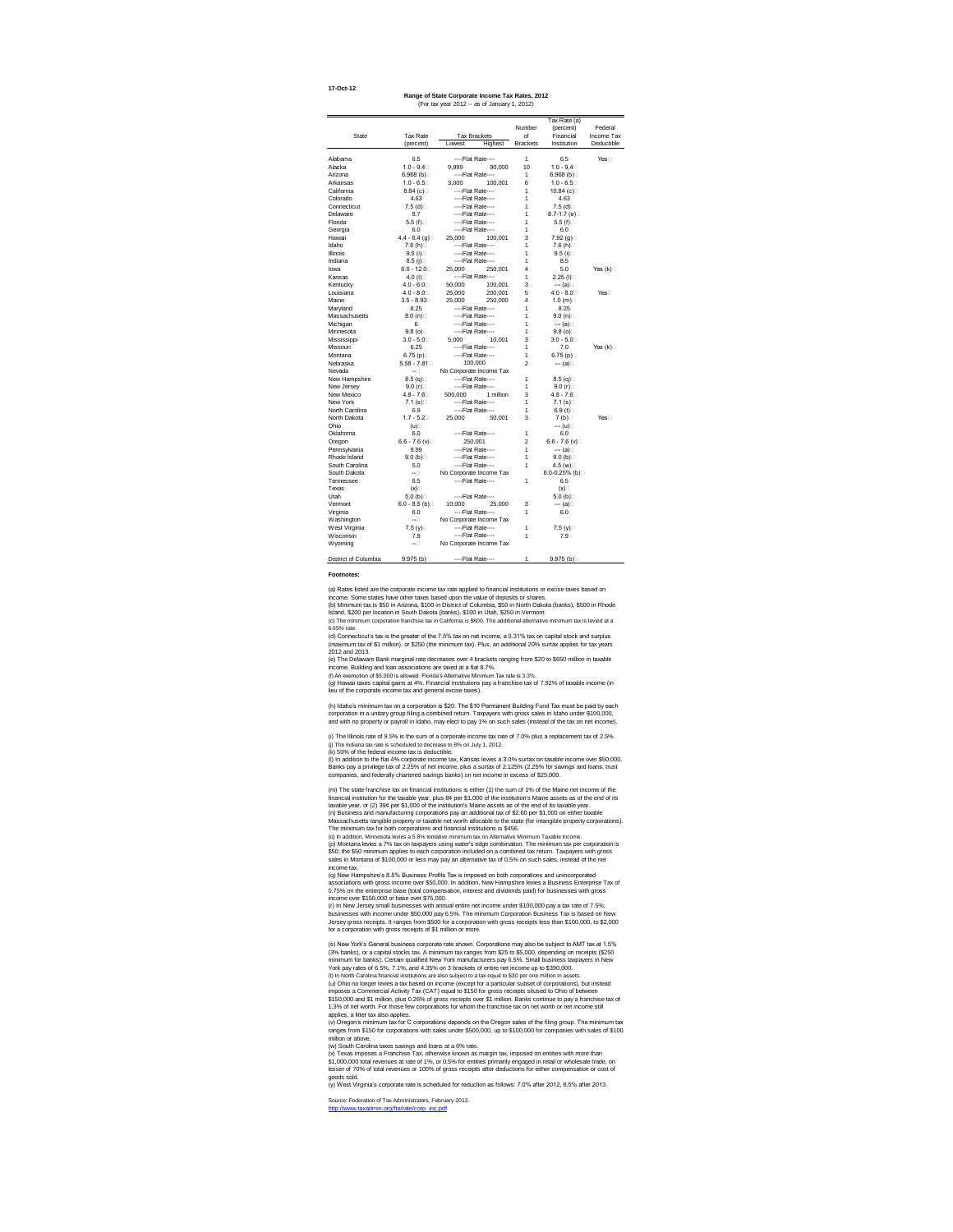**17-Oct-12**

|                |                      |                         | Number          | Tax Rate (a)            | Federal    |
|----------------|----------------------|-------------------------|-----------------|-------------------------|------------|
| <b>State</b>   | <b>Tax Rate</b>      | <b>Tax Brackets</b>     | of              | (percent)<br>Financial  | Income Tax |
|                | (percent)            | Lowest<br>Highest       | <b>Brackets</b> | Institution             | Deductible |
|                |                      |                         |                 |                         |            |
| Alabama        | 6.5                  | ----Flat Rate----       | 1               | 6.5                     | Yes□       |
| Alaska         | $1.0 - 9.4$          | 9,999<br>90,000         | 10              | $1.0 - 9.4$             |            |
| Arizona        | 6.968 $(b)$          | ----Flat Rate----       | 1               | 6.968 $(b)$             |            |
| Arkansas       | $1.0 - 6.5$          | 3,000<br>100,001        | 6               | $1.0 - 6.5$             |            |
| California     | 8.84 $(c)$           | ----Flat Rate----       | 1               | 10.84 (c)□              |            |
| Colorado       | 4.63                 | ----Flat Rate----       | 1               | 4.63                    |            |
| Connecticut    | 7.5 $(d)$            | ----Flat Rate----       | 1               | 7.5 $(d)$               |            |
| Delaware       | 8.7                  | ----Flat Rate----       | 1               | 8.7-1.7 (e) $\square$   |            |
| Florida        | 5.5 $(f)$            | ----Flat Rate----       | 1               | 5.5 (f) $\Box$          |            |
| Georgia        | 6.0                  | ----Flat Rate----       | 1               | 6.0                     |            |
| Hawaii         | 4.4 - 6.4 (g) $\Box$ | 100,001<br>25,000       | 3               | 7.92 (g)□               |            |
| Idaho          | 7.6 (h) $\Box$       | ----Flat Rate----       | 1               | 7.6 (h) $\Box$          |            |
| Illinois       | 9.5(i)               | ----Flat Rate----       | 1               | $9.5$ (i) $\Box$        |            |
| Indiana        | 8.5 (j) $\square$    | ----Flat Rate----       | 1               | 8.5                     |            |
| Iowa           | $6.0 - 12.0$         | 250,001<br>25,000       | 4               | 5.0                     | Yes $(k)$  |
| Kansas         | 4.0 $(I)$            | ----Flat Rate----       | 1               | $2.25$ (I)              |            |
| Kentucky       | $4.0 - 6.0$          | 50,000<br>100,001       | 3               | --- (a)⊟                |            |
| Louisiana      | $4.0 - 8.0$          | 25,000<br>200,001       | 5               | $4.0 - 8.0$             | $Yes \Box$ |
| Maine          | $3.5 - 8.93$         | 25,000<br>250,000       | 4               | 1.0 (m) $\Box$          |            |
| Maryland       | 8.25                 | ----Flat Rate----       | 1               | 8.25                    |            |
| Massachusetts  | 8.0(n)               | ----Flat Rate----       | 1               | 9.0(n)                  |            |
| Michigan       | 6                    | ----Flat Rate----       | 1               | --- (a)⊟                |            |
| Minnesota      | $9.8$ (o)            | ----Flat Rate----       | 1               | $9.8$ (o) $\square$     |            |
| Mississippi    | $3.0 - 5.0$          | 5,000<br>10,001         | 3               | $3.0 - 5.0$             |            |
| Missouri       | 6.25                 | ----Flat Rate----       | 1               | 7.0                     | Yes $(k)$  |
| Montana        | 6.75 $(p)$           | ----Flat Rate----       | 1               | 6.75 $(p)$              |            |
| Nebraska       | $5.58 - 7.81$        | 100,000                 | 2               | --- (a)⊟                |            |
| Nevada         | --□                  | No Corporate Income Tax |                 |                         |            |
| New Hampshire  | 8.5(q)               | ----Flat Rate----       | 1               | 8.5 $(q)$               |            |
| New Jersey     | 9.0(r)               | ----Flat Rate----       | 1               | 9.0(r)                  |            |
| New Mexico     | $4.8 - 7.6$          | 500,000<br>1 million    | 3               | $4.8 - 7.6$             |            |
| New York       | 7.1 (s) $\square$    | ----Flat Rate----       | 1               | 7.1 (s) $\Box$          |            |
| North Carolina | 6.9                  | ----Flat Rate----       | 1               | 6.9 $(t)$               |            |
| North Dakota   | $1.7 - 5.2$          | 25,000<br>50,001        | 3               | 7 $(b)$                 | Yes        |
| Ohio           | (u)                  |                         |                 | --- (u)□                |            |
| Oklahoma       | 6.0                  | ----Flat Rate----       | 1               | 6.0                     |            |
| Oregon         | $6.6 - 7.6$ (v)      | 250,001                 | $\overline{2}$  | $6.6 - 7.6$ (v)         |            |
| Pennsylvania   | 9.99                 | ----Flat Rate----       | 1               | --- (a)⊟                |            |
| Rhode Island   | 9.0(b)               | ----Flat Rate----       | 1               | 9.0(b)                  |            |
| South Carolina | 5.0                  | ----Flat Rate----       | 1               | 4.5 (w)□                |            |
| South Dakota   | --□                  | No Corporate Income Tax |                 | 6.0-0.25% (b) $\square$ |            |
| Tennessee      | 6.5                  | ----Flat Rate----       | 1               | 6.5                     |            |
| Texas          | (x)                  |                         |                 | (x)                     |            |
| Utah           | 5.0 $(b)$            | ----Flat Rate----       |                 | 5.0 (b) $\square$       |            |
| Vermont        | $6.0 - 8.5$ (b)      | 10,000<br>25,000        | 3               | --- (a)⊟                |            |
| Virginia       | 6.0                  | ----Flat Rate----       | 1               | 6.0                     |            |
| Washington     | $-\Box$              | No Corporate Income Tax |                 |                         |            |
| West Virginia  | 7.5 (y) $\Box$       | ----Flat Rate----       | 1               | 7.5 (y)□                |            |
| Wisconsin      | 7.9                  | ----Flat Rate----       | 1               | 7.9                     |            |
| Wyoming        | --□                  | No Corporate Income Tax |                 |                         |            |

**Range of State Corporate Income Tax Rates, 2012**

District of Columbia 9.975 (b)□ ----Flat Rate---- 1 9.975 (b)□

Source: Federation of Tax Administrators, February 2012. [http://www.taxadmin.org/fta/rate/corp\\_inc.pdf](http://www.taxadmin.org/fta/rate/corp_inc.pdf)

#### **Footnotes:**

(f) An exemption of \$5,000 is allowed. Florida's Alternative Minimum Tax rate is 3.3%.

(y) West Virginia's corporate rate is scheduled for reduction as follows: 7.0% after 2012, 6.5% after 2013.

(x) Texas imposes a Franchise Tax, otherwise known as margin tax, imposed on entities with more than \$1,000,000 total revenues at rate of 1%, or 0.5% for entities primarily engaged in retail or wholesale trade, on lesser of 70% of total revenues or 100% of gross receipts after deductions for either compensation or cost of goods sold.

(w) South Carolina taxes savings and loans at a 6% rate.

(q) New Hampshire's 8.5% Business Profits Tax is imposed on both corporations and unincorporated associations with gross income over \$50,000. In addition, New Hampshire levies a Business Enterprise Tax of 0.75% on the enterprise base (total compensation, interest and dividends paid) for businesses with gross income over \$150,000 or base over \$75,000.

(r) In New Jersey small businesses with annual entire net income under \$100,000 pay a tax rate of 7.5%; businesses with income under \$50,000 pay 6.5%. The minimum Corporation Business Tax is based on New Jersey gross receipts. It ranges from \$500 for a corporation with gross receipts less than \$100,000, to \$2,000 for a corporation with gross receipts of \$1 million or more.

(t) In North Carolina financial institutions are also subject to a tax equal to \$30 per one million in assets. (s) New York's General business corporate rate shown. Corporations may also be subject to AMT tax at 1.5% (3% banks), or a capital stocks tax. A minimum tax ranges from \$25 to \$5,000, depending on receipts (\$250 minimum for banks). Certain qualified New York manufacturers pay 6.5%. Small business taxpayers in New York pay rates of 6.5%, 7.1%, and 4.35% on 3 brackets of entire net income up to \$390,000. (u) Ohio no longer levies a tax based on income (except for a particular subset of corporations), but instead imposes a Commercial Activity Tax (CAT) equal to \$150 for gross receipts sitused to Ohio of between \$150,000 and \$1 million, plus 0.26% of gross receipts over \$1 million. Banks continue to pay a franchise tax of 1.3% of net worth. For those few corporations for whom the franchise tax on net worth or net income still applies, a litter tax also applies.

(j) The Indiana tax rate is scheduled to decrease to 8% on July 1, 2012. (i) The Illinois rate of 9.5% is the sum of a corporate income tax rate of 7.0% plus a replacement tax of 2.5%.

(a) Rates listed are the corporate income tax rate applied to financial institutions or excise taxes based on income. Some states have other taxes based upon the value of deposits or shares. (b) Minimum tax is \$50 in Arizona, \$100 in District of Columbia, \$50 in North Dakota (banks), \$500 in Rhode Island, \$200 per location in South Dakota (banks), \$100 in Utah, \$250 in Vermont.

(c) The minimum corporation franchise tax in California is \$800. The additional alternative minimum tax is levied at a 6.65% rate.

(o) In addition, Minnesota levies a 5.8% tentative minimum tax on Alternative Minimum Taxable Income. (p) Montana levies a 7% tax on taxpayers using water's edge combination. The minimum tax per corporation is \$50; the \$50 minimum applies to each corporation included on a combined tax return. Taxpayers with gross sales in Montana of \$100,000 or less may pay an alternative tax of 0.5% on such sales, instead of the net income tax.

(d) Connecticut's tax is the greater of the 7.5% tax on net income, a 0.31% tax on capital stock and surplus (maximum tax of \$1 million), or \$250 (the minimum tax). Plus, an additional 20% surtax applies for tax years 2012 and 2013.

(e) The Delaware Bank marginal rate decreases over 4 brackets ranging from \$20 to \$650 million in taxable income. Building and loan associations are taxed at a flat 8.7%.

(g) Hawaii taxes capital gains at 4%. Financial institutions pay a franchise tax of 7.92% of taxable income (in lieu of the corporate income tax and general excise taxes).

(m) The state franchise tax on financial institutions is either (1) the sum of 1% of the Maine net income of the financial institution for the taxable year, plus 8¢ per \$1,000 of the institution's Maine assets as of the end of its taxable year, or (2) 39¢ per \$1,000 of the institution's Maine assets as of the end of its taxable year. (n) Business and manufacturing corporations pay an additional tax of \$2.60 per \$1,000 on either taxable Massachusetts tangible property or taxable net worth allocable to the state (for intangible property corporations). The minimum tax for both corporations and financial institutions is \$456.

(v) Oregon's minimum tax for C corporations depends on the Oregon sales of the filing group. The minimum tax ranges from \$150 for corporations with sales under \$500,000, up to \$100,000 for companies with sales of \$100 million or above.

(h) Idaho's minimum tax on a corporation is \$20. The \$10 Permanent Building Fund Tax must be paid by each corporation in a unitary group filing a combined return. Taxpayers with gross sales in Idaho under \$100,000, and with no property or payroll in Idaho, may elect to pay 1% on such sales (instead of the tax on net income).

(k) 50% of the federal income tax is deductible.

(l) In addition to the flat 4% corporate income tax, Kansas levies a 3.0% surtax on taxable income over \$50,000. Banks pay a privilege tax of 2.25% of net income, plus a surtax of 2.125% (2.25% for savings and loans, trust companies, and federally chartered savings banks) on net income in excess of \$25,000.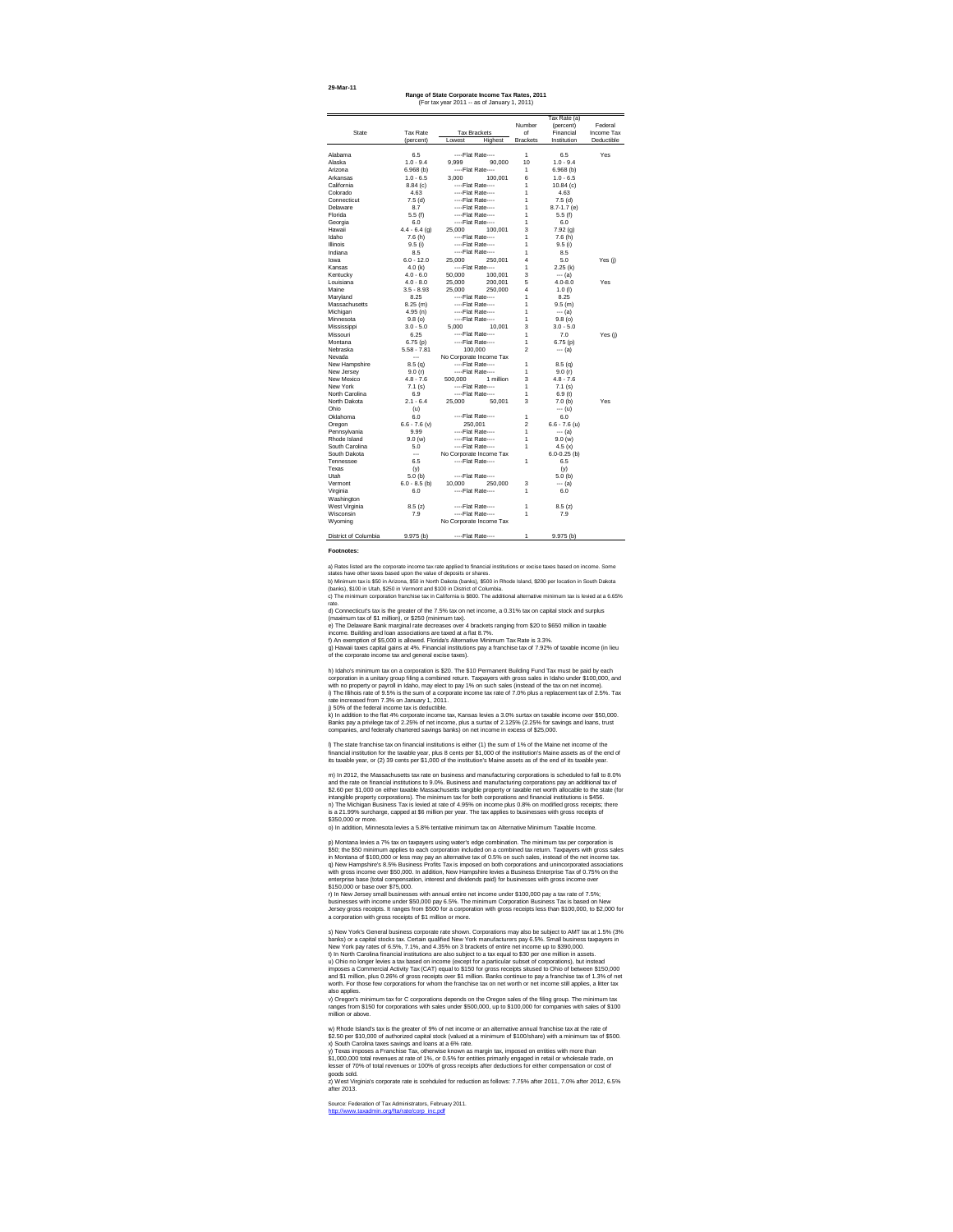| 29-Mar-11 |  |
|-----------|--|
|-----------|--|

| Range of State Corporate Income Tax Rates, 2011 |
|-------------------------------------------------|
| (For tax year 2011 -- as of January 1, 2011)    |

#### **Footnotes:**

|                  |                 |         |                         |                  | Tax Rate (a)     |            |
|------------------|-----------------|---------|-------------------------|------------------|------------------|------------|
|                  |                 |         |                         | Number           | (percent)        | Federal    |
| <b>State</b>     | <b>Tax Rate</b> |         | <b>Tax Brackets</b>     | of               | Financial        | Income Tax |
|                  | (percent)       | Lowest  | Highest                 | <b>Brackets</b>  | Institution      | Deductible |
|                  |                 |         |                         |                  |                  |            |
| Alabama          | 6.5             |         | ----Flat Rate----       | 1                | 6.5              | Yes        |
| Alaska           | $1.0 - 9.4$     | 9,999   | 90,000                  | 10               | $1.0 - 9.4$      |            |
| Arizona          | $6.968$ (b)     |         | ----Flat Rate----       | 1                | 6.968(b)         |            |
| Arkansas         | $1.0 - 6.5$     | 3,000   | 100,001                 | 6                | $1.0 - 6.5$      |            |
| California       | 8.84(c)         |         | ----Flat Rate----       | 1                | 10.84(c)         |            |
| Colorado         | 4.63            |         | ----Flat Rate----       | 1                | 4.63             |            |
| Connecticut      | 7.5(d)          |         | ----Flat Rate----       | 1                | $7.5$ (d)        |            |
| Delaware         | 8.7             |         | ----Flat Rate----       | 1                | $8.7 - 1.7$ (e)  |            |
| Florida          | 5.5(f)          |         | ----Flat Rate----       | 1                | 5.5(f)           |            |
| Georgia          | 6.0             |         | ----Flat Rate----       | 1                | 6.0              |            |
| Hawaii           | $4.4 - 6.4$ (g) | 25,000  | 100,001                 | 3                | 7.92(g)          |            |
| Idaho            | 7.6(h)          |         | ----Flat Rate----       | 1                | 7.6(h)           |            |
| Illinois         | 9.5(i)          |         | ----Flat Rate----       | 1                | 9.5(i)           |            |
| Indiana          | 8.5             |         | ----Flat Rate----       | 1                | 8.5              |            |
| lowa             | $6.0 - 12.0$    | 25,000  | 250,001                 | 4                | 5.0              | Yes (j)    |
| Kansas           | 4.0 $(k)$       |         | ----Flat Rate----       | 1                | 2.25(k)          |            |
| Kentucky         | $4.0 - 6.0$     | 50,000  | 100,001                 | 3                | $--- (a)$        |            |
| Louisiana        | $4.0 - 8.0$     | 25,000  | 200,001                 | 5                | $4.0 - 8.0$      | Yes        |
| Maine            | $3.5 - 8.93$    | 25,000  | 250,000                 | 4                | $1.0$ (l)        |            |
| Maryland         | 8.25            |         | ----Flat Rate----       | 1                | 8.25             |            |
| Massachusetts    | $8.25$ (m)      |         | ----Flat Rate----       | 1                | 9.5(m)           |            |
| Michigan         | 4.95(n)         |         | ----Flat Rate----       | 1                | $--- (a)$        |            |
| Minnesota        | 9.8(0)          |         | ----Flat Rate----       | 1                | 9.8(0)           |            |
| Mississippi      | $3.0 - 5.0$     | 5,000   | 10,001                  | 3                | $3.0 - 5.0$      |            |
| Missouri         | 6.25            |         | ----Flat Rate----       | 1                | 7.0              | Yes (j)    |
| Montana          | 6.75(p)         |         | ----Flat Rate----       | 1                | 6.75(p)          |            |
| Nebraska         | $5.58 - 7.81$   |         | 100,000                 | $\overline{2}$   | $--- (a)$        |            |
| Nevada           | ---             |         | No Corporate Income Tax |                  |                  |            |
| New Hampshire    | 8.5(q)          |         | ----Flat Rate----       | 1                | 8.5(q)           |            |
| New Jersey       | 9.0(r)          |         | ----Flat Rate----       | 1                | 9.0(r)           |            |
| New Mexico       | $4.8 - 7.6$     |         | 500,000 1 million       | 3                | $4.8 - 7.6$      |            |
| New York         | 7.1(s)          |         | ----Flat Rate----       | 1                | 7.1(s)           |            |
| North Carolina   | 6.9             |         | ----Flat Rate----       | 1                | 6.9(t)           |            |
| North Dakota     | $2.1 - 6.4$     | 25,000  | 50,001                  | 3                | 7.0(h)           | Yes        |
| Ohio             | (u)             |         |                         |                  | --- (u)          |            |
| Oklahoma         | 6.0             |         | ----Flat Rate----       | 1                | 6.0              |            |
| Oregon           | $6.6 - 7.6$ (v) | 250,001 |                         | $\boldsymbol{2}$ | $6.6 - 7.6$ (u)  |            |
| Pennsylvania     | 9.99            |         | ----Flat Rate----       | 1                | $--- (a)$        |            |
| Rhode Island     | 9.0(w)          |         | ----Flat Rate----       | 1                | 9.0(w)           |            |
| South Carolina   | 5.0             |         | ----Flat Rate----       | 1                | 4.5 $(x)$        |            |
| South Dakota     | $\cdots$        |         | No Corporate Income Tax |                  | $6.0 - 0.25$ (b) |            |
| <b>Tennessee</b> | 6.5             |         | ----Flat Rate----       | 1                | 6.5              |            |
|                  |                 |         |                         |                  |                  |            |
| Texas<br>Utah    | (y)             |         | ----Flat Rate----       |                  | (y)              |            |
|                  | 5.0(b)          |         |                         |                  | 5.0(b)           |            |
| Vermont          | $6.0 - 8.5$ (b) | 10,000  | 250,000                 | 3                | --- (a)          |            |
| Virginia         | 6.0             |         | ----Flat Rate----       | 1                | 6.0              |            |
| Washington       |                 |         |                         |                  |                  |            |
| West Virginia    | 8.5(z)          |         | ----Flat Rate----       | 1                | 8.5(z)           |            |
| Wisconsin        | 7.9             |         | ----Flat Rate----       | 1                | 7.9              |            |
| Wyoming          |                 |         | No Corporate Income Tax |                  |                  |            |

j) 50% of the federal income tax is deductible.

o) In addition, Minnesota levies a 5.8% tentative minimum tax on Alternative Minimum Taxable Income.

Source: Federation of Tax Administrators, February 2011. [http://www.taxadmin.org/fta/rate/corp\\_inc.pdf](http://www.taxadmin.org/fta/rate/corp_inc.pdf)

x) South Carolina taxes savings and loans at a 6% rate. w) Rhode Island's tax is the greater of 9% of net income or an alternative annual franchise tax at the rate of \$2.50 per \$10,000 of authorized capital stock (valued at a minimum of \$100/share) with a minimum tax of \$500.

y) Texas imposes a Franchise Tax, otherwise known as margin tax, imposed on entities with more than \$1,000,000 total revenues at rate of 1%, or 0.5% for entities primarily engaged in retail or wholesale trade, on

lesser of 70% of total revenues or 100% of gross receipts after deductions for either compensation or cost of goods sold. z) West Virginia's corporate rate is scehduled for reduction as follows: 7.75% after 2011, 7.0% after 2012, 6.5% after 2013.

t) In North Carolina financial institutions are also subject to a tax equal to \$30 per one million in assets. s) New York's General business corporate rate shown. Corporations may also be subject to AMT tax at 1.5% (3% banks) or a capital stocks tax. Certain qualified New York manufacturers pay 6.5%. Small business taxpayers in New York pay rates of 6.5%, 7.1%, and 4.35% on 3 brackets of entire net income up to \$390,000. u) Ohio no longer levies a tax based on income (except for a particular subset of corporations), but instead imposes a Commercial Activity Tax (CAT) equal to \$150 for gross receipts sitused to Ohio of between \$150,000 and \$1 million, plus 0.26% of gross receipts over \$1 million. Banks continue to pay a franchise tax of 1.3% of net worth. For those few corporations for whom the franchise tax on net worth or net income still applies, a litter tax also applies.

p) Montana levies a 7% tax on taxpayers using water's edge combination. The minimum tax per corporation is \$50; the \$50 minimum applies to each corporation included on a combined tax return. Taxpayers with gross sales in Montana of \$100,000 or less may pay an alternative tax of 0.5% on such sales, instead of the net income tax. q) New Hampshire's 8.5% Business Profits Tax is imposed on both corporations and unincorporated associations with gross income over \$50,000. In addition, New Hampshire levies a Business Enterprise Tax of 0.75% on the enterprise base (total compensation, interest and dividends paid) for businesses with gross income over \$150,000 or base over \$75,000.

g) Hawaii taxes capital gains at 4%. Financial institutions pay a franchise tax of 7.92% of taxable income (in lieu of the corporate income tax and general excise taxes).

r) In New Jersey small businesses with annual entire net income under \$100,000 pay a tax rate of 7.5%; businesses with income under \$50,000 pay 6.5%. The minimum Corporation Business Tax is based on New Jersey gross receipts. It ranges from \$500 for a corporation with gross receipts less than \$100,000, to \$2,000 for a corporation with gross receipts of \$1 million or more.

f) An exemption of \$5,000 is allowed. Florida's Alternative Minimum Tax Rate is 3.3%. a) Rates listed are the corporate income tax rate applied to financial institutions or excise taxes based on income. Some states have other taxes based upon the value of deposits or shares. b) Minimum tax is \$50 in Arizona, \$50 in North Dakota (banks), \$500 in Rhode Island, \$200 per location in South Dakota (banks), \$100 in Utah, \$250 in Vermont and \$100 in District of Columbia. c) The minimum corporation franchise tax in California is \$800. The additional alternative minimum tax is levied at a 6.65% rate. d) Connecticut's tax is the greater of the 7.5% tax on net income, a 0.31% tax on capital stock and surplus (maximum tax of \$1 million), or \$250 (minimum tax). e) The Delaware Bank marginal rate decreases over 4 brackets ranging from \$20 to \$650 million in taxable income. Building and loan associations are taxed at a flat 8.7%.

v) Oregon's minimum tax for C corporations depends on the Oregon sales of the filing group. The minimum tax ranges from \$150 for corporations with sales under \$500,000, up to \$100,000 for companies with sales of \$100 million or above.

h) Idaho's minimum tax on a corporation is \$20. The \$10 Permanent Building Fund Tax must be paid by each corporation in a unitary group filing a combined return. Taxpayers with gross sales in Idaho under \$100,000, and with no property or payroll in Idaho, may elect to pay 1% on such sales (instead of the tax on net income). i) The Illihois rate of 9.5% is the sum of a corporate income tax rate of 7.0% plus a replacement tax of 2.5%. Tax rate increased from 7.3% on January 1, 2011.

k) In addition to the flat 4% corporate income tax, Kansas levies a 3.0% surtax on taxable income over \$50,000. Banks pay a privilege tax of 2.25% of net income, plus a surtax of 2.125% (2.25% for savings and loans, trust companies, and federally chartered savings banks) on net income in excess of \$25,000.

l) The state franchise tax on financial institutions is either (1) the sum of 1% of the Maine net income of the financial institution for the taxable year, plus 8 cents per \$1,000 of the institution's Maine assets as of the end of its taxable year, or (2) 39 cents per \$1,000 of the institution's Maine assets as of the end of its taxable year.

m) In 2012, the Massachusetts tax rate on business and manufacturing corporations is scheduled to fall to 8.0% and the rate on financial institutions to 9.0%. Business and manufacturing corporations pay an additional tax of \$2.60 per \$1,000 on either taxable Massachusetts tangible property or taxable net worth allocable to the state (for intangible property corporations). The minimum tax for both corporations and financial institutions is \$456. n) The Michigan Business Tax is levied at rate of 4.95% on income plus 0.8% on modified gross receipts; there is a 21.99% surcharge, capped at \$6 million per year. The tax applies to businesses with gross receipts of \$350,000 or more.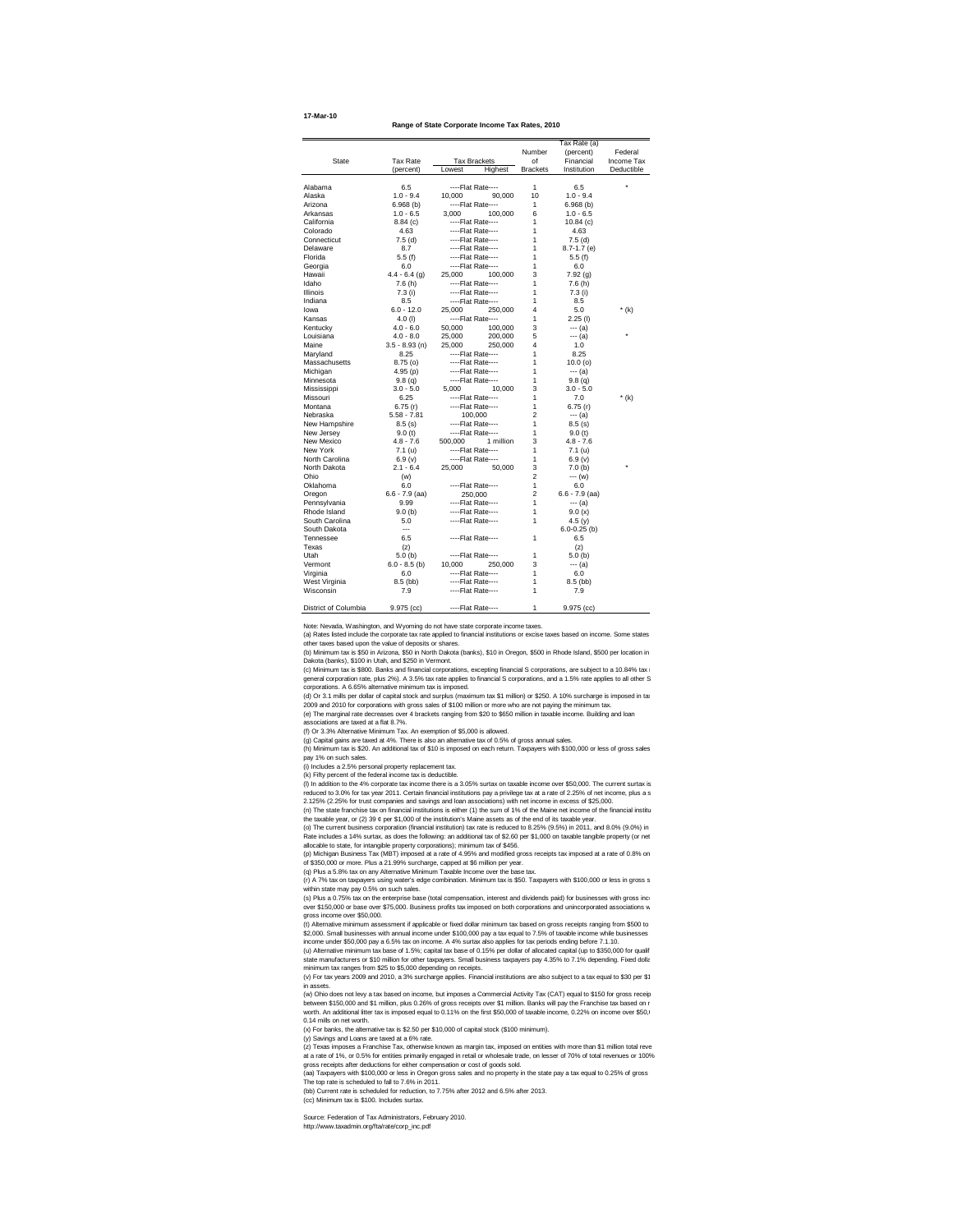**Range of State Corporate Income Tax Rates, 2010**

(c) Minimum tax is \$800. Banks and financial corporations, excepting financial S corporations, are subject to a 10.84% tax in general corporation rate, plus 2%). A 3.5% tax rate applies to financial S corporations, and a 1.5% rate applies to all other S corporations. A 6.65% alternative minimum tax is imposed.

District of Columbia 9.975 (cc) 1 9.975 (cc)

Note: Nevada, Washington, and Wyoming do not have state corporate income taxes.

(a) Rates listed include the corporate tax rate applied to financial institutions or excise taxes based on income. Some states other taxes based upon the value of deposits or shares.

(b) Minimum tax is \$50 in Arizona, \$50 in North Dakota (banks), \$10 in Oregon, \$500 in Rhode Island, \$500 per location in Dakota (banks), \$100 in Utah, and \$250 in Vermont.

(s) Plus a 0.75% tax on the enterprise base (total compensation, interest and dividends paid) for businesses with gross inco over \$150,000 or base over \$75,000. Business profits tax imposed on both corporations and unincorporated associations w gross income over \$50,000.

(d) Or 3.1 mills per dollar of capital stock and surplus (maximum tax \$1 million) or \$250. A 10% surcharge is imposed in tax 2009 and 2010 for corporations with gross sales of \$100 million or more who are not paying the minimum tax.

(e) The marginal rate decreases over 4 brackets ranging from \$20 to \$650 million in taxable income. Building and loan associations are taxed at a flat 8.7%.

(f) Or 3.3% Alternative Minimum Tax. An exemption of \$5,000 is allowed.

(g) Capital gains are taxed at 4%. There is also an alternative tax of 0.5% of gross annual sales.

(h) Minimum tax is \$20. An additional tax of \$10 is imposed on each return. Taxpayers with \$100,000 or less of gross sales pay 1% on such sales.

(i) Includes a 2.5% personal property replacement tax.

(k) Fifty percent of the federal income tax is deductible.

(l) In addition to the 4% corporate tax income there is a 3.05% surtax on taxable income over \$50,000. The current surtax is reduced to 3.0% for tax year 2011. Certain financial institutions pay a privilege tax at a rate of 2.25% of net income, plus a s 2.125% (2.25% for trust companies and savings and loan associations) with net income in excess of \$25,000.

(n) The state franchise tax on financial institutions is either (1) the sum of 1% of the Maine net income of the financial institu the taxable year, or (2) 39 ¢ per \$1,000 of the institution's Maine assets as of the end of its taxable year.

|                |                    |                     |           |                         | Tax Rate (a)     |            |
|----------------|--------------------|---------------------|-----------|-------------------------|------------------|------------|
|                |                    |                     |           | Number<br>of            | (percent)        | Federal    |
| <b>State</b>   | <b>Tax Rate</b>    | <b>Tax Brackets</b> |           |                         | Financial        | Income Tax |
|                | (percent)          | Lowest              | Highest   | <b>Brackets</b>         | Institution      | Deductible |
| Alabama        | 6.5                | ----Flat Rate----   |           | 1                       | 6.5              |            |
| Alaska         | $1.0 - 9.4$        | 10,000              | 90,000    | 10                      | $1.0 - 9.4$      |            |
| Arizona        | 6.968(b)           | ----Flat Rate----   |           | 1                       | 6.968(b)         |            |
| Arkansas       | $1.0 - 6.5$        | 3,000               | 100,000   | 6                       | $1.0 - 6.5$      |            |
| California     | 8.84(c)            | ----Flat Rate----   |           | 1                       | 10.84(c)         |            |
| Colorado       | 4.63               | ----Flat Rate----   |           | 1                       | 4.63             |            |
| Connecticut    | 7.5(d)             | ----Flat Rate----   |           | 1                       | 7.5(d)           |            |
| Delaware       | 8.7                | ----Flat Rate----   |           | 1                       | $8.7 - 1.7$ (e)  |            |
| Florida        | 5.5(f)             | ----Flat Rate----   |           | 1                       | 5.5(f)           |            |
| Georgia        | 6.0                | ----Flat Rate----   |           | 1                       | 6.0              |            |
| Hawaii         | $4.4 - 6.4$ (g)    | 25,000              | 100,000   | 3                       | 7.92(g)          |            |
| Idaho          | 7.6(h)             | ----Flat Rate----   |           | 1                       | 7.6(h)           |            |
| Illinois       | 7.3(i)             | ----Flat Rate----   |           | 1                       | 7.3(i)           |            |
| Indiana        | 8.5                | ----Flat Rate----   |           | 1                       | 8.5              |            |
| lowa           | $6.0 - 12.0$       | 25,000              | 250,000   | 4                       | 5.0              | $*(k)$     |
| Kansas         | $4.0$ (l)          | ----Flat Rate----   |           | 1                       | $2.25$ (l)       |            |
| Kentucky       | $4.0 - 6.0$        | 50,000              | 100,000   | 3                       | $-- (a)$         |            |
| Louisiana      | $4.0 - 8.0$        | 25,000              | 200,000   | 5                       | $--- (a)$        | $\star$    |
| Maine          | $3.5 - 8.93$ (n)   | 25,000              | 250,000   | 4                       | 1.0              |            |
| Maryland       | 8.25               | ----Flat Rate----   |           | 1                       | 8.25             |            |
| Massachusetts  | 8.75(0)            | ----Flat Rate----   |           | 1                       | 10.0 (o)         |            |
| Michigan       | 4.95(p)            | ----Flat Rate----   |           | 1                       | $--- (a)$        |            |
| Minnesota      | 9.8 <sub>(q)</sub> | ----Flat Rate----   |           | 1                       | 9.8(q)           |            |
| Mississippi    | $3.0 - 5.0$        | 5,000               | 10,000    | 3                       | $3.0 - 5.0$      |            |
| Missouri       | 6.25               | ----Flat Rate----   |           | 1                       | 7.0              | $*(k)$     |
| Montana        | 6.75(r)            | ----Flat Rate----   |           | 1                       | 6.75(r)          |            |
| Nebraska       | $5.58 - 7.81$      | 100,000             |           | 2                       | $--- (a)$        |            |
| New Hampshire  | 8.5(s)             | ----Flat Rate----   |           | 1                       | 8.5(s)           |            |
| New Jersey     | 9.0(t)             | ----Flat Rate----   |           | 1                       | 9.0(t)           |            |
| New Mexico     | $4.8 - 7.6$        | 500,000             | 1 million | 3                       | $4.8 - 7.6$      |            |
| New York       | 7.1 (u)            | ----Flat Rate----   |           | 1                       | 7.1 (u)          |            |
| North Carolina | 6.9 (v)            | ----Flat Rate----   |           | 1                       | 6.9(y)           |            |
| North Dakota   | $2.1 - 6.4$        | 25,000              | 50,000    | 3                       | 7.0(b)           | $\star$    |
| Ohio           | (w)                |                     |           | $\overline{\mathbf{c}}$ | $---(w)$         |            |
| Oklahoma       | 6.0                | ----Flat Rate----   |           | 1                       | 6.0              |            |
| Oregon         | $6.6 - 7.9$ (aa)   | 250,000             |           | 2                       | $6.6 - 7.9$ (aa) |            |
| Pennsylvania   | 9.99               | ----Flat Rate----   |           | 1                       | $--- (a)$        |            |
| Rhode Island   | 9.0(b)             | ----Flat Rate----   |           | 1                       | 9.0(x)           |            |
| South Carolina | 5.0                | ----Flat Rate----   |           | 1                       | 4.5 $(y)$        |            |
| South Dakota   | ---                |                     |           |                         | $6.0 - 0.25$ (b) |            |
| Tennessee      | 6.5                | ----Flat Rate----   |           | 1                       | 6.5              |            |
| Texas          | (z)                |                     |           |                         | (z)              |            |
| Utah           | 5.0(b)             | ----Flat Rate----   |           | 1                       | 5.0(b)           |            |
| Vermont        | $6.0 - 8.5$ (b)    | 10,000              | 250,000   | 3                       | $--- (a)$        |            |
| Virginia       | 6.0                | ----Flat Rate----   |           | 1                       | 6.0              |            |
| West Virginia  | $8.5$ (bb)         | ----Flat Rate----   |           | 1                       | $8.5$ (bb)       |            |
| Wisconsin      | 7.9                | ----Flat Rate----   |           | 1                       | 7.9              |            |
|                |                    |                     |           |                         |                  |            |

(o) The current business corporation (financial institution) tax rate is reduced to 8.25% (9.5%) in 2011, and 8.0% (9.0%) in Rate includes a 14% surtax, as does the following: an additional tax of \$2.60 per \$1,000 on taxable tangible property (or net allocable to state, for intangible property corporations); minimum tax of \$456.

(p) Michigan Business Tax (MBT) imposed at a rate of 4.95% and modified gross receipts tax imposed at a rate of 0.8% on of \$350,000 or more. Plus a 21.99% surcharge, capped at \$6 million per year.

(q) Plus a 5.8% tax on any Alternative Minimum Taxable Income over the base tax.

(r) A 7% tax on taxpayers using water's edge combination. Minimum tax is \$50. Taxpayers with \$100,000 or less in gross s within state may pay 0.5% on such sales.

(t) Alternative minimum assessment if applicable or fixed dollar minimum tax based on gross receipts ranging from \$500 to \$2,000. Small businesses with annual income under \$100,000 pay a tax equal to 7.5% of taxable income while businesses income under \$50,000 pay a 6.5% tax on income. A 4% surtax also applies for tax periods ending before 7.1.10.

(u) Alternative minimum tax base of 1.5%; capital tax base of 0.15% per dollar of allocated capital (up to \$350,000 for qualif state manufacturers or \$10 million for other taxpayers. Small business taxpayers pay 4.35% to 7.1% depending. Fixed dolla minimum tax ranges from \$25 to \$5,000 depending on receipts.

(v) For tax years 2009 and 2010, a 3% surcharge applies. Financial institutions are also subject to a tax equal to \$30 per \$1 in assets.

(w) Ohio does not levy a tax based on income, but imposes a Commercial Activity Tax (CAT) equal to \$150 for gross receip between \$150,000 and \$1 million, plus 0.26% of gross receipts over \$1 million. Banks will pay the Franchise tax based on n worth. An additional litter tax is imposed equal to 0.11% on the first \$50,000 of taxable income, 0.22% on income over \$50,0 0.14 mills on net worth.

(x) For banks, the alternative tax is \$2.50 per \$10,000 of capital stock (\$100 minimum).

(y) Savings and Loans are taxed at a 6% rate.

(z) Texas imposes a Franchise Tax, otherwise known as margin tax, imposed on entities with more than \$1 million total reve at a rate of 1%, or 0.5% for entities primarily engaged in retail or wholesale trade, on lesser of 70% of total revenues or 100% gross receipts after deductions for either compensation or cost of goods sold.

(aa) Taxpayers with \$100,000 or less in Oregon gross sales and no property in the state pay a tax equal to 0.25% of gross The top rate is scheduled to fall to 7.6% in 2011.

(bb) Current rate is scheduled for reduction, to 7.75% after 2012 and 6.5% after 2013. (cc) Minimum tax is \$100. Includes surtax.

Source: Federation of Tax Administrators, February 2010. http://www.taxadmin.org/fta/rate/corp\_inc.pdf

----Flat Rate----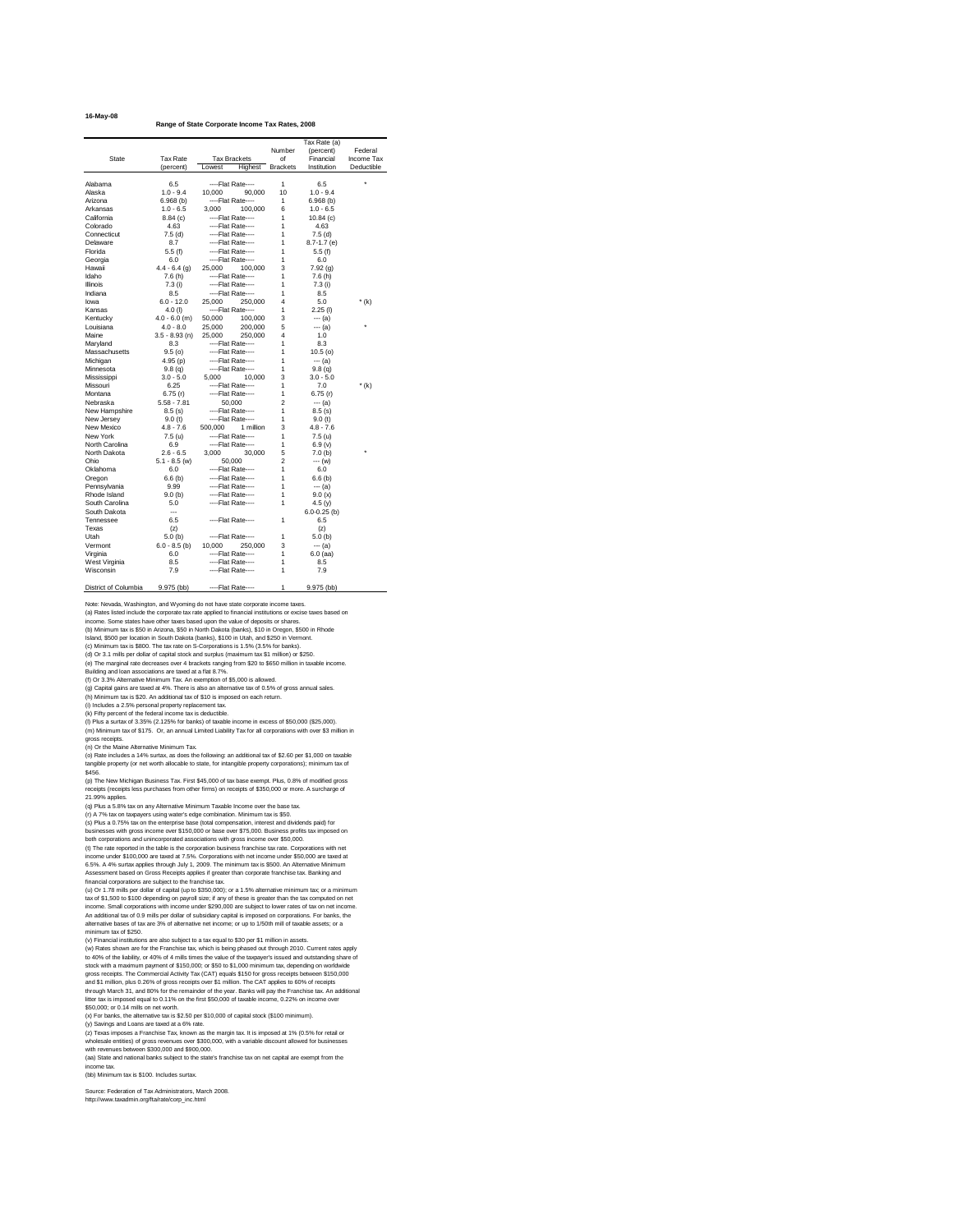|  | 16-May-08 |
|--|-----------|
|--|-----------|

**Range of State Corporate Income Tax Rates, 2008**

Note: Nevada, Washington, and Wyoming do not have state corporate income taxes. (a) Rates listed include the corporate tax rate applied to financial institutions or excise taxes based on income. Some states have other taxes based upon the value of deposits or shares.

(b) Minimum tax is \$50 in Arizona, \$50 in North Dakota (banks), \$10 in Oregon, \$500 in Rhode

Island, \$500 per location in South Dakota (banks), \$100 in Utah, and \$250 in Vermont.

(c) Minimum tax is \$800. The tax rate on S-Corporations is 1.5% (3.5% for banks).

(d) Or 3.1 mills per dollar of capital stock and surplus (maximum tax \$1 million) or \$250.

(e) The marginal rate decreases over 4 brackets ranging from \$20 to \$650 million in taxable income. Building and loan associations are taxed at a flat 8.7%.

(f) Or 3.3% Alternative Minimum Tax. An exemption of \$5,000 is allowed.

(g) Capital gains are taxed at 4%. There is also an alternative tax of 0.5% of gross annual sales.

(h) Minimum tax is \$20. An additional tax of \$10 is imposed on each return.

(i) Includes a 2.5% personal property replacement tax.

(k) Fifty percent of the federal income tax is deductible.

(l) Plus a surtax of 3.35% (2.125% for banks) of taxable income in excess of \$50,000 (\$25,000). (m) Minimum tax of \$175. Or, an annual Limited Liability Tax for all corporations with over \$3 million in

gross receipts.

(n) Or the Maine Alternative Minimum Tax.

(o) Rate includes a 14% surtax, as does the following: an additional tax of \$2.60 per \$1,000 on taxable tangible property (or net worth allocable to state, for intangible property corporations); minimum tax of \$456.

(p) The New Michigan Business Tax. First \$45,000 of tax base exempt. Plus, 0.8% of modified gross receipts (receipts less purchases from other firms) on receipts of \$350,000 or more. A surcharge of 21.99% applies.

|                                |                          |                                        | Number              | Tax Rate (a)<br>(percent) | Federal    |
|--------------------------------|--------------------------|----------------------------------------|---------------------|---------------------------|------------|
| <b>State</b>                   | <b>Tax Rate</b>          | <b>Tax Brackets</b>                    | of                  | Financial                 | Income Tax |
|                                |                          |                                        | <b>Brackets</b>     | Institution               | Deductible |
|                                | (percent)                | Lowest<br>Highest                      |                     |                           |            |
| Alabama                        | 6.5                      | ----Flat Rate----                      | 1                   | 6.5                       | $\star$    |
| Alaska                         | $1.0 - 9.4$              | 10,000<br>90,000                       | 10                  | $1.0 - 9.4$               |            |
| Arizona                        | 6.968(b)                 | ----Flat Rate----                      | 1                   | 6.968(b)                  |            |
| Arkansas                       | $1.0 - 6.5$              | 3,000<br>100,000                       | 6                   | $1.0 - 6.5$               |            |
| California                     | 8.84(c)                  | ----Flat Rate----                      | 1                   | 10.84(c)                  |            |
| Colorado                       | 4.63                     | ----Flat Rate----                      | 1                   | 4.63                      |            |
| Connecticut                    | 7.5(d)                   | ----Flat Rate----                      | 1                   | 7.5(d)                    |            |
| Delaware                       | 8.7                      | ----Flat Rate----                      | 1                   | $8.7 - 1.7$ (e)           |            |
| Florida                        | 5.5(f)                   | ----Flat Rate----                      | 1                   | 5.5(f)                    |            |
| Georgia                        | 6.0                      | ----Flat Rate----                      | 1                   | 6.0                       |            |
| Hawaii                         | $4.4 - 6.4$ (g)          | 25,000<br>100,000                      | 3                   | 7.92(g)                   |            |
| Idaho                          | 7.6(h)                   | ----Flat Rate----                      | 1                   | 7.6(h)                    |            |
| <b>Illinois</b>                | 7.3(i)                   | ----Flat Rate----                      | 1                   | 7.3(i)                    |            |
| Indiana                        | 8.5                      | ----Flat Rate----                      | 1                   | 8.5                       |            |
| lowa                           | $6.0 - 12.0$             | 25,000<br>250,000                      | 4                   | 5.0                       | $*(k)$     |
| Kansas                         | $4.0$ (l)                |                                        | 1                   | $2.25$ (l)                |            |
|                                | $4.0 - 6.0$ (m)          | ----Flat Rate----                      | 3                   |                           |            |
| Kentucky                       | $4.0 - 8.0$              | 50,000<br>100,000<br>200,000           | 5                   | $--- (a)$                 | $\star$    |
| Louisiana                      |                          | 25,000                                 | 4                   | $-- (a)$                  |            |
| Maine                          | $3.5 - 8.93$ (n)         | 25,000<br>250,000                      |                     | 1.0                       |            |
| Maryland                       | 8.3                      | ----Flat Rate----                      | 1                   | 8.3                       |            |
| Massachusetts                  | 9.5(0)                   | ----Flat Rate----                      | 1                   | 10.5(0)                   |            |
| Michigan                       | 4.95(p)                  | ----Flat Rate----<br>----Flat Rate---- | 1<br>1              | $--- (a)$                 |            |
| Minnesota                      | 9.8(q)                   |                                        |                     | 9.8 <sub>(q)</sub>        |            |
| Mississippi<br>Missouri        | $3.0 - 5.0$<br>6.25      | 5,000<br>10,000                        | 3<br>1              | $3.0 - 5.0$               |            |
|                                |                          | ----Flat Rate----                      |                     | 7.0                       | $*(k)$     |
| Montana<br>Nebraska            | 6.75(r)<br>$5.58 - 7.81$ | ----Flat Rate----                      | 1<br>$\overline{2}$ | 6.75(r)                   |            |
|                                | 8.5(s)                   | 50,000<br>----Flat Rate----            | 1                   | $-- (a)$                  |            |
| New Hampshire                  |                          | ----Flat Rate----                      | 1                   | 8.5(s)                    |            |
| New Jersey<br>New Mexico       | 9.0(t)<br>$4.8 - 7.6$    | 1 million<br>500,000                   | 3                   | 9.0(t)<br>$4.8 - 7.6$     |            |
| New York                       | 7.5 (u)                  |                                        |                     |                           |            |
| North Carolina                 |                          | ----Flat Rate----                      | 1                   | 7.5 (u)                   |            |
| North Dakota                   | 6.9<br>$2.6 - 6.5$       | ----Flat Rate----                      | 1                   | 6.9 (v)                   | $^\star$   |
| Ohio                           |                          | 3,000<br>30,000                        | 5<br>2              | 7.0(b)                    |            |
| Oklahoma                       | $5.1 - 8.5$ (w)          | 50,000                                 | 1                   | --- (w)                   |            |
|                                | 6.0                      | ----Flat Rate----                      | 1                   | 6.0                       |            |
| Oregon                         | 6.6(b)                   | ----Flat Rate----                      |                     | 6.6(b)                    |            |
| Pennsylvania                   | 9.99                     | ----Flat Rate----                      | 1                   | $--- (a)$                 |            |
| Rhode Island<br>South Carolina | 9.0(b)                   | ----Flat Rate----                      | 1                   | 9.0(x)                    |            |
| South Dakota                   | 5.0                      | ----Flat Rate----                      | 1                   | 4.5(y)                    |            |
| Tennessee                      | $\qquad \qquad -$<br>6.5 | ----Flat Rate----                      |                     | $6.0 - 0.25$ (b)<br>6.5   |            |
| Texas                          |                          |                                        | 1                   |                           |            |
| Utah                           | (z)                      | ----Flat Rate----                      |                     | (z)                       |            |
|                                | 5.0(b)                   |                                        | 1                   | 5.0(b)                    |            |
| Vermont                        | $6.0 - 8.5$ (b)          | 10,000<br>250,000                      | 3                   | --- (a)                   |            |
| Virginia                       | 6.0                      | ----Flat Rate----                      | 1                   | $6.0$ (aa)                |            |
| West Virginia<br>Wisconsin     | 8.5<br>7.9               | ----Flat Rate----<br>----Flat Rate---- | 1<br>1              | 8.5                       |            |
|                                |                          |                                        |                     | 7.9                       |            |
| District of Columbia           | $9.975$ (bb)             | ----Flat Rate----                      | 1                   | $9.975$ (bb)              |            |

(q) Plus a 5.8% tax on any Alternative Minimum Taxable Income over the base tax.

(r) A 7% tax on taxpayers using water's edge combination. Minimum tax is \$50.

(s) Plus a 0.75% tax on the enterprise base (total compensation, interest and dividends paid) for businesses with gross income over \$150,000 or base over \$75,000. Business profits tax imposed on both corporations and unincorporated associations with gross income over \$50,000.

(t) The rate reported in the table is the corporation business franchise tax rate. Corporations with net income under \$100,000 are taxed at 7.5%. Corporations with net income under \$50,000 are taxed at 6.5%. A 4% surtax applies through July 1, 2009. The minimum tax is \$500. An Alternative Minimum Assessment based on Gross Receipts applies if greater than corporate franchise tax. Banking and financial corporations are subject to the franchise tax.

(u) Or 1.78 mills per dollar of capital (up to \$350,000); or a 1.5% alternative minimum tax; or a minimum tax of \$1,500 to \$100 depending on payroll size; if any of these is greater than the tax computed on net income. Small corporations with income under \$290,000 are subject to lower rates of tax on net income. An additional tax of 0.9 mills per dollar of subsidiary capital is imposed on corporations. For banks, the alternative bases of tax are 3% of alternative net income; or up to 1/50th mill of taxable assets; or a minimum tax of \$250.

(v) Financial institutions are also subject to a tax equal to \$30 per \$1 million in assets. (w) Rates shown are for the Franchise tax, which is being phased out through 2010. Current rates apply to 40% of the liability, or 40% of 4 mills times the value of the taxpayer's issued and outstanding share of stock with a maximum payment of \$150,000; or \$50 to \$1,000 minimum tax, depending on worldwide gross receipts. The Commercial Activity Tax (CAT) equals \$150 for gross receipts between \$150,000 and \$1 million, plus 0.26% of gross receipts over \$1 million. The CAT applies to 60% of receipts through March 31, and 80% for the remainder of the year. Banks will pay the Franchise tax. An additional litter tax is imposed equal to 0.11% on the first \$50,000 of taxable income, 0.22% on income over \$50,000; or 0.14 mills on net worth.

(x) For banks, the alternative tax is \$2.50 per \$10,000 of capital stock (\$100 minimum). (y) Savings and Loans are taxed at a 6% rate.

(z) Texas imposes a Franchise Tax, known as the margin tax. It is imposed at 1% (0.5% for retail or wholesale entities) of gross revenues over \$300,000, with a variable discount allowed for businesses with revenues between \$300,000 and \$900,000.

(aa) State and national banks subject to the state's franchise tax on net capital are exempt from the income tax.

(bb) Minimum tax is \$100. Includes surtax.

Source: Federation of Tax Administrators, March 2008. http://www.taxadmin.org/fta/rate/corp\_inc.html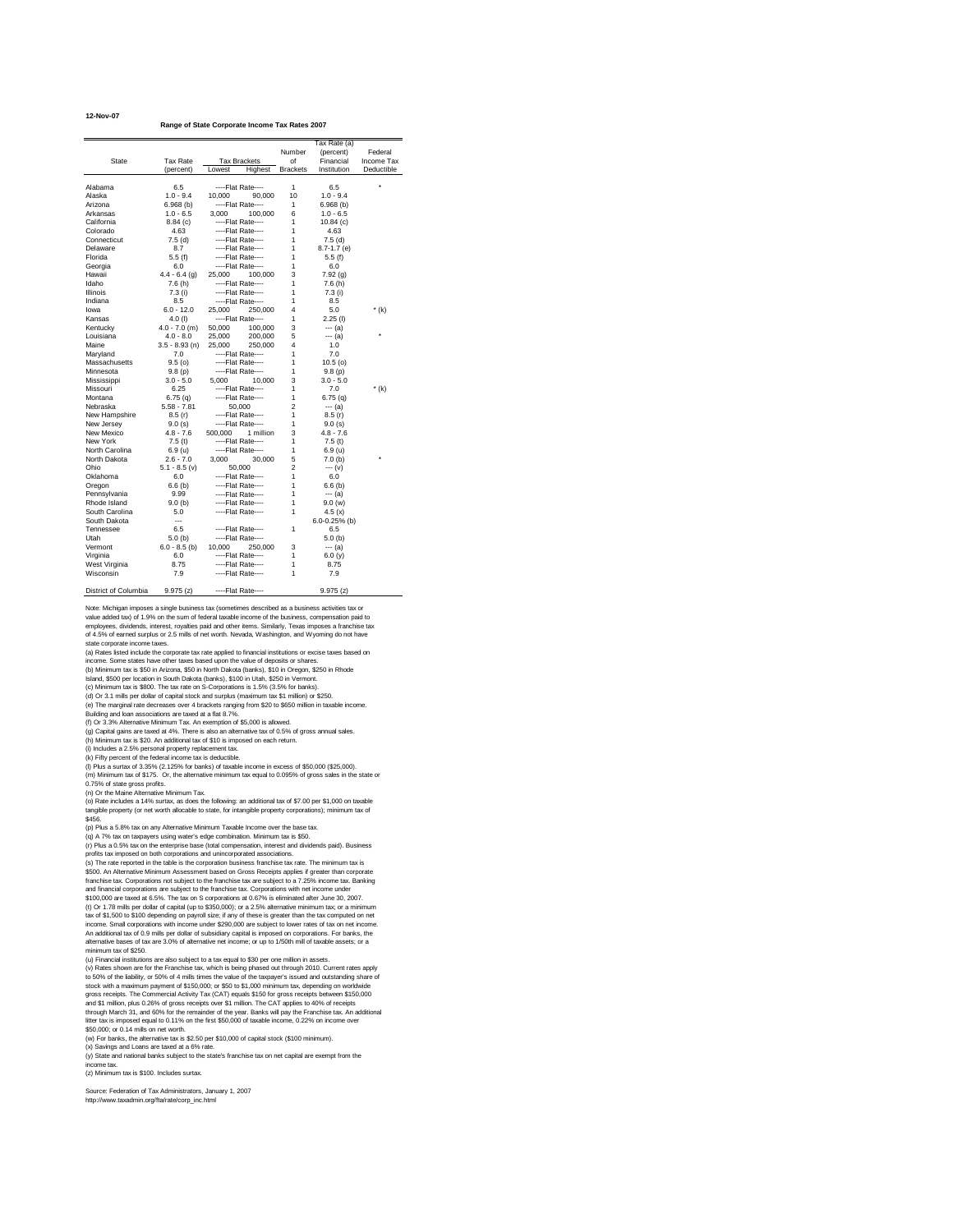**12-Nov-07**

**Range of State Corporate Income Tax Rates 2007**

Note: Michigan imposes a single business tax (sometimes described as a business activities tax or value added tax) of 1.9% on the sum of federal taxable income of the business, compensation paid to employees, dividends, interest, royalties paid and other items. Similarly, Texas imposes a franchise tax of 4.5% of earned surplus or 2.5 mills of net worth. Nevada, Washington, and Wyoming do not have

state corporate income taxes.

(a) Rates listed include the corporate tax rate applied to financial institutions or excise taxes based on

income. Some states have other taxes based upon the value of deposits or shares. (b) Minimum tax is \$50 in Arizona, \$50 in North Dakota (banks), \$10 in Oregon, \$250 in Rhode

Island, \$500 per location in South Dakota (banks), \$100 in Utah, \$250 in Vermont.

(c) Minimum tax is \$800. The tax rate on S-Corporations is 1.5% (3.5% for banks).

(d) Or 3.1 mills per dollar of capital stock and surplus (maximum tax \$1 million) or \$250.

(e) The marginal rate decreases over 4 brackets ranging from \$20 to \$650 million in taxable income.

Building and loan associations are taxed at a flat 8.7%.

(f) Or 3.3% Alternative Minimum Tax. An exemption of \$5,000 is allowed.

(g) Capital gains are taxed at 4%. There is also an alternative tax of 0.5% of gross annual sales.

(h) Minimum tax is \$20. An additional tax of \$10 is imposed on each return.

(i) Includes a 2.5% personal property replacement tax.

(k) Fifty percent of the federal income tax is deductible.

(l) Plus a surtax of 3.35% (2.125% for banks) of taxable income in excess of \$50,000 (\$25,000). (m) Minimum tax of \$175. Or, the alternative minimum tax equal to 0.095% of gross sales in the state or 0.75% of state gross profits.

(n) Or the Maine Alternative Minimum Tax.

|                      |                          |                      | Number          | Tax Rate (a)<br>(percent) | Federal           |
|----------------------|--------------------------|----------------------|-----------------|---------------------------|-------------------|
| <b>State</b>         | <b>Tax Rate</b>          | <b>Tax Brackets</b>  | of              | Financial                 | <b>Income Tax</b> |
|                      | (percent)                | Lowest<br>Highest    | <b>Brackets</b> | Institution               | Deductible        |
|                      |                          |                      |                 |                           |                   |
| Alabama              | 6.5                      | ----Flat Rate----    | $\mathbf{1}$    | 6.5                       | $\star$           |
| Alaska               | $1.0 - 9.4$              | 10,000<br>90,000     | 10              | $1.0 - 9.4$               |                   |
| Arizona              | 6.968(b)                 | ----Flat Rate----    | 1               | 6.968(b)                  |                   |
| Arkansas             | $1.0 - 6.5$              | 3,000<br>100,000     | 6               | $1.0 - 6.5$               |                   |
| California           | 8.84(c)                  | ----Flat Rate----    | 1               | 10.84(c)                  |                   |
| Colorado             | 4.63                     | ----Flat Rate----    | 1               | 4.63                      |                   |
| Connecticut          | 7.5(d)                   | ----Flat Rate----    | 1               | 7.5(d)                    |                   |
| Delaware             | 8.7                      | ----Flat Rate----    | 1               | $8.7 - 1.7$ (e)           |                   |
| Florida              | 5.5(f)                   | ----Flat Rate----    | 1               | 5.5(f)                    |                   |
| Georgia              | 6.0                      | ----Flat Rate----    | 1               | 6.0                       |                   |
| Hawaii               | $4.4 - 6.4$ (g)          | 25,000<br>100,000    | 3               | 7.92(g)                   |                   |
| Idaho                | 7.6 (h)                  | ----Flat Rate----    | 1               | 7.6(h)                    |                   |
| <b>Illinois</b>      | 7.3 (i)                  | ----Flat Rate----    | 1               | 7.3(i)                    |                   |
| Indiana              | 8.5                      | ----Flat Rate----    | 1               | 8.5                       |                   |
| Iowa                 | $6.0 - 12.0$             | 25,000<br>250,000    | 4               | 5.0                       | $*(k)$            |
| Kansas               | 4.0 $(1)$                | ----Flat Rate----    | 1               | $2.25$ (l)                |                   |
| Kentucky             | $4.0 - 7.0$ (m)          | 50,000<br>100,000    | 3               | $--- (a)$                 |                   |
| Louisiana            | $4.0 - 8.0$              | 25,000<br>200,000    | 5               | --- (a)                   | *                 |
| Maine                | $3.5 - 8.93$ (n)         | 25,000<br>250,000    | 4               | 1.0                       |                   |
| Maryland             | 7.0                      | ----Flat Rate----    | 1               | 7.0                       |                   |
| Massachusetts        | 9.5(0)                   | ----Flat Rate----    | 1               | 10.5(0)                   |                   |
| Minnesota            | 9.8(p)                   | ----Flat Rate----    | 1               | 9.8(p)                    |                   |
| Mississippi          | $3.0 - 5.0$              | 5,000<br>10,000      | 3               | $3.0 - 5.0$               |                   |
| Missouri             | 6.25                     | ----Flat Rate----    | 1               | 7.0                       | $*(k)$            |
| Montana              | 6.75(q)                  | ----Flat Rate----    | 1               | 6.75(q)                   |                   |
| Nebraska             | $5.58 - 7.81$            | 50,000               | $\overline{2}$  | $--- (a)$                 |                   |
| New Hampshire        | 8.5(r)                   | ----Flat Rate----    | 1               | 8.5(r)                    |                   |
| New Jersey           | 9.0(s)                   | ----Flat Rate----    | 1               | 9.0(s)                    |                   |
| New Mexico           | $4.8 - 7.6$              | 1 million<br>500,000 | 3               | $4.8 - 7.6$               |                   |
| New York             | 7.5(t)                   | ----Flat Rate----    | 1               | 7.5(t)                    |                   |
| North Carolina       | 6.9 (u)                  | ----Flat Rate----    | 1               | 6.9 (u)                   |                   |
| North Dakota         | $2.6 - 7.0$              | 3,000<br>30,000      | 5               | 7.0(b)                    | *                 |
| Ohio                 | $5.1 - 8.5$ (v)          | 50,000               | $\overline{2}$  | $--- (v)$                 |                   |
| Oklahoma             | 6.0                      | ----Flat Rate----    | 1               | 6.0                       |                   |
| Oregon               | 6.6(b)                   | ----Flat Rate----    | 1               | $6.6$ (b)                 |                   |
| Pennsylvania         | 9.99                     | ----Flat Rate----    | 1               | --- (a)                   |                   |
| Rhode Island         | 9.0(b)                   | ----Flat Rate----    | 1               | 9.0(w)                    |                   |
| South Carolina       | 5.0                      | ----Flat Rate----    | 1               | 4.5 $(x)$                 |                   |
| South Dakota         | $\overline{\phantom{a}}$ |                      |                 | $6.0 - 0.25%$ (b)         |                   |
| Tennessee            | 6.5                      | ----Flat Rate----    | 1               | 6.5                       |                   |
| Utah                 | 5.0(b)                   | ----Flat Rate----    |                 | 5.0(b)                    |                   |
| Vermont              | $6.0 - 8.5$ (b)          | 250,000<br>10,000    | 3               | --- (a)                   |                   |
| Virginia             | 6.0                      | ----Flat Rate----    | 1               |                           |                   |
| West Virginia        | 8.75                     | ----Flat Rate----    | 1               | 6.0 $(y)$<br>8.75         |                   |
| Wisconsin            | 7.9                      | ----Flat Rate----    | 1               | 7.9                       |                   |
|                      |                          |                      |                 |                           |                   |
| District of Columbia | 9.975(z)                 | ----Flat Rate----    |                 | 9.975(z)                  |                   |

(o) Rate includes a 14% surtax, as does the following: an additional tax of \$7.00 per \$1,000 on taxable tangible property (or net worth allocable to state, for intangible property corporations); minimum tax of \$456.

(p) Plus a 5.8% tax on any Alternative Minimum Taxable Income over the base tax.

(q) A 7% tax on taxpayers using water's edge combination. Minimum tax is \$50.

(r) Plus a 0.5% tax on the enterprise base (total compensation, interest and dividends paid). Business profits tax imposed on both corporations and unincorporated associations.

(s) The rate reported in the table is the corporation business franchise tax rate. The minimum tax is \$500. An Alternative Minimum Assessment based on Gross Receipts applies if greater than corporate franchise tax. Corporations not subject to the franchise tax are subject to a 7.25% income tax. Banking and financial corporations are subject to the franchise tax. Corporations with net income under

\$100,000 are taxed at 6.5%. The tax on S corporations at 0.67% is eliminated after June 30, 2007. (t) Or 1.78 mills per dollar of capital (up to \$350,000); or a 2.5% alternative minimum tax; or a minimum tax of \$1,500 to \$100 depending on payroll size; if any of these is greater than the tax computed on net income. Small corporations with income under \$290,000 are subject to lower rates of tax on net income. An additional tax of 0.9 mills per dollar of subsidiary capital is imposed on corporations. For banks, the alternative bases of tax are 3.0% of alternative net income; or up to 1/50th mill of taxable assets; or a minimum tax of \$250.

(u) Financial institutions are also subject to a tax equal to \$30 per one million in assets. (v) Rates shown are for the Franchise tax, which is being phased out through 2010. Current rates apply to 50% of the liability, or 50% of 4 mills times the value of the taxpayer's issued and outstanding share of stock with a maximum payment of \$150,000; or \$50 to \$1,000 minimum tax, depending on worldwide gross receipts. The Commercial Activity Tax (CAT) equals \$150 for gross receipts between \$150,000 and \$1 million, plus 0.26% of gross receipts over \$1 million. The CAT applies to 40% of receipts through March 31, and 60% for the remainder of the year. Banks will pay the Franchise tax. An additional litter tax is imposed equal to 0.11% on the first \$50,000 of taxable income, 0.22% on income over \$50,000; or 0.14 mills on net worth.

(w) For banks, the alternative tax is \$2.50 per \$10,000 of capital stock (\$100 minimum). (x) Savings and Loans are taxed at a 6% rate.

(y) State and national banks subject to the state's franchise tax on net capital are exempt from the income tax.

(z) Minimum tax is \$100. Includes surtax.

Source: Federation of Tax Administrators, January 1, 2007 http://www.taxadmin.org/fta/rate/corp\_inc.html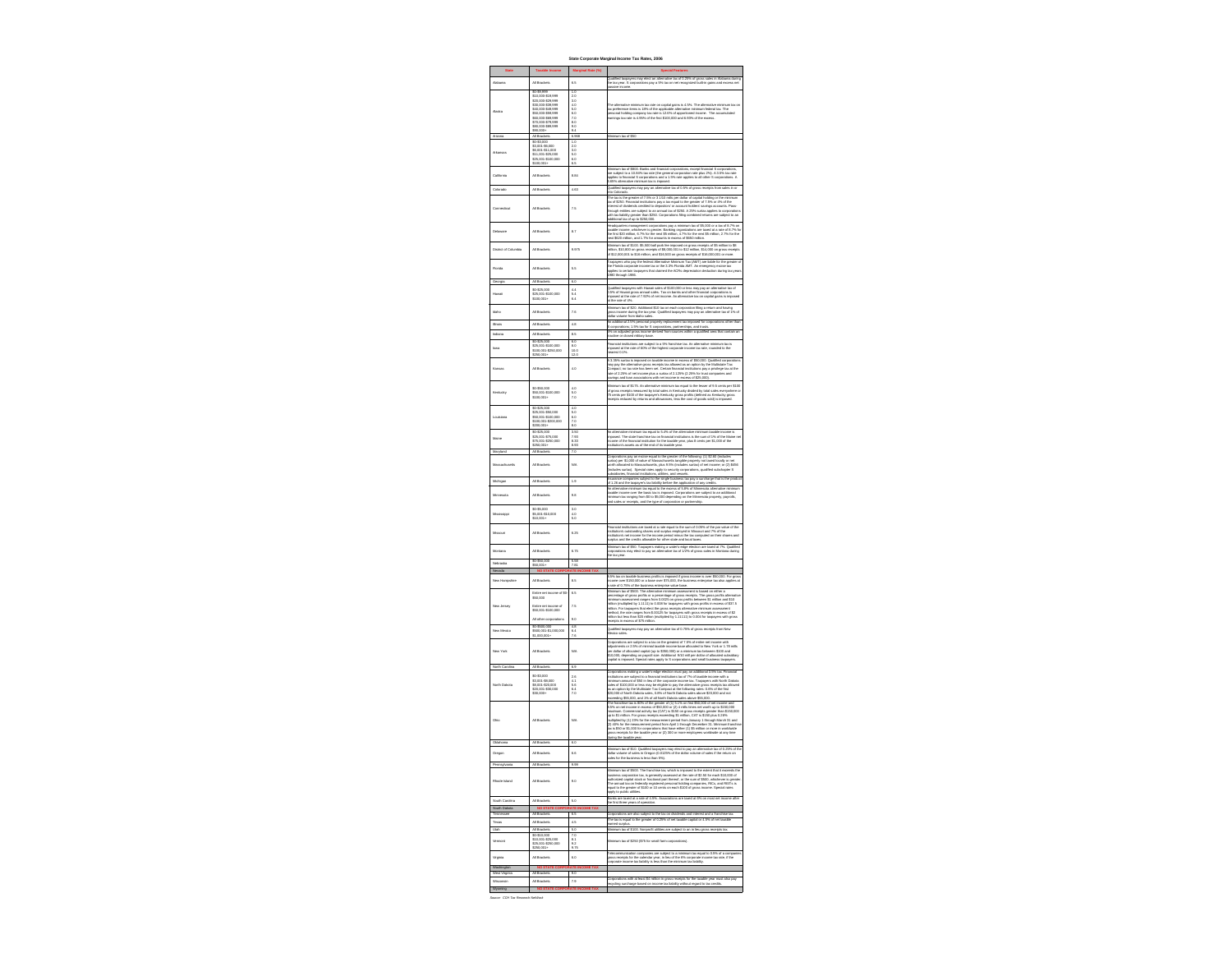# **State Corporate Marginal Income Tax Rates, 2006**

| <b>Special Features</b>                                                                                                                                                                                                                                                                                                                                                                                                                                                                                                                                                                                                                                                                                                                                                                                                                                                                                                                      |
|----------------------------------------------------------------------------------------------------------------------------------------------------------------------------------------------------------------------------------------------------------------------------------------------------------------------------------------------------------------------------------------------------------------------------------------------------------------------------------------------------------------------------------------------------------------------------------------------------------------------------------------------------------------------------------------------------------------------------------------------------------------------------------------------------------------------------------------------------------------------------------------------------------------------------------------------|
| Qualified taxpayers may elect an alternative tax of 0.25% of gross sales in Alabama during<br>the tax year. S corporations pay a 5% tax on net recognized built-in gains and excess net<br>passive income.                                                                                                                                                                                                                                                                                                                                                                                                                                                                                                                                                                                                                                                                                                                                   |
| The alternative minimum tax rate on capital gains is 4.5%. The alternative minimum tax on<br>tax preference items is 18% of the applicable alternative minimum federal tax. The<br>personal holding company tax rate is 12.6% of apportioned income. The accumulated<br>earnings tax rate is 4.95% of the first \$100,000 and 6.93% of the excess.                                                                                                                                                                                                                                                                                                                                                                                                                                                                                                                                                                                           |
| Minimum tax of \$50                                                                                                                                                                                                                                                                                                                                                                                                                                                                                                                                                                                                                                                                                                                                                                                                                                                                                                                          |
|                                                                                                                                                                                                                                                                                                                                                                                                                                                                                                                                                                                                                                                                                                                                                                                                                                                                                                                                              |
| Minimum tax of \$800. Banks and financial corporations, except financial S corporations,<br>are subject to a 10.84% tax rate (the general corporation rate plus 2%). A 3.5% tax rate<br>applies to financial S corporations and a 1.5% rate applies to all other S corporations. A<br>6.65% alternative minimum tax is imposed.<br>Qualified taxpayers may pay an alternative tax of 0.5% of gross receipts from sales in or                                                                                                                                                                                                                                                                                                                                                                                                                                                                                                                 |
| into Colorado.<br>The tax is the greater of 7.5% or 3 1/10 mills per dollar of capital holding or the minimum<br>tax of \$250. Financial institutions pay a tax equal to the greater of 7.5% or 4% of the<br>interest of dividends credited to depositors' or account holders' savings accounts. Pass-<br>through entities are subject to an annual tax of \$250. A 25% surtax applies to corporations<br>with tax liability greater than \$250. Corporations filing combined returns are subject to an<br>additional tax of up to \$250,000.                                                                                                                                                                                                                                                                                                                                                                                                |
| Headquarters management corporations pay a minimum tax of \$5,000 or a tax of 8.7% on<br>taxable income, whichever is greater. Banking organizations are taxed at a rate of 8.7% for<br>the first \$20 million, 6.7% for the next \$5 million, 4.7% for the next \$5 million, 2.7% for the<br>next \$620 million, and 1.7% for amounts in excess of \$650 million.                                                                                                                                                                                                                                                                                                                                                                                                                                                                                                                                                                           |
| Minimum tax of \$100. \$5,500 ball park fee imposed on gross receipts of \$5 million to \$8<br>million, \$10,800 on gross receipts of \$8,000,001 to \$12 million, \$14,000 on gross receipts<br>of \$12,000,001 to \$16 million, and \$16,500 on gross receipts of \$16,000,001 or more.                                                                                                                                                                                                                                                                                                                                                                                                                                                                                                                                                                                                                                                    |
| Taxpayers who pay the federal Alternative Minimum Tax (AMT) are liable for the greater of<br>the Florida corporate income tax or the 3.3% Florida AMT. An emergency excise tax<br>applies to certain taxpayers that claimed the ACRs depreciation deduction during tax years<br>1980 through 1986.                                                                                                                                                                                                                                                                                                                                                                                                                                                                                                                                                                                                                                           |
| Qualified taxpayers with Hawaii sales of \$100,000 or less may pay an alternative tax of<br>0.5% of Hawaii gross annual sales. Tax on banks and other financial corporations is<br>imposed at the rate of 7.92% of net income. An alternative tax on capital gains is imposed<br>at the rate of 4%.                                                                                                                                                                                                                                                                                                                                                                                                                                                                                                                                                                                                                                          |
| Minimum tax of \$20. Additional \$10 tax on each corporation filing a return and having<br>gross income during the tax year. Qualified taxpayers may pay an alternative tax of 1% of<br>dollar volume from Idaho sales.<br>An additional 2.5% personal property replacement tax imposed for corporations other than                                                                                                                                                                                                                                                                                                                                                                                                                                                                                                                                                                                                                          |
| S corporations; 1.5% tax for S corporations, partnerships, and trusts.<br>5% on adjusted gross income derived from sources within a qualified area that contain an<br>inactive or closed military base.                                                                                                                                                                                                                                                                                                                                                                                                                                                                                                                                                                                                                                                                                                                                      |
| Financial institutions are subject to a 5% franchise tax. An alternative minimum tax is<br>imposed at the rate of 60% of the highest corporate income tax rate, rounded to the<br>nearest 0.1%.                                                                                                                                                                                                                                                                                                                                                                                                                                                                                                                                                                                                                                                                                                                                              |
| A 3.35% surtax is imposed on taxable income in excess of \$50,000. Qualified corporations<br>may pay the alternative gross receipts tax allowed as an option by the Multistate Tax<br>Compact; no tax rate has been set. Certain financial institutions pay a privilege tax at the<br>rate of 2.25% of net income plus a surtax of 2.125% (2.25% for trust companies and<br>savings and loan associations with net income in excess of \$25,000).                                                                                                                                                                                                                                                                                                                                                                                                                                                                                            |
| Minimum tax of \$175. An alternative minimum tax equal to the lesser of 9.5 cents per \$100<br>of gross receipts measured by total sales in Kentucky divided by total sales everywhere or<br>75 cents per \$100 of the taxpayer's Kentucky gross profits (defined as Kentucky gross<br>receipts reduced by returns and allowances, less the cost of goods sold) is imposed.                                                                                                                                                                                                                                                                                                                                                                                                                                                                                                                                                                  |
|                                                                                                                                                                                                                                                                                                                                                                                                                                                                                                                                                                                                                                                                                                                                                                                                                                                                                                                                              |
| An alternative minimum tax equal to 5.4% of the alternative minimum taxable income is<br>imposed. The state franchise tax on financial institutions is the sum of 1% of the Maine net<br>income of the financial institution for the taxable year, plus 8 cents per \$1,000 of the<br>institution's assets as of the end of its taxable year.                                                                                                                                                                                                                                                                                                                                                                                                                                                                                                                                                                                                |
| Corporations pay an excise equal to the greater of the following: (1) \$2.60 (includes<br>surtax) per \$1,000 of value of Massachusetts tangible property not taxed locally or net<br>worth allocated to Massachusetts, plus 9.5% (includes surtax) of net income; or (2) \$456<br>(includes surtax). Special rates apply to security corporations, qualified subchapter S<br>subsidiaries, financial institutions, utilities, and vessels.                                                                                                                                                                                                                                                                                                                                                                                                                                                                                                  |
| Insurance companies subject to the single business tax pay a surcharge that is the product<br>of 1.26 and the taxpayer's tax liability before the application of any credits.<br>An alternative minimum tax equal to the excess of 5.8% of Minnesota alternative minimum                                                                                                                                                                                                                                                                                                                                                                                                                                                                                                                                                                                                                                                                     |
| taxable income over the basic tax is imposed. Corporations are subject to an additional<br>minimum tax ranging from \$0 to \$5,000 depending on the Minnesota property, payrolls,<br>and sales or receipts, and the type of corporation or partnership.                                                                                                                                                                                                                                                                                                                                                                                                                                                                                                                                                                                                                                                                                      |
| Financial institutions are taxed at a rate equal to the sum of 0.05% of the par value of the<br>institution's outstanding shares and surplus employed in Missouri and 7% of the<br>institution's net income for the income period minus the tax computed on their shares and<br>surplus and the credits allowable for other state and local taxes.<br>Minimum tax of \$50. Taxpayers making a water's-edge election are taxed at 7%. Qualified<br>corporations may elect to pay an alternative tax of 1/2% of gross sales in Montana during<br>the tax year.                                                                                                                                                                                                                                                                                                                                                                                 |
| 8.5% tax on taxable business profits is imposed if gross income is over \$50,000. For gross<br>income over \$150,000 or a base over \$75,000, the business enterprise tax also applies at                                                                                                                                                                                                                                                                                                                                                                                                                                                                                                                                                                                                                                                                                                                                                    |
| a rate of 0.75% of the business enterprise value base.<br>Minimum tax of \$500. The alternative minimum assessment is based on either a<br>percentage of gross profits or a percentage of gross receipts. The gross profits alternative<br>minimum assessment ranges from 0.0025 on gross profits between \$1 million and \$10<br>million (multiplied by 1.1111) to 0.008 for taxpayers with gross profits in excess of \$37.5<br>million. For taxpayers that elect the gross receipts alternative minimum assessment<br>method, the rate ranges from \$.00125 for taxpayers with gross receipts in excess of \$2<br>million but less than \$20 million (multiplied by 1.11111) to 0.004 for taxpayers with gross                                                                                                                                                                                                                            |
| receipts in excess of \$75 million.<br>Qualified taxpayers may pay an alternative tax of 0.75% of gross receipts from New<br>Mexico sales.                                                                                                                                                                                                                                                                                                                                                                                                                                                                                                                                                                                                                                                                                                                                                                                                   |
| Corporations are subject to a tax on the greatest of 7.5% of entire net income with<br>adjustments or 2.5% of minimal taxable income base allocated to New York or 1.78 mills<br>per dollar of allocated capital (up to \$350,000) or a minimum tax between \$100 and<br>\$10,000, depending on payroll size. Additional 9/10 mill per dollar of allocated subsidiary<br>capital is imposed. Special rates apply to S corporations and small business taxpayers.                                                                                                                                                                                                                                                                                                                                                                                                                                                                             |
| Corporations making a water's-edge election must pay an additional 3.5% tax. Financial<br>institutions are subject to a financial institutions tax of 7% of taxable income with a<br>minimum amount of \$50 in lieu of the corporate income tax. Taxpayers with North Dakota<br>sales of \$100,000 or less may be eligible to pay the alternative gross receipts tax allowed<br>as an option by the Multistate Tax Compact at the following rates: 0.6% of the first                                                                                                                                                                                                                                                                                                                                                                                                                                                                         |
| \$20,000 of North Dakota sales, 0.8% of North Dakota sales above \$20,000 and not<br>exceeding \$55,000, and 1% of all North Dakota sales above \$55,000.<br>The franchise tax is 80% of the greater of (1) 5.1% on first \$50,000 of net income and<br>8.5% on net income in excess of \$50,000 or (2) 4 mills times net worth up to \$150,000<br>maximum. Commercial activity tax (CAT) is \$150 on gross receipts greater than \$150,000<br>up to \$1 million. For gross receipts exceeding \$1 million, CAT is \$150 plus 0.26%<br>multiplied by (1) 23% for the measurement period from January 1 through March 31 and<br>(2) 40% for the measurement period from April 1 through December 31. Minimum franchise<br>tax is \$50 or \$1,000 for corporations that have either (1) \$5 million or more in worldwide<br>gross receipts for the taxable year or (2) 300 or more employees worldwide at any time<br>during the taxable year. |
| Minimum tax of \$10. Qualified taxpayers may elect to pay an alternative tax of 0.25% of the<br>dollar volume of sales in Oregon (0.0125% of the dollar volume of sales if the return on<br>sales for the business is less than 5%).                                                                                                                                                                                                                                                                                                                                                                                                                                                                                                                                                                                                                                                                                                         |
| Minimum tax of \$500. The franchise tax, which is imposed to the extent that it exceeds the<br>business corporation tax, is generally assessed at the rate of \$2.50 for each \$10,000 of<br>authorized capital stock or fractional part thereof, or the sum of \$500, whichever is greater.<br>The annual tax on federally registered personal holding companies, RICs, and REITs is<br>equal to the greater of \$100 or 10 cents on each \$100 of gross income. Special rates<br>apply to public utilities.<br>Banks are taxed at a rate of 4.5%. Associations are taxed at 6% on most net income after<br>the first three years of operation.                                                                                                                                                                                                                                                                                             |
| Corporations are also subject to the tax on dividends and interest and a franchise tax.<br>The tax is equal to the greater of 0.25% of net taxable capital or 4.5% of net taxable<br>earned surplus.                                                                                                                                                                                                                                                                                                                                                                                                                                                                                                                                                                                                                                                                                                                                         |
| Minimum tax of \$100. Nonprofit utilities are subject to an in lieu gross receipts tax.<br>Minimum tax of \$250 (\$75 for small farm corporations).                                                                                                                                                                                                                                                                                                                                                                                                                                                                                                                                                                                                                                                                                                                                                                                          |
| Telecommunication companies are subject to a minimum tax equal to 0.5% of a companies<br>gross receipts for the calendar year, in lieu of the 6% corporate income tax rate, if the<br>corporate income tax liability is less than the minimum tax liability.                                                                                                                                                                                                                                                                                                                                                                                                                                                                                                                                                                                                                                                                                 |
| Corporations with at least \$4 million in gross receipts for the taxable year must also pay                                                                                                                                                                                                                                                                                                                                                                                                                                                                                                                                                                                                                                                                                                                                                                                                                                                  |

| <b>State</b>                | <b>Taxable Income</b>                                                                                                                                          | <b>Marginal Rate (%)</b>                             | <b>Special Features</b>                                                                                                                                                                                                                                                                                                                                                                                                                                                                                                                                                                                                                                  |
|-----------------------------|----------------------------------------------------------------------------------------------------------------------------------------------------------------|------------------------------------------------------|----------------------------------------------------------------------------------------------------------------------------------------------------------------------------------------------------------------------------------------------------------------------------------------------------------------------------------------------------------------------------------------------------------------------------------------------------------------------------------------------------------------------------------------------------------------------------------------------------------------------------------------------------------|
|                             |                                                                                                                                                                |                                                      | Qualified taxpayers may elect an alternative tax of 0.25% of gross sales in Alabama during                                                                                                                                                                                                                                                                                                                                                                                                                                                                                                                                                               |
| Alabama                     | All Brackets                                                                                                                                                   | 6.5                                                  | the tax year. S corporations pay a 5% tax on net recognized built-in gains and excess net<br>passive income.                                                                                                                                                                                                                                                                                                                                                                                                                                                                                                                                             |
| Alaska                      | \$0-\$9,999<br>\$10,000-\$19,999<br>\$20,000-\$29,999<br>\$30,000-\$39,999<br>\$40,000-\$49,999<br>\$50,000-\$59,999<br>\$60,000-\$69,999<br>\$70,000-\$79,999 | 1.0<br>2.0<br>3.0<br>4.0<br>5.0<br>6.0<br>7.0<br>8.0 | The alternative minimum tax rate on capital gains is 4.5%. The alternative minimum tax on<br>tax preference items is 18% of the applicable alternative minimum federal tax. The<br>personal holding company tax rate is 12.6% of apportioned income. The accumulated<br>earnings tax rate is 4.95% of the first \$100,000 and 6.93% of the excess.                                                                                                                                                                                                                                                                                                       |
| Arizona                     | \$80,000-\$89,999<br>$$90,000+$<br><b>All Brackets</b><br>\$0-\$3,000                                                                                          | 9.0<br>9.4<br>6.968<br>1.0                           | Minimum tax of \$50                                                                                                                                                                                                                                                                                                                                                                                                                                                                                                                                                                                                                                      |
| Arkansas                    | \$3,001-\$6,000<br>\$6,001-\$11,000<br>\$11,001-\$25,000<br>\$25,001-\$100,000<br>$$100,001+$                                                                  | 2.0<br>3.0<br>5.0<br>6.0<br>6.5                      |                                                                                                                                                                                                                                                                                                                                                                                                                                                                                                                                                                                                                                                          |
| California                  | All Brackets                                                                                                                                                   | 8.84                                                 | Minimum tax of \$800. Banks and financial corporations, except financial S corporations,<br>are subject to a 10.84% tax rate (the general corporation rate plus 2%). A 3.5% tax rate<br>applies to financial S corporations and a 1.5% rate applies to all other S corporations. A<br>6.65% alternative minimum tax is imposed.                                                                                                                                                                                                                                                                                                                          |
| Colorado                    | All Brackets                                                                                                                                                   | 4.63                                                 | Qualified taxpayers may pay an alternative tax of 0.5% of gross receipts from sales in or<br>into Colorado.                                                                                                                                                                                                                                                                                                                                                                                                                                                                                                                                              |
| Connecticut                 | All Brackets                                                                                                                                                   | 7.5                                                  | The tax is the greater of 7.5% or 3 1/10 mills per dollar of capital holding or the minimum<br>tax of \$250. Financial institutions pay a tax equal to the greater of 7.5% or 4% of the<br>interest of dividends credited to depositors' or account holders' savings accounts. Pass-<br>through entities are subject to an annual tax of \$250. A 25% surtax applies to corporations<br>with tax liability greater than \$250. Corporations filing combined returns are subject to an<br>additional tax of up to \$250,000.                                                                                                                              |
| Delaware                    | All Brackets                                                                                                                                                   | 8.7                                                  | Headquarters management corporations pay a minimum tax of \$5,000 or a tax of 8.7% on<br>taxable income, whichever is greater. Banking organizations are taxed at a rate of 8.7% for<br>the first \$20 million, 6.7% for the next \$5 million, 4.7% for the next \$5 million, 2.7% for the<br>next \$620 million, and 1.7% for amounts in excess of \$650 million.                                                                                                                                                                                                                                                                                       |
| <b>District of Columbia</b> | All Brackets                                                                                                                                                   | 9.975                                                | Minimum tax of \$100. \$5,500 ball park fee imposed on gross receipts of \$5 million to \$8<br>million, \$10,800 on gross receipts of \$8,000,001 to \$12 million, \$14,000 on gross receipts<br>of \$12,000,001 to \$16 million, and \$16,500 on gross receipts of \$16,000,001 or more.                                                                                                                                                                                                                                                                                                                                                                |
| Florida                     | All Brackets                                                                                                                                                   | 5.5                                                  | Taxpayers who pay the federal Alternative Minimum Tax (AMT) are liable for the greater of<br>the Florida corporate income tax or the 3.3% Florida AMT. An emergency excise tax<br>applies to certain taxpayers that claimed the ACRs depreciation deduction during tax years<br>1980 through 1986.                                                                                                                                                                                                                                                                                                                                                       |
| Georgia                     | All Brackets                                                                                                                                                   | 6.0                                                  |                                                                                                                                                                                                                                                                                                                                                                                                                                                                                                                                                                                                                                                          |
| Hawaii                      | \$0-\$25,000<br>\$25,001-\$100,000<br>$$100,001+$                                                                                                              | 4.4<br>5.4<br>6.4                                    | Qualified taxpayers with Hawaii sales of \$100,000 or less may pay an alternative tax of<br>0.5% of Hawaii gross annual sales. Tax on banks and other financial corporations is<br>imposed at the rate of 7.92% of net income. An alternative tax on capital gains is imposed<br>at the rate of 4%.                                                                                                                                                                                                                                                                                                                                                      |
| Idaho                       | All Brackets                                                                                                                                                   | 7.6                                                  | Minimum tax of \$20. Additional \$10 tax on each corporation filing a return and having<br>gross income during the tax year. Qualified taxpayers may pay an alternative tax of 1% of                                                                                                                                                                                                                                                                                                                                                                                                                                                                     |
| Illinois                    | <b>All Brackets</b>                                                                                                                                            | 4.8                                                  | dollar volume from Idaho sales.<br>An additional 2.5% personal property replacement tax imposed for corporations other than                                                                                                                                                                                                                                                                                                                                                                                                                                                                                                                              |
|                             |                                                                                                                                                                |                                                      | S corporations; 1.5% tax for S corporations, partnerships, and trusts.<br>5% on adjusted gross income derived from sources within a qualified area that contain an                                                                                                                                                                                                                                                                                                                                                                                                                                                                                       |
| Indiana                     | All Brackets<br>\$0-\$25,000                                                                                                                                   | 8.5<br>6.0                                           | inactive or closed military base.<br>Financial institutions are subject to a 5% franchise tax. An alternative minimum tax is                                                                                                                                                                                                                                                                                                                                                                                                                                                                                                                             |
| lowa                        | \$25,001-\$100,000<br>\$100,001-\$250,000<br>$$250,001+$                                                                                                       | 8.0<br>10.0<br>12.0                                  | imposed at the rate of 60% of the highest corporate income tax rate, rounded to the<br>nearest 0.1%.<br>A 3.35% surtax is imposed on taxable income in excess of \$50,000. Qualified corporations                                                                                                                                                                                                                                                                                                                                                                                                                                                        |
| Kansas                      | All Brackets                                                                                                                                                   | 4.0                                                  | may pay the alternative gross receipts tax allowed as an option by the Multistate Tax<br>Compact; no tax rate has been set. Certain financial institutions pay a privilege tax at the<br>rate of 2.25% of net income plus a surtax of 2.125% (2.25% for trust companies and<br>savings and loan associations with net income in excess of \$25,000).                                                                                                                                                                                                                                                                                                     |
| Kentucky                    | \$0-\$50,000<br>\$50,001-\$100,000<br>$$100,001+$                                                                                                              | 4.0<br>5.0<br>7.0                                    | Minimum tax of \$175. An alternative minimum tax equal to the lesser of 9.5 cents per \$100<br>of gross receipts measured by total sales in Kentucky divided by total sales everywhere or<br>75 cents per \$100 of the taxpayer's Kentucky gross profits (defined as Kentucky gross<br>receipts reduced by returns and allowances, less the cost of goods sold) is imposed.                                                                                                                                                                                                                                                                              |
| Louisiana                   | \$0-\$25,000<br>\$25,001-\$50,000<br>\$50,001-\$100,000                                                                                                        | 4.0<br>5.0<br>6.0                                    |                                                                                                                                                                                                                                                                                                                                                                                                                                                                                                                                                                                                                                                          |
|                             | \$100,001-\$200,000<br>$$200,001+$<br>\$0-\$25,000<br>\$25,001-\$75,000                                                                                        | 7.0<br>8.0<br>3.50<br>7.93                           | An alternative minimum tax equal to 5.4% of the alternative minimum taxable income is<br>imposed. The state franchise tax on financial institutions is the sum of 1% of the Maine net                                                                                                                                                                                                                                                                                                                                                                                                                                                                    |
| Maine                       | \$75,001-\$250,000<br>$$250,001+$                                                                                                                              | 8.33<br>8.93                                         | income of the financial institution for the taxable year, plus 8 cents per \$1,000 of the<br>institution's assets as of the end of its taxable year.                                                                                                                                                                                                                                                                                                                                                                                                                                                                                                     |
| Maryland                    | <b>All Brackets</b>                                                                                                                                            | 7.0                                                  | Corporations pay an excise equal to the greater of the following: (1) \$2.60 (includes                                                                                                                                                                                                                                                                                                                                                                                                                                                                                                                                                                   |
| Massachusetts               | All Brackets                                                                                                                                                   | N/A                                                  | surtax) per \$1,000 of value of Massachusetts tangible property not taxed locally or net<br>worth allocated to Massachusetts, plus 9.5% (includes surtax) of net income; or (2) \$456<br>(includes surtax). Special rates apply to security corporations, qualified subchapter S<br>subsidiaries, financial institutions, utilities, and vessels.                                                                                                                                                                                                                                                                                                        |
| Michigan                    | All Brackets                                                                                                                                                   | 1.9                                                  | Insurance companies subject to the single business tax pay a surcharge that is the product<br>of 1.26 and the taxpayer's tax liability before the application of any credits.                                                                                                                                                                                                                                                                                                                                                                                                                                                                            |
| Minnesota                   | All Brackets                                                                                                                                                   | 9.8                                                  | An alternative minimum tax equal to the excess of 5.8% of Minnesota alternative minimum<br>taxable income over the basic tax is imposed. Corporations are subject to an additional<br>minimum tax ranging from \$0 to \$5,000 depending on the Minnesota property, payrolls,<br>and sales or receipts, and the type of corporation or partnership.                                                                                                                                                                                                                                                                                                       |
| Mississippi                 | \$0-\$5,000<br>\$5,001-\$10,000<br>$$10,001+$                                                                                                                  | 3.0<br>4.0<br>5.0                                    |                                                                                                                                                                                                                                                                                                                                                                                                                                                                                                                                                                                                                                                          |
| Missouri                    | All Brackets                                                                                                                                                   | 6.25                                                 | Financial institutions are taxed at a rate equal to the sum of 0.05% of the par value of the<br>institution's outstanding shares and surplus employed in Missouri and 7% of the<br>institution's net income for the income period minus the tax computed on their shares and<br>surplus and the credits allowable for other state and local taxes.                                                                                                                                                                                                                                                                                                       |
| Montana                     | All Brackets                                                                                                                                                   | 6.75                                                 | Minimum tax of \$50. Taxpayers making a water's-edge election are taxed at 7%. Qualified<br>corporations may elect to pay an alternative tax of 1/2% of gross sales in Montana during<br>the tax year.                                                                                                                                                                                                                                                                                                                                                                                                                                                   |
| Nebraska                    | \$0-\$50,000<br>$$50,001+$                                                                                                                                     | 5.58<br>7.81                                         |                                                                                                                                                                                                                                                                                                                                                                                                                                                                                                                                                                                                                                                          |
| Nevada                      | <b>NO STATE CORPORATE INCOME TAX</b>                                                                                                                           |                                                      |                                                                                                                                                                                                                                                                                                                                                                                                                                                                                                                                                                                                                                                          |
| New Hampshire               | All Brackets                                                                                                                                                   | 8.5                                                  | 8.5% tax on taxable business profits is imposed if gross income is over \$50,000. For gross<br>income over \$150,000 or a base over \$75,000, the business enterprise tax also applies at<br>a rate of 0.75% of the business enterprise value base.                                                                                                                                                                                                                                                                                                                                                                                                      |
|                             | Entire net income of \$0-                                                                                                                                      | 6.5                                                  | Minimum tax of \$500. The alternative minimum assessment is based on either a<br>percentage of gross profits or a percentage of gross receipts. The gross profits alternative                                                                                                                                                                                                                                                                                                                                                                                                                                                                            |
| New Jersey                  | \$50,000<br>Entire net income of<br>\$50,001-\$100,000                                                                                                         | 7.5                                                  | minimum assessment ranges from 0.0025 on gross profits between \$1 million and \$10<br>million (multiplied by 1.1111) to 0.008 for taxpayers with gross profits in excess of \$37.5<br>million. For taxpayers that elect the gross receipts alternative minimum assessment<br>method, the rate ranges from \$.00125 for taxpayers with gross receipts in excess of \$2                                                                                                                                                                                                                                                                                   |
|                             | All other corporations<br>\$0-\$500,000                                                                                                                        | 9.0<br>4.8                                           | million but less than \$20 million (multiplied by 1.11111) to 0.004 for taxpayers with gross<br>receipts in excess of \$75 million.                                                                                                                                                                                                                                                                                                                                                                                                                                                                                                                      |
| New Mexico                  | \$500,001-\$1,000,000<br>$$1,000,001+$                                                                                                                         | 6.4<br>7.6                                           | Qualified taxpayers may pay an alternative tax of 0.75% of gross receipts from New<br>Mexico sales.<br>Corporations are subject to a tax on the greatest of 7.5% of entire net income with                                                                                                                                                                                                                                                                                                                                                                                                                                                               |
| New York                    | <b>All Brackets</b>                                                                                                                                            | N/A                                                  | adjustments or 2.5% of minimal taxable income base allocated to New York or 1.78 mills<br>per dollar of allocated capital (up to \$350,000) or a minimum tax between \$100 and<br>\$10,000, depending on payroll size. Additional 9/10 mill per dollar of allocated subsidiary<br>capital is imposed. Special rates apply to S corporations and small business taxpayers.                                                                                                                                                                                                                                                                                |
| North Carolina              | All Brackets                                                                                                                                                   | 6.9                                                  | Corporations making a water's-edge election must pay an additional 3.5% tax. Financial                                                                                                                                                                                                                                                                                                                                                                                                                                                                                                                                                                   |
| North Dakota                | \$0-\$3,000<br>\$3,001-\$8,000<br>\$8,001-\$20,000<br>\$20,001-\$30,000<br>$$30,000+$                                                                          | 2.6<br>4.1<br>5.6<br>6.4<br>7.0                      | institutions are subject to a financial institutions tax of 7% of taxable income with a<br>minimum amount of \$50 in lieu of the corporate income tax. Taxpayers with North Dakota<br>sales of \$100,000 or less may be eligible to pay the alternative gross receipts tax allowed<br>as an option by the Multistate Tax Compact at the following rates: 0.6% of the first<br>\$20,000 of North Dakota sales, 0.8% of North Dakota sales above \$20,000 and not<br>exceeding \$55,000, and 1% of all North Dakota sales above \$55,000.<br>The franchise tax is 80% of the greater of (1) 5.1% on first \$50,000 of net income and                       |
| Ohio                        | All Brackets                                                                                                                                                   | N/A                                                  | 8.5% on net income in excess of \$50,000 or (2) 4 mills times net worth up to \$150,000<br>maximum. Commercial activity tax (CAT) is \$150 on gross receipts greater than \$150,000<br>up to \$1 million. For gross receipts exceeding \$1 million, CAT is \$150 plus 0.26%<br>multiplied by (1) 23% for the measurement period from January 1 through March 31 and<br>(2) 40% for the measurement period from April 1 through December 31. Minimum franchise<br>tax is \$50 or \$1,000 for corporations that have either (1) \$5 million or more in worldwide<br>gross receipts for the taxable year or (2) 300 or more employees worldwide at any time |
| Oklahoma                    | All Brackets                                                                                                                                                   | 6.0                                                  | during the taxable year.                                                                                                                                                                                                                                                                                                                                                                                                                                                                                                                                                                                                                                 |
| Oregon                      | All Brackets                                                                                                                                                   | 6.6                                                  | Minimum tax of \$10. Qualified taxpayers may elect to pay an alternative tax of 0.25% of the<br>dollar volume of sales in Oregon (0.0125% of the dollar volume of sales if the return on                                                                                                                                                                                                                                                                                                                                                                                                                                                                 |
|                             |                                                                                                                                                                |                                                      | sales for the business is less than 5%).                                                                                                                                                                                                                                                                                                                                                                                                                                                                                                                                                                                                                 |
| Pennsylvania                | All Brackets                                                                                                                                                   | 9.99                                                 | Minimum tax of \$500. The franchise tax, which is imposed to the extent that it exceeds the<br>business corporation tax, is generally assessed at the rate of \$2.50 for each \$10,000 of<br>authorized capital stock or fractional part thereof, or the sum of \$500, whichever is greater.                                                                                                                                                                                                                                                                                                                                                             |
| Rhode Island                | <b>All Brackets</b>                                                                                                                                            | 9.0                                                  | The annual tax on federally registered personal holding companies, RICs, and REITs is<br>equal to the greater of \$100 or 10 cents on each \$100 of gross income. Special rates<br>apply to public utilities.<br>Banks are taxed at a rate of 4.5%. Associations are taxed at 6% on most net income after                                                                                                                                                                                                                                                                                                                                                |
| South Carolina              | <b>All Brackets</b>                                                                                                                                            | 5.0                                                  | the first three years of operation.                                                                                                                                                                                                                                                                                                                                                                                                                                                                                                                                                                                                                      |
| South Dakota<br>Tennessee   | <b>NO STATE CORPORATE INCOME TAX</b><br>All Brackets                                                                                                           | 6.5                                                  | Corporations are also subject to the tax on dividends and interest and a franchise tax.                                                                                                                                                                                                                                                                                                                                                                                                                                                                                                                                                                  |
| Texas                       | All Brackets                                                                                                                                                   | 4.5                                                  | The tax is equal to the greater of 0.25% of net taxable capital or 4.5% of net taxable<br>earned surplus.                                                                                                                                                                                                                                                                                                                                                                                                                                                                                                                                                |
| Utah<br>Vermont             | All Brackets<br>\$0-\$10,000<br>\$10,001-\$25,000<br>\$25,001-\$250,000                                                                                        | $5.0\,$<br>7.0<br>8.1<br>9.2                         | Minimum tax of \$100. Nonprofit utilities are subject to an in lieu gross receipts tax.<br>Minimum tax of \$250 (\$75 for small farm corporations).                                                                                                                                                                                                                                                                                                                                                                                                                                                                                                      |
| Virginia                    | $$250,001+$<br>All Brackets                                                                                                                                    | 9.75<br>6.0                                          | Telecommunication companies are subject to a minimum tax equal to 0.5% of a companies<br>gross receipts for the calendar year, in lieu of the 6% corporate income tax rate, if the<br>corporate income tax liability is less than the minimum tax liability.                                                                                                                                                                                                                                                                                                                                                                                             |
| Washington                  | <b>NO STATE CORPORATE INCOME TAX</b>                                                                                                                           |                                                      |                                                                                                                                                                                                                                                                                                                                                                                                                                                                                                                                                                                                                                                          |
| West Virginia<br>Wisconsin  | All Brackets<br>All Brackets                                                                                                                                   | 9.0<br>7.9                                           | Corporations with at least \$4 million in gross receipts for the taxable year must also pay                                                                                                                                                                                                                                                                                                                                                                                                                                                                                                                                                              |
| Wyoming                     | <b>NO STATE CORPORATE INCOME TAX</b>                                                                                                                           |                                                      | recycling surcharge based on income tax liability without regard to tax credits.                                                                                                                                                                                                                                                                                                                                                                                                                                                                                                                                                                         |

*Source: CCH Tax Research NetWork*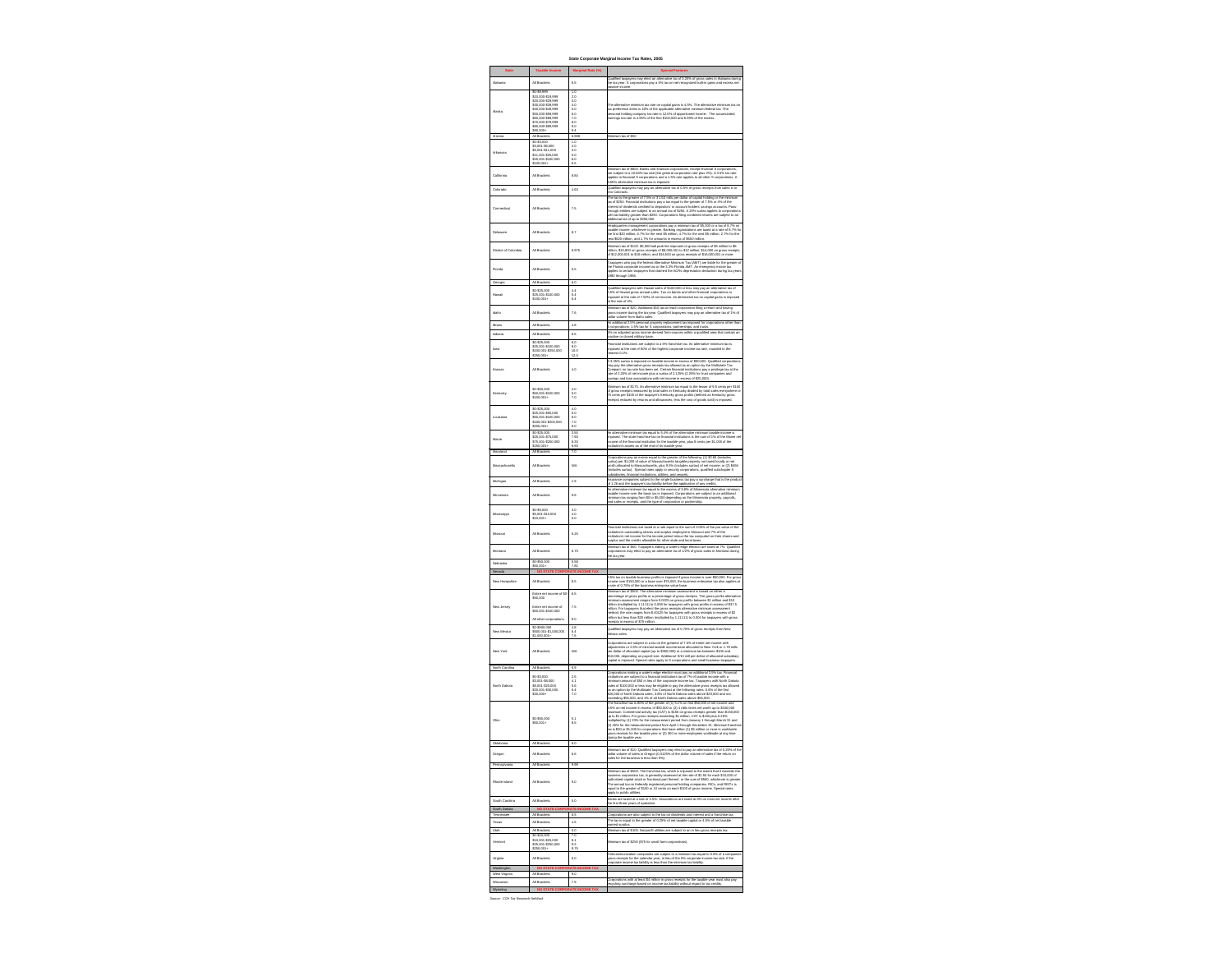| <b>State</b>                     | <b>Taxable Income</b>                                          | <b>Marginal Rate (%)</b>                             | <b>Special Features</b>                                                                                                                                                                                                                                                                     |
|----------------------------------|----------------------------------------------------------------|------------------------------------------------------|---------------------------------------------------------------------------------------------------------------------------------------------------------------------------------------------------------------------------------------------------------------------------------------------|
| Alabama                          | All Brackets                                                   | 6.5                                                  | Qualified taxpayers may elect an alternative tax of 0.25% of gross sales in Alabama during<br>the tax year. S corporations pay a 5% tax on net recognized built-in gains and excess net<br>passive income.                                                                                  |
|                                  | \$0-\$9,999<br>\$10,000-\$19,999                               | 1.0<br>2.0                                           |                                                                                                                                                                                                                                                                                             |
|                                  | \$20,000-\$29,999<br>\$30,000-\$39,999<br>\$40,000-\$49,999    | 3.0<br>4.0<br>5.0                                    | The alternative minimum tax rate on capital gains is 4.5%. The alternative minimum tax on<br>tax preference items is 18% of the applicable alternative minimum federal tax. The                                                                                                             |
| Alaska                           | \$50,000-\$59,999<br>\$60,000-\$69,999                         | 6.0<br>7.0                                           | personal holding company tax rate is 12.6% of apportioned income. The accumulated<br>earnings tax rate is 4.95% of the first \$100,000 and 6.93% of the excess.                                                                                                                             |
|                                  | \$70,000-\$79,999<br>\$80,000-\$89,999<br>\$90,000+            | 8.0<br>9.0<br>9.4                                    |                                                                                                                                                                                                                                                                                             |
| Arizona                          | All Brackets<br>\$0-\$3,000                                    | 6.968<br>1.0                                         | Minimum tax of \$50                                                                                                                                                                                                                                                                         |
| Arkansas                         | \$3,001-\$6,000<br>\$6,001-\$11,000<br>\$11,001-\$25,000       | 2.0<br>3.0<br>5.0                                    |                                                                                                                                                                                                                                                                                             |
|                                  | \$25,001-\$100,000<br>$$100,001+$                              | 6.0<br>6.5                                           |                                                                                                                                                                                                                                                                                             |
| California                       | All Brackets                                                   | 8.84                                                 | Minimum tax of \$800. Banks and financial corporations, except financial S corporations,<br>are subject to a 10.84% tax rate (the general corporation rate plus 2%). A 3.5% tax rate<br>applies to financial S corporations and a 1.5% rate applies to all other S corporations. A          |
| Colorado                         | All Brackets                                                   | 4.63                                                 | 6.65% alternative minimum tax is imposed.<br>Qualified taxpayers may pay an alternative tax of 0.5% of gross receipts from sales in or                                                                                                                                                      |
|                                  |                                                                |                                                      | into Colorado.<br>The tax is the greater of 7.5% or 3 1/10 mills per dollar of capital holding or the minimum                                                                                                                                                                               |
| Connecticut                      | All Brackets                                                   | 7.5                                                  | tax of \$250. Financial institutions pay a tax equal to the greater of 7.5% or 4% of the<br>interest of dividends credited to depositors' or account holders' savings accounts. Pass-<br>through entities are subject to an annual tax of \$250. A 25% surtax applies to corporations       |
|                                  |                                                                |                                                      | with tax liability greater than \$250. Corporations filing combined returns are subject to an<br>additional tax of up to \$250,000.                                                                                                                                                         |
| Delaware                         | All Brackets                                                   | 8.7                                                  | Headquarters management corporations pay a minimum tax of \$5,000 or a tax of 8.7% on<br>taxable income, whichever is greater. Banking organizations are taxed at a rate of 8.7% fo<br>the first \$20 million, 6.7% for the next \$5 million, 4.7% for the next \$5 million, 2.7% for the   |
|                                  |                                                                |                                                      | next \$620 million, and 1.7% for amounts in excess of \$650 million.<br>Minimum tax of \$100. \$5,500 ball park fee imposed on gross receipts of \$5 million to \$8                                                                                                                         |
| District of Columbia             | All Brackets                                                   | 9.975                                                | million, \$10,800 on gross receipts of \$8,000,001 to \$12 million, \$14,000 on gross receipts<br>of \$12,000,001 to \$16 million, and \$16,500 on gross receipts of \$16,000,001 or more.                                                                                                  |
| Florida                          | All Brackets                                                   | 5.5                                                  | Taxpayers who pay the federal Alternative Minimum Tax (AMT) are liable for the greater o<br>the Florida corporate income tax or the 3.3% Florida AMT. An emergency excise tax<br>applies to certain taxpayers that claimed the ACRs depreciation deduction during tax year                  |
| Georgia                          | All Brackets                                                   | 6.0                                                  | 1980 through 1986.                                                                                                                                                                                                                                                                          |
| Hawaii                           | \$0-\$25,000<br>\$25,001-\$100,000                             | 4.4<br>5.4                                           | Qualified taxpayers with Hawaii sales of \$100,000 or less may pay an alternative tax of<br>0.5% of Hawaii gross annual sales. Tax on banks and other financial corporations is                                                                                                             |
|                                  | $$100,001+$                                                    | 6.4                                                  | imposed at the rate of 7.92% of net income. An alternative tax on capital gains is imposed<br>at the rate of 4%.                                                                                                                                                                            |
| Idaho                            | All Brackets                                                   | 7.6                                                  | Minimum tax of \$20. Additional \$10 tax on each corporation filing a return and having<br>gross income during the tax year. Qualified taxpayers may pay an alternative tax of 1% of<br>dollar volume from Idaho sales.                                                                     |
| <b>Illinois</b>                  | All Brackets                                                   | 4.8                                                  | An additional 2.5% personal property replacement tax imposed for corporations other than<br>S corporations; 1.5% tax for S corporations, partnerships, and trusts.                                                                                                                          |
| Indiana                          | All Brackets                                                   | 8.5                                                  | 5% on adjusted gross income derived from sources within a qualified area that contain an<br>inactive or closed military base.                                                                                                                                                               |
| lowa                             | \$0-\$25,000<br>\$25,001-\$100,000<br>\$100,001-\$250,000      | 6.0<br>8.0<br>10.0                                   | Financial institutions are subject to a 5% franchise tax. An alternative minimum tax is<br>imposed at the rate of 60% of the highest corporate income tax rate, rounded to the                                                                                                              |
|                                  | $$250,001+$                                                    | 12.0                                                 | nearest 0.1%.<br>A 3.35% surtax is imposed on taxable income in excess of \$50,000. Qualified corporations                                                                                                                                                                                  |
| Kansas                           | All Brackets                                                   | 4.0                                                  | may pay the alternative gross receipts tax allowed as an option by the Multistate Tax<br>Compact; no tax rate has been set. Certain financial institutions pay a privilege tax at the<br>rate of 2.25% of net income plus a surtax of 2.125% (2.25% for trust companies and                 |
|                                  |                                                                |                                                      | savings and loan associations with net income in excess of \$25,000).<br>Minimum tax of \$175. An alternative minimum tax equal to the lesser of 9.5 cents per \$100                                                                                                                        |
| Kentucky                         | \$0-\$50,000<br>\$50,001-\$100,000<br>$$100,001+$              | 4.0<br>5.0<br>7.0                                    | of gross receipts measured by total sales in Kentucky divided by total sales everywhere o<br>75 cents per \$100 of the taxpayer's Kentucky gross profits (defined as Kentucky gross                                                                                                         |
|                                  | \$0-\$25,000                                                   | 4.0                                                  | receipts reduced by returns and allowances, less the cost of goods sold) is imposed.                                                                                                                                                                                                        |
| Louisiana                        | \$25,001-\$50,000<br>\$50,001-\$100,000<br>\$100,001-\$200,000 | 5.0<br>6.0<br>7.0                                    |                                                                                                                                                                                                                                                                                             |
|                                  | $$200,001+$<br>\$0-\$25,000                                    | 8.0<br>3.50                                          | An alternative minimum tax equal to 5.4% of the alternative minimum taxable income is                                                                                                                                                                                                       |
| Maine                            | \$25,001-\$75,000<br>\$75,001-\$250,000                        | 7.93<br>8.33                                         | imposed. The state franchise tax on financial institutions is the sum of 1% of the Maine ne<br>income of the financial institution for the taxable year, plus 8 cents per \$1,000 of the                                                                                                    |
| Maryland                         | $$250,001+$<br>All Brackets                                    | 8.93<br>7.0                                          | institution's assets as of the end of its taxable year.                                                                                                                                                                                                                                     |
| Massachusetts                    | All Brackets                                                   | N/A                                                  | Corporations pay an excise equal to the greater of the following: (1) \$2.60 (includes<br>surtax) per \$1,000 of value of Massachusetts tangible property not taxed locally or net<br>worth allocated to Massachusetts, plus 9.5% (includes surtax) of net income; or (2) \$456             |
|                                  |                                                                |                                                      | (includes surtax). Special rates apply to security corporations, qualified subchapter S<br>subsidiaries, financial institutions, utilities, and vessels.<br>Insurance companies subject to the single business tax pay a surcharge that is the produc                                       |
| Michigan                         | All Brackets                                                   | 1.9                                                  | of 1.26 and the taxpayer's tax liability before the application of any credits.<br>An alternative minimum tax equal to the excess of 5.8% of Minnesota alternative minimum                                                                                                                  |
| Minnesota                        | All Brackets                                                   | 9.8                                                  | taxable income over the basic tax is imposed. Corporations are subject to an additional<br>minimum tax ranging from \$0 to \$5,000 depending on the Minnesota property, payrolls,<br>and sales or receipts, and the type of corporation or partnership.                                     |
| Mississippi                      | \$0-\$5,000<br>\$5,001-\$10,000                                | 3.0<br>4.0                                           |                                                                                                                                                                                                                                                                                             |
|                                  | $$10,001+$                                                     | 5.0                                                  |                                                                                                                                                                                                                                                                                             |
| Missouri                         | All Brackets                                                   | 6.25                                                 | Financial institutions are taxed at a rate equal to the sum of 0.05% of the par value of the<br>institution's outstanding shares and surplus employed in Missouri and 7% of the<br>institution's net income for the income period minus the tax computed on their shares and                |
|                                  |                                                                |                                                      | surplus and the credits allowable for other state and local taxes.<br>Minimum tax of \$50. Taxpayers making a water's-edge election are taxed at 7%. Qualified                                                                                                                              |
| Montana                          | All Brackets                                                   | 6.75                                                 | corporations may elect to pay an alternative tax of 1/2% of gross sales in Montana during<br>the tax year.                                                                                                                                                                                  |
| Nebraska<br>Nevada               | \$0-\$50,000<br>$$50,001+$                                     | 5.58<br>7.81<br><b>NO STATE CORPORATE INCOME TAX</b> |                                                                                                                                                                                                                                                                                             |
| New Hampshire                    | All Brackets                                                   | 8.5                                                  | 8.5% tax on taxable business profits is imposed if gross income is over \$50,000. For gross<br>income over \$150,000 or a base over \$75,000, the business enterprise tax also applies at                                                                                                   |
|                                  | Entire net income of \$0-                                      | 6.5                                                  | a rate of 0.75% of the business enterprise value base.<br>Minimum tax of \$500. The alternative minimum assessment is based on either a<br>percentage of gross profits or a percentage of gross receipts. The gross profits alternative                                                     |
| New Jersey                       | \$50,000<br>Entire net income of                               | 7.5                                                  | minimum assessment ranges from 0.0025 on gross profits between \$1 million and \$10<br>million (multiplied by 1.1111) to 0.008 for taxpayers with gross profits in excess of \$37.5                                                                                                         |
|                                  | \$50,001-\$100,000                                             |                                                      | million. For taxpayers that elect the gross receipts alternative minimum assessment<br>method, the rate ranges from \$.00125 for taxpayers with gross receipts in excess of \$2<br>million but less than \$20 million (multiplied by 1.11111) to 0.004 for taxpayers with gross             |
|                                  | All other corporations<br>\$0-\$500,000                        | 9.0<br>4.8                                           | receipts in excess of \$75 million.<br>Qualified taxpayers may pay an alternative tax of 0.75% of gross receipts from New                                                                                                                                                                   |
| New Mexico                       | \$500,001-\$1,000,000<br>$$1,000,001+$                         | 6.4<br>7.6                                           | Mexico sales.                                                                                                                                                                                                                                                                               |
| New York                         | <b>All Brackets</b>                                            | N/A                                                  | Corporations are subject to a tax on the greatest of 7.5% of entire net income with<br>adjustments or 2.5% of minimal taxable income base allocated to New York or 1.78 mills<br>per dollar of allocated capital (up to \$350,000) or a minimum tax between \$100 and                       |
|                                  |                                                                |                                                      | \$10,000, depending on payroll size. Additional 9/10 mill per dollar of allocated subsidiary<br>capital is imposed. Special rates apply to S corporations and small business taxpayers.                                                                                                     |
| North Carolina                   | All Brackets                                                   | 6.9                                                  | Corporations making a water's-edge election must pay an additional 3.5% tax. Financial                                                                                                                                                                                                      |
| North Dakota                     | \$0-\$3,000<br>\$3,001-\$8,000<br>\$8,001-\$20,000             | 2.6<br>4.1<br>5.6                                    | institutions are subject to a financial institutions tax of 7% of taxable income with a<br>minimum amount of \$50 in lieu of the corporate income tax. Taxpayers with North Dakota<br>sales of \$100,000 or less may be eligible to pay the alternative gross receipts tax allowed          |
|                                  | \$20,001-\$30,000<br>$$30,000+$                                | 6.4<br>7.0                                           | as an option by the Multistate Tax Compact at the following rates: 0.6% of the first<br>\$20,000 of North Dakota sales, 0.8% of North Dakota sales above \$20,000 and not<br>exceeding \$55,000, and 1% of all North Dakota sales above \$55,000.                                           |
|                                  |                                                                |                                                      | The franchise tax is 80% of the greater of (1) 5.1% on first \$50,000 of net income and<br>8.5% on net income in excess of \$50,000 or (2) 4 mills times net worth up to \$150,000                                                                                                          |
| Ohio                             | \$0-\$50,000<br>$$50,001+$                                     | 5.1<br>8.5                                           | maximum. Commercial activity tax (CAT) is \$150 on gross receipts greater than \$150,000<br>up to \$1 million. For gross receipts exceeding \$1 million, CAT is \$150 plus 0.26%<br>multiplied by (1) 23% for the measurement period from January 1 through March 31 and                    |
|                                  |                                                                |                                                      | (2) 40% for the measurement period from April 1 through December 31. Minimum franchis<br>tax is \$50 or \$1,000 for corporations that have either (1) \$5 million or more in worldwide<br>gross receipts for the taxable year or $(2)$ 300 or more employees worldwide at any time          |
| Oklahoma                         | All Brackets                                                   | 6.0                                                  | during the taxable year.                                                                                                                                                                                                                                                                    |
| Oregon                           | <b>All Brackets</b>                                            | 6.6                                                  | Minimum tax of \$10. Qualified taxpayers may elect to pay an alternative tax of 0.25% of th<br>dollar volume of sales in Oregon (0.0125% of the dollar volume of sales if the return on                                                                                                     |
| Pennsylvania                     | All Brackets                                                   | 9.99                                                 | sales for the business is less than 5%).                                                                                                                                                                                                                                                    |
|                                  |                                                                |                                                      | Minimum tax of \$500. The franchise tax, which is imposed to the extent that it exceeds the<br>business corporation tax, is generally assessed at the rate of \$2.50 for each \$10,000 of<br>authorized capital stock or fractional part thereof, or the sum of \$500, whichever is greater |
| Rhode Island                     | All Brackets                                                   | 9.0                                                  | The annual tax on federally registered personal holding companies, RICs, and REITs is<br>equal to the greater of \$100 or 10 cents on each \$100 of gross income. Special rates                                                                                                             |
| South Carolina                   | All Brackets                                                   | 5.0                                                  | apply to public utilities.<br>Banks are taxed at a rate of 4.5%. Associations are taxed at 6% on most net income after                                                                                                                                                                      |
| South Dakota                     |                                                                | <b>NO STATE CORPORATE INCOME TAX</b>                 | the first three years of operation.                                                                                                                                                                                                                                                         |
| Tennessee<br>Texas               | All Brackets<br>All Brackets                                   | 6.5<br>4.5                                           | Corporations are also subject to the tax on dividends and interest and a franchise tax.<br>The tax is equal to the greater of 0.25% of net taxable capital or 4.5% of net taxable<br>earned surplus.                                                                                        |
| Utah                             | All Brackets<br>\$0-\$10,000                                   | 5.0<br>7.0                                           | Minimum tax of \$100. Nonprofit utilities are subject to an in lieu gross receipts tax.                                                                                                                                                                                                     |
| Vermont                          | \$10,001-\$25,000<br>\$25,001-\$250,000<br>$$250,001+$         | 8.1<br>9.2<br>9.75                                   | Minimum tax of \$250 (\$75 for small farm corporations).                                                                                                                                                                                                                                    |
| Virginia                         | All Brackets                                                   | 6.0                                                  | Telecommunication companies are subject to a minimum tax equal to 0.5% of a companie<br>gross receipts for the calendar year, in lieu of the 6% corporate income tax rate, if the                                                                                                           |
| Washington                       |                                                                | NO STATE CORPORATE INCOME TAX                        | corporate income tax liability is less than the minimum tax liability.                                                                                                                                                                                                                      |
| West Virginia<br>Wisconsin       | All Brackets<br>All Brackets                                   | 9.0<br>7.9                                           | Corporations with at least \$4 million in gross receipts for the taxable year must also pay<br>recycling surcharge based on income tax liability without regard to tax credits.                                                                                                             |
| Wyoming                          |                                                                | <b>NO STATE CORPORATE INCOME TAX</b>                 |                                                                                                                                                                                                                                                                                             |
| Source: CCH Tax Research NetWork |                                                                |                                                      |                                                                                                                                                                                                                                                                                             |

**State Corporate Marginal Income Tax Rates, 2005 Special Features** Iffied taxpayers may elect an alternative tax of 0.25% of gross sales in Alabama during tax year. S corporations pay a 5% tax on net recognized built-in gains and excess net sive income. alternative minimum tax rate on capital gains is 4.5%. The alternative minimum tax on  $|$ preference items is 18% of the applicable alternative minimum federal tax. The sonal holding company tax rate is 12.6% of apportioned income. The accumulated hings tax rate is 4.95% of the first  $$100,000$  and 6.93% of the excess. mum tax of \$50 imum tax of \$800. Banks and financial corporations, except financial S corporations, subject to a 10.84% tax rate (the general corporation rate plus 2%). A 3.5% tax rate blies to financial S corporations and a 1.5% rate applies to all other S corporations. A 5% alternative minimum tax is imposed. lified taxpayers may pay an alternative tax of 0.5% of gross receipts from sales in or Colorado. tax is the greater of 7.5% or 3 1/10 mills per dollar of capital holding or the minimum of \$250. Financial institutions pay a tax equal to the greater of 7.5% or 4% of the erest of dividends credited to depositors' or account holders' savings accounts. Pass- $\mathsf{augh}$  entities are subject to an annual tax of \$250. A 25% surtax applies to corporations  $\mathbin\Vert$ tax liability greater than \$250. Corporations filing combined returns are subject to an tional tax of up to  $$250,000$ . dquarters management corporations pay a minimum tax of \$5,000 or a tax of 8.7% on ible income, whichever is greater. Banking organizations are taxed at a rate of 8.7% for  $\vert$ first \$20 million, 6.7% for the next \$5 million, 4.7% for the next \$5 million, 2.7% for the t \$620 million, and 1.7% for amounts in excess of \$650 million. imum tax of \$100. \$5,500 ball park fee imposed on gross receipts of \$5 million to \$8 lion, \$10,800 on gross receipts of \$8,000,001 to \$12 million, \$14,000 on gross receipts 12,000,001 to \$16 million, and \$16,500 on gross receipts of \$16,000,001 or more. payers who pay the federal Alternative Minimum Tax (AMT) are liable for the greater of Florida corporate income tax or the 3.3% Florida AMT. An emergency excise tax lies to certain taxpayers that claimed the ACRs depreciation deduction during tax years ) through  $1986$ . lified taxpayers with Hawaii sales of \$100,000 or less may pay an alternative tax of  $6$  of Hawaii gross annual sales. Tax on banks and other financial corporations is imposed at the rate of 7.92% of net income. An alternative tax on capital gains is imposed e rate of 4%. mum tax of \$20. Additional \$10 tax on each corporation filing a return and having s income during the tax year. Qualified taxpayers may pay an alternative tax of 1% of ir volume from Idaho sales. dditional 2.5% personal property replacement tax imposed for corporations other than  $|$ rporations; 1.5% tax for S corporations, partnerships, and trusts. on adjusted gross income derived from sources within a qualified area that contain an  $\vert$ tive or closed military base. ncial institutions are subject to a 5% franchise tax. An alternative minimum tax is osed at the rate of 60% of the highest corporate income tax rate, rounded to the rest 0.1%. 35% surtax is imposed on taxable income in excess of \$50,000. Qualified corporations | pay the alternative gross receipts tax allowed as an option by the Multistate Tax pact; no tax rate has been set. Certain financial institutions pay a privilege tax at the  $\frac{1}{2}$  of 2.25% of net income plus a surtax of 2.125% (2.25% for trust companies and ings and loan associations with net income in excess of \$25,000). imum tax of \$175. An alternative minimum tax equal to the lesser of 9.5 cents per \$100  $\parallel$ ross receipts measured by total sales in Kentucky divided by total sales everywhere or 75 cents per \$100 of the taxpayer's Kentucky gross profits (defined as Kentucky gross eipts reduced by returns and allowances, less the cost of goods sold) is imposed. alternative minimum tax equal to 5.4% of the alternative minimum taxable income is osed. The state franchise tax on financial institutions is the sum of 1% of the Maine net  $\vert$ ome of the financial institution for the taxable year, plus 8 cents per \$1,000 of the tution's assets as of the end of its taxable year. orations pay an excise equal to the greater of the following: (1) \$2.60 (includes ax) per \$1,000 of value of Massachusetts tangible property not taxed locally or net h allocated to Massachusetts, plus 9.5% (includes surtax) of net income; or (2) \$456 ludes surtax). Special rates apply to security corporations, qualified subchapter S sidiaries, financial institutions, utilities, and vessels. irance companies subject to the single business tax pay a surcharge that is the product 1.26 and the taxpayer's tax liability before the application of any credits. Iternative minimum tax equal to the excess of 5.8% of Minnesota alternative minimum able income over the basic tax is imposed. Corporations are subject to an additional imum tax ranging from \$0 to \$5,000 depending on the Minnesota property, payrolls, sales or receipts, and the type of corporation or partnership. ancial institutions are taxed at a rate equal to the sum of 0.05% of the par value of the ution's outstanding shares and surplus employed in Missouri and 7% of the tution's net income for the income period minus the tax computed on their shares and plus and the credits allowable for other state and local taxes. imum tax of \$50. Taxpayers making a water's-edge election are taxed at 7%. Qualified  $\,|\,$ orations may elect to pay an alternative tax of 1/2% of gross sales in Montana during ax year.  $^{\rm 6}$  tax on taxable business profits is imposed if gross income is over \$50,000. For gross  $|$ ome over \$150,000 or a base over \$75,000, the business enterprise tax also applies at te of 0.75% of the business enterprise value base. mum tax of \$500. The alternative minimum assessment is based on either a entage of gross profits or a percentage of gross receipts. The gross profits alternative  $\vert$ mum assessment ranges from 0.0025 on gross profits between \$1 million and \$10 on (multiplied by 1.1111) to 0.008 for taxpayers with gross profits in excess of \$37.5 lion. For taxpayers that elect the gross receipts alternative minimum assessment thod, the rate ranges from \$.00125 for taxpayers with gross receipts in excess of \$2 on but less than \$20 million (multiplied by 1.11111) to 0.004 for taxpayers with gross eipts in excess of \$75 million. lified taxpayers may pay an alternative tax of 0.75% of gross receipts from New ico sales. orations are subject to a tax on the greatest of 7.5% of entire net income with stments or 2.5% of minimal taxable income base allocated to New York or 1.78 mills dollar of allocated capital (up to \$350,000) or a minimum tax between \$100 and 0,000, depending on payroll size. Additional 9/10 mill per dollar of allocated subsidiary bital is imposed. Special rates apply to S corporations and small business taxpayers. orations making a water's-edge election must pay an additional 3.5% tax. Financial itutions are subject to a financial institutions tax of 7% of taxable income with a imum amount of \$50 in lieu of the corporate income tax. Taxpayers with North Dakota s of \$100,000 or less may be eligible to pay the alternative gross receipts tax allowed n option by the Multistate Tax Compact at the following rates: 0.6% of the first 000 of North Dakota sales, 0.8% of North Dakota sales above \$20,000 and not eding \$55,000, and 1% of all North Dakota sales above \$55,000. franchise tax is 80% of the greater of (1) 5.1% on first \$50,000 of net income and  $6$  on net income in excess of \$50,000 or (2) 4 mills times net worth up to \$150,000 imum. Commercial activity tax (CAT) is \$150 on gross receipts greater than \$150,000 b \$1 million. For gross receipts exceeding \$1 million, CAT is \$150 plus 0.26% iplied by (1) 23% for the measurement period from January 1 through March 31 and 40% for the measurement period from April 1 through December 31. Minimum franchise s \$50 or \$1,000 for corporations that have either (1) \$5 million or more in worldwide s receipts for the taxable year or (2) 300 or more employees worldwide at any time ng the taxable year. imum tax of \$10. Qualified taxpayers may elect to pay an alternative tax of 0.25% of the $\vert$ ar volume of sales in Oregon (0.0125% of the dollar volume of sales if the return on s for the business is less than 5%).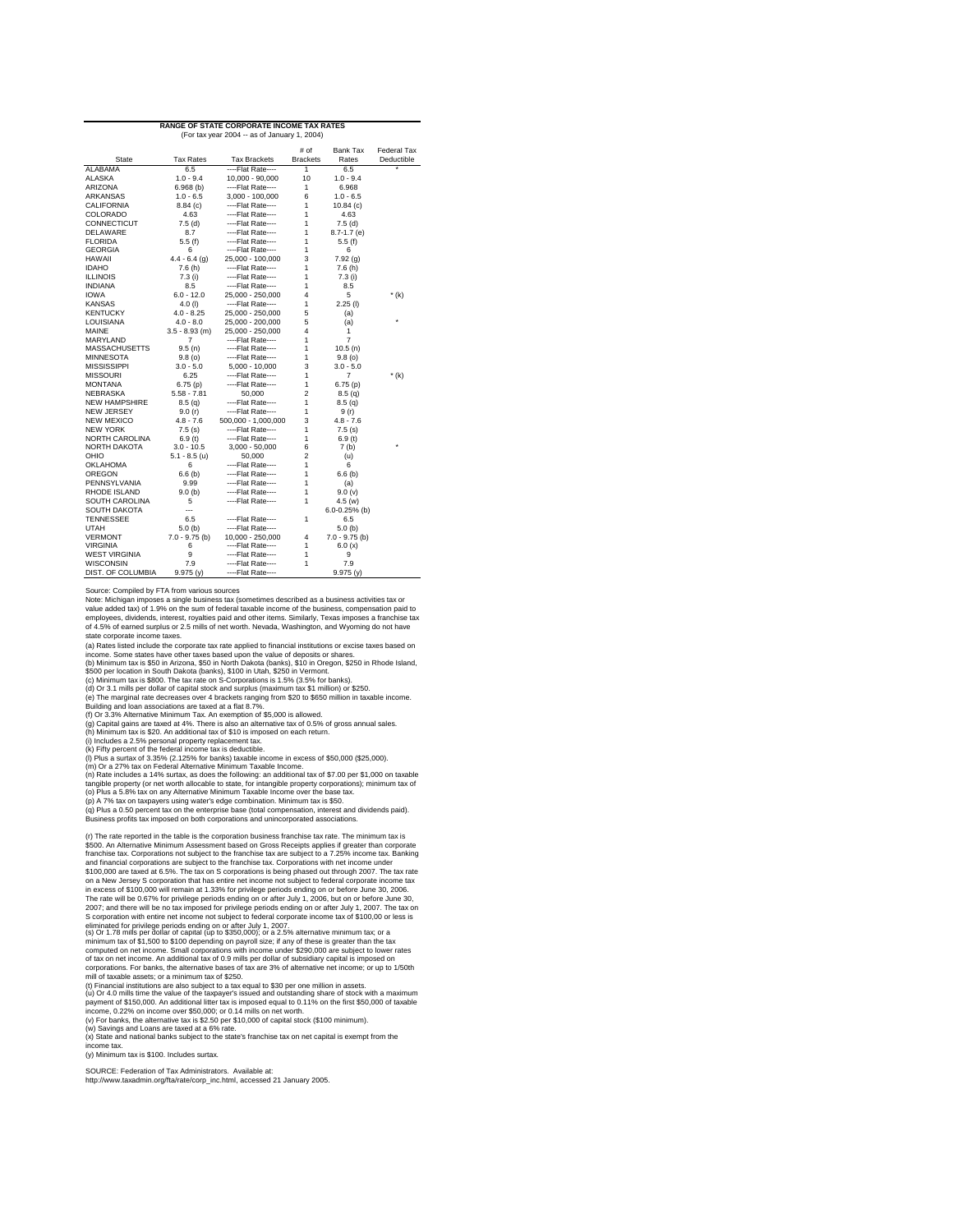|                                       |                       | (For tax year 2004 -- as of January 1, 2004) |                         |                     |                           |
|---------------------------------------|-----------------------|----------------------------------------------|-------------------------|---------------------|---------------------------|
| <b>State</b>                          | <b>Tax Rates</b>      | <b>Tax Brackets</b>                          | # of<br><b>Brackets</b> | Bank lax<br>Rates   | Federal lax<br>Deductible |
| <b>ALABAMA</b>                        | 6.5                   | ----Flat Rate----                            | $\overline{1}$          | 6.5                 | ¥                         |
| <b>ALASKA</b>                         | $1.0 - 9.4$           | 10,000 - 90,000                              | 10                      | $1.0 - 9.4$         |                           |
| <b>ARIZONA</b>                        | 6.968(b)              | ----Flat Rate----                            | 1                       | 6.968               |                           |
| <b>ARKANSAS</b>                       | $1.0 - 6.5$           | $3,000 - 100,000$                            | 6                       | $1.0 - 6.5$         |                           |
| <b>CALIFORNIA</b>                     | 8.84(c)               | ----Flat Rate----                            | 1                       | 10.84(c)            |                           |
| <b>COLORADO</b>                       | 4.63                  | ----Flat Rate----                            | 1                       | 4.63                |                           |
| <b>CONNECTICUT</b>                    | 7.5(d)                | ----Flat Rate----                            | 1                       | 7.5(d)              |                           |
| <b>DELAWARE</b>                       | 8.7                   | ----Flat Rate----                            | 1                       | $8.7 - 1.7$ (e)     |                           |
| <b>FLORIDA</b>                        | 5.5(f)                | ----Flat Rate----                            | 1                       | 5.5(f)              |                           |
| <b>GEORGIA</b>                        | 6                     | ----Flat Rate----                            | 1                       | 6                   |                           |
| <b>HAWAII</b>                         | $4.4 - 6.4$ (g)       | 25,000 - 100,000                             | 3                       | 7.92(g)             |                           |
| <b>IDAHO</b>                          | 7.6(h)                | ----Flat Rate----                            | 1                       | 7.6(h)              |                           |
| <b>ILLINOIS</b>                       | 7.3(i)                | ----Flat Rate----                            | 1                       | 7.3(i)              |                           |
| <b>INDIANA</b>                        | 8.5                   | ----Flat Rate----                            | 1                       | 8.5                 |                           |
| <b>IOWA</b>                           | $6.0 - 12.0$          | 25,000 - 250,000                             | 4                       | 5                   | $*(k)$                    |
| <b>KANSAS</b>                         | $4.0$ (l)             | ----Flat Rate----                            | 1                       | $2.25$ (l)          |                           |
| <b>KENTUCKY</b>                       | $4.0 - 8.25$          | 25,000 - 250,000                             | 5                       | (a)                 |                           |
| <b>LOUISIANA</b>                      | $4.0 - 8.0$           | 25,000 - 200,000                             | 5                       | (a)                 | $\star$                   |
| <b>MAINE</b>                          | $3.5 - 8.93$ (m)      | 25,000 - 250,000                             | 4                       | 1                   |                           |
| <b>MARYLAND</b>                       | 7                     | ----Flat Rate----                            | 1                       | $\overline{7}$      |                           |
| <b>MASSACHUSETTS</b>                  | 9.5(n)                | ----Flat Rate----                            | 1                       | 10.5(n)             |                           |
| <b>MINNESOTA</b>                      | 9.8(0)                | ----Flat Rate----                            | 1                       | 9.8(0)              |                           |
| <b>MISSISSIPPI</b>                    | $3.0 - 5.0$           | $5,000 - 10,000$                             | 3                       | $3.0 - 5.0$         |                           |
| <b>MISSOURI</b>                       | 6.25                  | ----Flat Rate----                            | 1                       | $\overline{7}$      | $*(k)$                    |
| <b>MONTANA</b>                        | 6.75(p)               | ----Flat Rate----                            | 1                       | 6.75(p)             |                           |
| <b>NEBRASKA</b>                       | $5.58 - 7.81$         | 50,000                                       | $\overline{c}$          |                     |                           |
| <b>NEW HAMPSHIRE</b>                  |                       | ----Flat Rate----                            | 1                       | 8.5(q)              |                           |
| <b>NEW JERSEY</b>                     | 8.5(q)                |                                              | 1                       | 8.5(q)              |                           |
| <b>NEW MEXICO</b>                     | 9.0(r)<br>$4.8 - 7.6$ | ----Flat Rate----                            | 3                       | 9(r)<br>$4.8 - 7.6$ |                           |
| <b>NEW YORK</b>                       |                       | 500,000 - 1,000,000                          | 1                       |                     |                           |
|                                       | 7.5(s)                | ----Flat Rate----                            |                         | 7.5(s)              |                           |
| NORTH CAROLINA<br><b>NORTH DAKOTA</b> | 6.9(t)                | ----Flat Rate----                            | 1                       | 6.9(t)              | $^\star$                  |
|                                       | $3.0 - 10.5$          | $3,000 - 50,000$                             | 6<br>$\overline{2}$     | 7 <sub>(b)</sub>    |                           |
| <b>OHIO</b>                           | $5.1 - 8.5$ (u)       | 50,000                                       |                         | (u)                 |                           |
| <b>OKLAHOMA</b>                       | 6                     | ----Flat Rate----                            | 1                       | 6                   |                           |
| <b>OREGON</b>                         | 6.6(b)                | ----Flat Rate----                            |                         | 6.6(b)              |                           |
| PENNSYLVANIA                          | 9.99                  | ----Flat Rate----                            | 1                       | (a)                 |                           |
| RHODE ISLAND                          | 9.0(b)                | ----Flat Rate----                            | 1                       | 9.0 (v)             |                           |
| SOUTH CAROLINA                        | 5                     | ----Flat Rate----                            | 1                       | 4.5(w)              |                           |
| <b>SOUTH DAKOTA</b>                   | ---                   |                                              |                         | $6.0 - 0.25\%$ (b)  |                           |
| <b>TENNESSEE</b>                      | 6.5                   | ----Flat Rate----                            | 1                       | 6.5                 |                           |
| <b>UTAH</b>                           | 5.0(b)                | ----Flat Rate----                            |                         | 5.0(b)              |                           |
| <b>VERMONT</b>                        | $7.0 - 9.75$ (b)      | 10,000 - 250,000                             | 4                       | 7.0 - 9.75 (b)      |                           |
| <b>VIRGINIA</b>                       | 6                     | ----Flat Rate----                            | 1                       | 6.0(x)              |                           |
| <b>WEST VIRGINIA</b>                  | 9                     | ----Flat Rate----                            | 1                       | 9                   |                           |
| <b>WISCONSIN</b>                      | 7.9                   | ----Flat Rate----                            | 1                       | 7.9                 |                           |
| DIST. OF COLUMBIA                     | 9.975(y)              | ----Flat Rate----                            |                         | 9.975(y)            |                           |

(h) Minimum tax is \$20. An additional tax of \$10 is imposed on each return.

(i) Includes a 2.5% personal property replacement tax.

(k) Fifty percent of the federal income tax is deductible.

Source: Compiled by FTA from various sources

Note: Michigan imposes a single business tax (sometimes described as a business activities tax or value added tax) of 1.9% on the sum of federal taxable income of the business, compensation paid to employees, dividends, interest, royalties paid and other items. Similarly, Texas imposes a franchise tax of 4.5% of earned surplus or 2.5 mills of net worth. Nevada, Washington, and Wyoming do not have state corporate income taxes.

(a) Rates listed include the corporate tax rate applied to financial institutions or excise taxes based on income. Some states have other taxes based upon the value of deposits or shares.

(b) Minimum tax is \$50 in Arizona, \$50 in North Dakota (banks), \$10 in Oregon, \$250 in Rhode Island, \$500 per location in South Dakota (banks), \$100 in Utah, \$250 in Vermont.

(c) Minimum tax is \$800. The tax rate on S-Corporations is 1.5% (3.5% for banks).

(d) Or 3.1 mills per dollar of capital stock and surplus (maximum tax \$1 million) or \$250.

SOURCE: Federation of Tax Administrators. Available at: http://www.taxadmin.org/fta/rate/corp\_inc.html, accessed 21 January 2005.

(x) State and national banks subject to the state's franchise tax on net capital is exempt from the income tax.

**RANGE OF STATE CORPORATE INCOME TAX RATES**

(y) Minimum tax is \$100. Includes surtax.

(t) Financial institutions are also subject to a tax equal to \$30 per one million in assets.

(u) Or 4.0 mills time the value of the taxpayer's issued and outstanding share of stock with a maximum payment of \$150,000. An additional litter tax is imposed equal to 0.11% on the first \$50,000 of taxable income, 0.22% on income over \$50,000; or 0.14 mills on net worth.

(l) Plus a surtax of 3.35% (2.125% for banks) taxable income in excess of \$50,000 (\$25,000).

(m) Or a 27% tax on Federal Alternative Minimum Taxable Income.

(n) Rate includes a 14% surtax, as does the following: an additional tax of \$7.00 per \$1,000 on taxable

tangible property (or net worth allocable to state, for intangible property corporations); minimum tax of

(o) Plus a 5.8% tax on any Alternative Minimum Taxable Income over the base tax.

(p) A 7% tax on taxpayers using water's edge combination. Minimum tax is \$50.

(q) Plus a 0.50 percent tax on the enterprise base (total compensation, interest and dividends paid). Business profits tax imposed on both corporations and unincorporated associations.

(e) The marginal rate decreases over 4 brackets ranging from \$20 to \$650 million in taxable income.

Building and loan associations are taxed at a flat 8.7%.

(f) Or 3.3% Alternative Minimum Tax. An exemption of \$5,000 is allowed.

(g) Capital gains are taxed at 4%. There is also an alternative tax of 0.5% of gross annual sales.

(v) For banks, the alternative tax is \$2.50 per \$10,000 of capital stock (\$100 minimum).

(w) Savings and Loans are taxed at a 6% rate.

(r) The rate reported in the table is the corporation business franchise tax rate. The minimum tax is \$500. An Alternative Minimum Assessment based on Gross Receipts applies if greater than corporate franchise tax. Corporations not subject to the franchise tax are subject to a 7.25% income tax. Banking and financial corporations are subject to the franchise tax. Corporations with net income under \$100,000 are taxed at 6.5%. The tax on S corporations is being phased out through 2007. The tax rate on a New Jersey S corporation that has entire net income not subject to federal corporate income tax in excess of \$100,000 will remain at 1.33% for privilege periods ending on or before June 30, 2006. The rate will be 0.67% for privilege periods ending on or after July 1, 2006, but on or before June 30, 2007; and there will be no tax imposed for privilege periods ending on or after July 1, 2007. The tax on S corporation with entire net income not subject to federal corporate income tax of \$100,00 or less is eliminated for privilege periods ending on or after July 1, 2007.

(s) Or 1.78 mills per dollar of capital (up to \$350,000); or a 2.5% alternative minimum tax; or a minimum tax of \$1,500 to \$100 depending on payroll size; if any of these is greater than the tax computed on net income. Small corporations with income under \$290,000 are subject to lower rates of tax on net income. An additional tax of 0.9 mills per dollar of subsidiary capital is imposed on corporations. For banks, the alternative bases of tax are 3% of alternative net income; or up to 1/50th mill of taxable assets; or a minimum tax of \$250.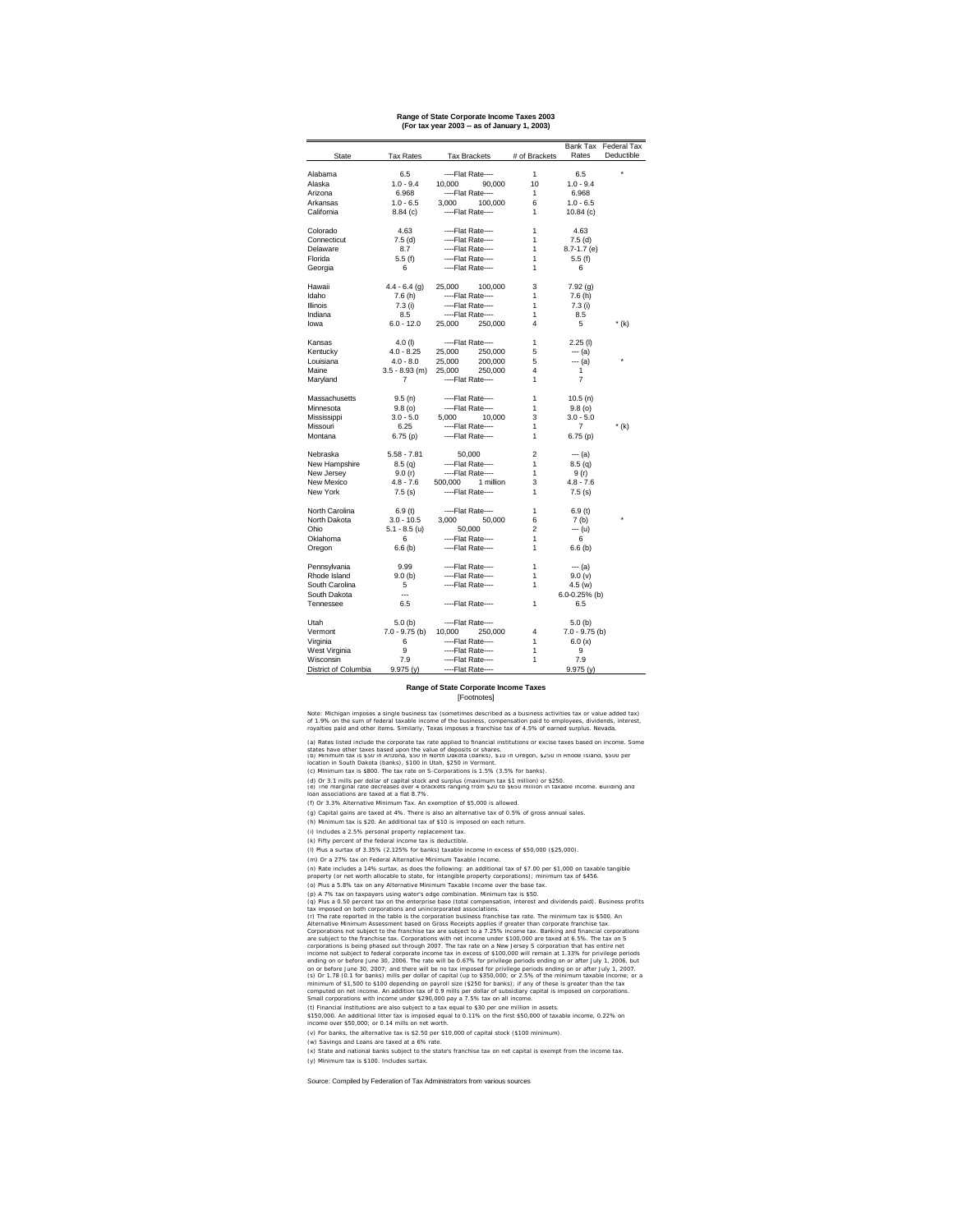#### **Range of State Corporate Income Taxes 2003 (For tax year 2003 -- as of January 1, 2003)**

#### **Range of State Corporate Income Taxes** [Footnotes]

(c) Minimum tax is \$800. The tax rate on S-Corporations is 1.5% (3.5% for banks).

(f) Or 3.3% Alternative Minimum Tax. An exemption of \$5,000 is allowed.

(g) Capital gains are taxed at 4%. There is also an alternative tax of 0.5% of gross annual sales.

(h) Minimum tax is \$20. An additional tax of \$10 is imposed on each return.

(i) Includes a 2.5% personal property replacement tax.

(k) Fifty percent of the federal income tax is deductible.

(l) Plus a surtax of 3.35% (2.125% for banks) taxable income in excess of \$50,000 (\$25,000).

(m) Or a 27% tax on Federal Alternative Minimum Taxable Income.

(o) Plus a 5.8% tax on any Alternative Minimum Taxable Income over the base tax.

(v) For banks, the alternative tax is \$2.50 per \$10,000 of capital stock (\$100 minimum).

(w) Savings and Loans are taxed at a 6% rate.

(t) Financial institutions are also subject to a tax equal to \$30 per one million in assets.

(x) State and national banks subject to the state's franchise tax on net capital is exempt from the income tax. (y) Minimum tax is \$100. Includes surtax.

(p) A 7% tax on taxpayers using water's edge combination. Minimum tax is \$50. (q) Plus a 0.50 percent tax on the enterprise base (total compensation, interest and dividends paid). Business profits tax imposed on both corporations and unincorporated associations.

Source: Compiled by Federation of Tax Administrators from various sources

\$150,000. An additional litter tax is imposed equal to 0.11% on the first \$50,000 of taxable income, 0.22% on income over \$50,000; or 0.14 mills on net worth.

|                      |                  |                      |                | Bank Tax          | <b>Federal Tax</b> |
|----------------------|------------------|----------------------|----------------|-------------------|--------------------|
| <b>State</b>         | <b>Tax Rates</b> | <b>Tax Brackets</b>  | # of Brackets  | Rates             | Deductible         |
|                      |                  |                      |                |                   |                    |
| Alabama              | 6.5              | ----Flat Rate----    | 1              | 6.5               | $\star$            |
| Alaska               | $1.0 - 9.4$      | 10,000<br>90,000     | 10             | $1.0 - 9.4$       |                    |
| Arizona              | 6.968            | ----Flat Rate----    | 1              | 6.968             |                    |
| Arkansas             | $1.0 - 6.5$      | 3,000<br>100,000     | 6              | $1.0 - 6.5$       |                    |
| California           | 8.84(c)          | ----Flat Rate----    | 1              | 10.84(c)          |                    |
|                      |                  |                      |                |                   |                    |
| Colorado             | 4.63             | ----Flat Rate----    | 1              | 4.63              |                    |
| Connecticut          | 7.5(d)           | ----Flat Rate----    | 1              | 7.5(d)            |                    |
| Delaware             | 8.7              | ----Flat Rate----    | 1              | $8.7 - 1.7$ (e)   |                    |
| Florida              | 5.5(f)           | ----Flat Rate----    | 1              | 5.5(f)            |                    |
| Georgia              | 6                | ----Flat Rate----    | 1              | 6                 |                    |
|                      |                  |                      |                |                   |                    |
| Hawaii               | $4.4 - 6.4$ (g)  | 25,000<br>100,000    | 3              | 7.92(g)           |                    |
| Idaho                | 7.6(h)           | ----Flat Rate----    | 1              | 7.6(h)            |                    |
| <b>Illinois</b>      | 7.3(i)           | ----Flat Rate----    | 1              | 7.3(i)            |                    |
| Indiana              | 8.5              | ----Flat Rate----    | 1              | 8.5               |                    |
|                      |                  |                      |                |                   |                    |
| lowa                 | $6.0 - 12.0$     | 25,000<br>250,000    | 4              | 5                 | $*(k)$             |
| Kansas               | $4.0$ (l)        | ----Flat Rate----    | 1              | $2.25$ (l)        |                    |
| Kentucky             | $4.0 - 8.25$     | 25,000<br>250,000    | 5              | $-- (a)$          |                    |
| Louisiana            | $4.0 - 8.0$      | 25,000<br>200,000    | 5              | $-- (a)$          | *                  |
| Maine                |                  | 25,000<br>250,000    |                |                   |                    |
|                      | $3.5 - 8.93$ (m) |                      | 4              | 1                 |                    |
| Maryland             | 7                | ----Flat Rate----    | 1              | 7                 |                    |
| Massachusetts        | 9.5(n)           | ----Flat Rate----    | 1              | 10.5(n)           |                    |
| Minnesota            | 9.8(0)           | ----Flat Rate----    | 1              | 9.8(0)            |                    |
| Mississippi          | $3.0 - 5.0$      | 5,000<br>10,000      | 3              | $3.0 - 5.0$       |                    |
|                      | 6.25             | ----Flat Rate----    |                | $\overline{7}$    |                    |
| Missouri             |                  |                      | 1              |                   | $*(k)$             |
| Montana              | 6.75(p)          | ----Flat Rate----    | 1              | 6.75(p)           |                    |
| Nebraska             | $5.58 - 7.81$    | 50,000               | $\overline{c}$ | $--- (a)$         |                    |
| New Hampshire        | 8.5(q)           | ----Flat Rate----    | 1              | 8.5(q)            |                    |
| New Jersey           | 9.0(r)           | ----Flat Rate----    | 1              | 9 (r)             |                    |
| New Mexico           | $4.8 - 7.6$      | 1 million<br>500,000 | 3              | $4.8 - 7.6$       |                    |
|                      |                  |                      |                |                   |                    |
| New York             | 7.5(s)           | ----Flat Rate----    | 1              | 7.5(s)            |                    |
| North Carolina       | 6.9(t)           | ----Flat Rate----    | 1              | 6.9(t)            |                    |
| North Dakota         | $3.0 - 10.5$     | 3,000<br>50,000      | 6              | 7 <sub>(b)</sub>  | $\star$            |
| Ohio                 | $5.1 - 8.5$ (u)  | 50,000               | 2              | --- (u)           |                    |
| Oklahoma             | 6                | ----Flat Rate----    | 1              | 6                 |                    |
|                      |                  |                      |                |                   |                    |
| Oregon               | 6.6(b)           | ----Flat Rate----    | 1              | 6.6(b)            |                    |
| Pennsylvania         | 9.99             | ----Flat Rate----    | 1              | --- (a)           |                    |
| Rhode Island         | 9.0(b)           | ----Flat Rate----    | 1              | 9.0 (v)           |                    |
| South Carolina       | 5                | ----Flat Rate----    | 1              | 4.5(w)            |                    |
| South Dakota         | ---              |                      |                | $6.0 - 0.25%$ (b) |                    |
|                      | 6.5              |                      |                |                   |                    |
| Tennessee            |                  | ----Flat Rate----    | 1              | 6.5               |                    |
| Utah                 | 5.0(b)           | ----Flat Rate----    |                | 5.0(b)            |                    |
| Vermont              | $7.0 - 9.75$ (b) | 10,000<br>250,000    | 4              | $7.0 - 9.75$ (b)  |                    |
| Virginia             | 6                | ----Flat Rate----    | 1              | 6.0(x)            |                    |
| West Virginia        | 9                | ----Flat Rate----    | 1              | 9                 |                    |
| Wisconsin            | 7.9              | ----Flat Rate----    |                | 7.9               |                    |
|                      |                  |                      | 1              |                   |                    |
| District of Columbia | 9.975(y)         | ----Flat Rate----    |                | 9.975(y)          |                    |

(d) Or 3.1 mills per dollar of capital stock and surplus (maximum tax \$1 million) or \$250. (e) The marginal rate decreases over 4 brackets ranging from \$20 to \$650 million in taxable income. Building and loan associations are taxed at a flat 8.7%.

(r) The rate reported in the table is the corporation business franchise tax rate. The minimum tax is \$500. An Alternative Minimum Assessment based on Gross Receipts applies if greater than corporate franchise tax. Corporations not subject to the franchise tax are subject to a 7.25% income tax. Banking and financial corporations are subject to the franchise tax. Corporations with net income under \$100,000 are taxed at 6.5%. The tax on S corporations is being phased out through 2007. The tax rate on a New Jersey S corporation that has entire net income not subject to federal corporate income tax in excess of \$100,000 will remain at 1.33% for privilege periods ending on or before June 30, 2006. The rate will be 0.67% for privilege periods ending on or after July 1, 2006, but on or before June 30, 2007; and there will be no tax imposed for privilege periods ending on or after July 1, 2007. (s) Or 1.78 (0.1 for banks) mills per dollar of capital (up to \$350,000; or 2.5% of the minimum taxable income; or a minimum of \$1,500 to \$100 depending on payroll size (\$250 for banks); if any of these is greater than the tax computed on net income. An addition tax of 0.9 mills per dollar of subsidiary capital is imposed on corporations. Small corporations with income under \$290,000 pay a 7.5% tax on all income.

Note: Michigan imposes a single business tax (sometimes described as a business activities tax or value added tax) of 1.9% on the sum of federal taxable income of the business, compensation paid to employees, dividends, interest, royalties paid and other items. Similarly, Texas imposes a franchise tax of 4.5% of earned surplus. Nevada,

(a) Rates listed include the corporate tax rate applied to financial institutions or excise taxes based on income. Some

states have other taxes based upon the value of deposits or shares. (b) Minimum tax is \$50 in Arizona, \$50 in North Dakota (banks), \$10 in Oregon, \$250 in Rhode Island, \$500 per location in South Dakota (banks), \$100 in Utah, \$250 in Vermont.

(n) Rate includes a 14% surtax, as does the following: an additional tax of \$7.00 per \$1,000 on taxable tangible property (or net worth allocable to state, for intangible property corporations); minimum tax of \$456.